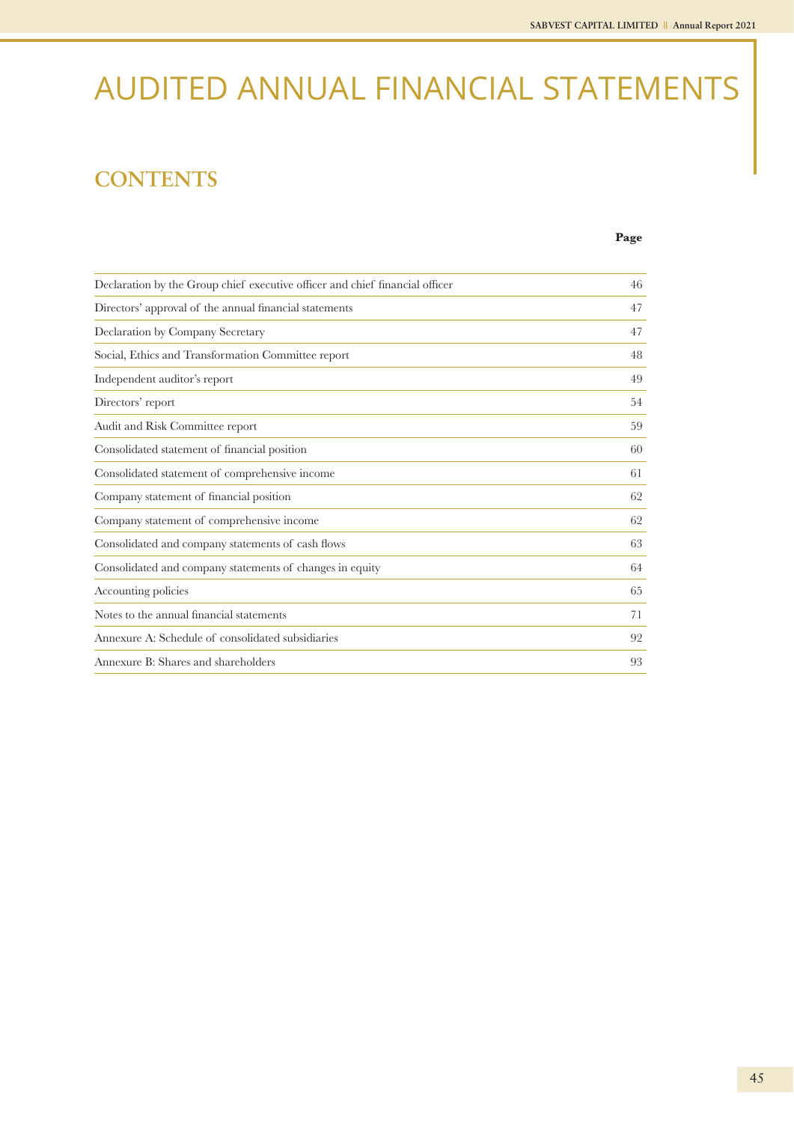# AUDITED ANNUAL FINANCIAL STATEMENTS

## **CONTENTS**

**Page**

| Declaration by the Group chief executive officer and chief financial officer | 46 |
|------------------------------------------------------------------------------|----|
| Directors' approval of the annual financial statements                       | 47 |
| Declaration by Company Secretary                                             | 47 |
| Social, Ethics and Transformation Committee report                           | 48 |
| Independent auditor's report                                                 | 49 |
| Directors' report                                                            | 54 |
| Audit and Risk Committee report                                              | 59 |
| Consolidated statement of financial position                                 | 60 |
| Consolidated statement of comprehensive income                               | 61 |
| Company statement of financial position                                      | 62 |
| Company statement of comprehensive income                                    | 62 |
| Consolidated and company statements of cash flows                            | 63 |
| Consolidated and company statements of changes in equity                     | 64 |
| Accounting policies                                                          | 65 |
| Notes to the annual financial statements                                     | 71 |
| Annexure A: Schedule of consolidated subsidiaries                            | 92 |
| Annexure B: Shares and shareholders                                          | 93 |
|                                                                              |    |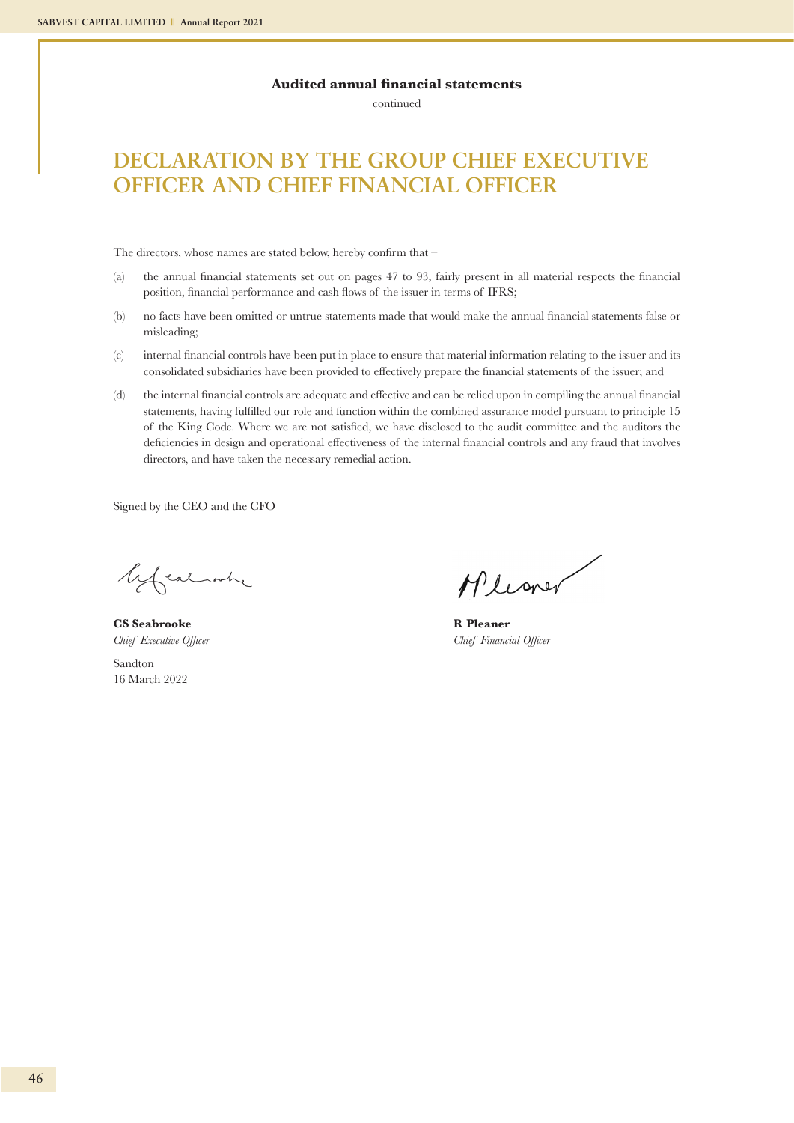continued

## **DECLARATION BY THE GROUP CHIEF EXECUTIVE OFFICER AND CHIEF FINANCIAL OFFICER**

The directors, whose names are stated below, hereby confirm that –

- (a) the annual financial statements set out on pages 47 to 93, fairly present in all material respects the financial position, financial performance and cash flows of the issuer in terms of IFRS;
- (b) no facts have been omitted or untrue statements made that would make the annual financial statements false or misleading;
- (c) internal financial controls have been put in place to ensure that material information relating to the issuer and its consolidated subsidiaries have been provided to effectively prepare the financial statements of the issuer; and
- (d) the internal financial controls are adequate and effective and can be relied upon in compiling the annual financial statements, having fulfilled our role and function within the combined assurance model pursuant to principle 15 of the King Code. Where we are not satisfied, we have disclosed to the audit committee and the auditors the deficiencies in design and operational effectiveness of the internal financial controls and any fraud that involves directors, and have taken the necessary remedial action.

Signed by the CEO and the CFO

lifealash

**CS Seabrooke R Pleaner** Sandton 16 March 2022

Mleaner

*Chief Executive Officer Chief Financial Officer*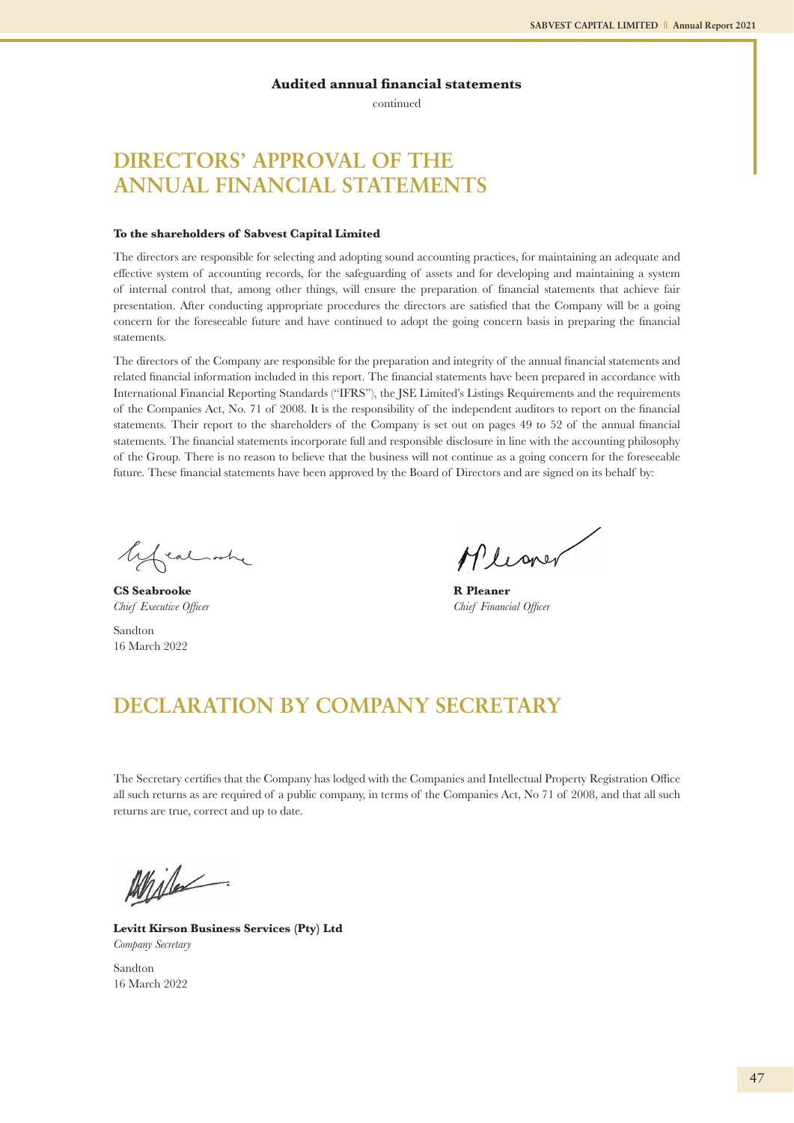continued

## **DIRECTORS' APPROVAL OF THE ANNUAL FINANCIAL STATEMENTS**

#### **To the shareholders of Sabvest Capital Limited**

The directors are responsible for selecting and adopting sound accounting practices, for maintaining an adequate and effective system of accounting records, for the safeguarding of assets and for developing and maintaining a system of internal control that, among other things, will ensure the preparation of financial statements that achieve fair presentation. After conducting appropriate procedures the directors are satisfied that the Company will be a going concern for the foreseeable future and have continued to adopt the going concern basis in preparing the financial statements.

The directors of the Company are responsible for the preparation and integrity of the annual financial statements and related financial information included in this report. The financial statements have been prepared in accordance with International Financial Reporting Standards ("IFRS"), the JSE Limited's Listings Requirements and the requirements of the Companies Act, No. 71 of 2008. It is the responsibility of the independent auditors to report on the financial statements. Their report to the shareholders of the Company is set out on pages 49 to 52 of the annual financial statements. The financial statements incorporate full and responsible disclosure in line with the accounting philosophy of the Group. There is no reason to believe that the business will not continue as a going concern for the foreseeable future. These financial statements have been approved by the Board of Directors and are signed on its behalf by:

lifealate

**CS Seabrooke R Pleaner**

Sandton 16 March 2022

Mlioner

*Chief Executive Officer* Chief Financial Officer Chief Financial Officer

## **DECLARATION BY COMPANY SECRETARY**

The Secretary certifies that the Company has lodged with the Companies and Intellectual Property Registration Office all such returns as are required of a public company, in terms of the Companies Act, No 71 of 2008, and that all such returns are true, correct and up to date.

Miles

**Levitt Kirson Business Services (Pty) Ltd**  *Company Secretary*

Sandton 16 March 2022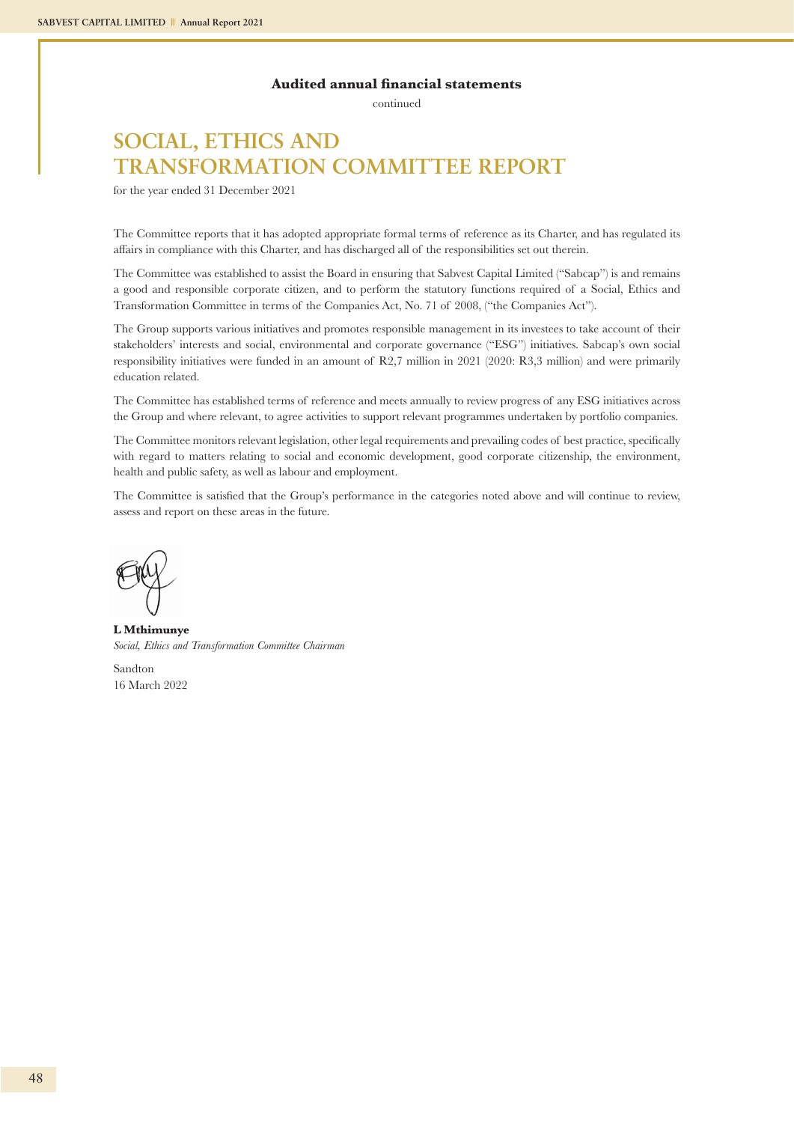continued

## **SOCIAL, ETHICS AND TRANSFORMATION COMMITTEE REPORT**

for the year ended 31 December 2021

The Committee reports that it has adopted appropriate formal terms of reference as its Charter, and has regulated its affairs in compliance with this Charter, and has discharged all of the responsibilities set out therein.

The Committee was established to assist the Board in ensuring that Sabvest Capital Limited ("Sabcap") is and remains a good and responsible corporate citizen, and to perform the statutory functions required of a Social, Ethics and Transformation Committee in terms of the Companies Act, No. 71 of 2008, ("the Companies Act").

The Group supports various initiatives and promotes responsible management in its investees to take account of their stakeholders' interests and social, environmental and corporate governance ("ESG") initiatives. Sabcap's own social responsibility initiatives were funded in an amount of R2,7 million in 2021 (2020: R3,3 million) and were primarily education related.

The Committee has established terms of reference and meets annually to review progress of any ESG initiatives across the Group and where relevant, to agree activities to support relevant programmes undertaken by portfolio companies.

The Committee monitors relevant legislation, other legal requirements and prevailing codes of best practice, specifically with regard to matters relating to social and economic development, good corporate citizenship, the environment, health and public safety, as well as labour and employment.

The Committee is satisfied that the Group's performance in the categories noted above and will continue to review, assess and report on these areas in the future.

**L Mthimunye** *Social, Ethics and Transformation Committee Chairman*

Sandton 16 March 2022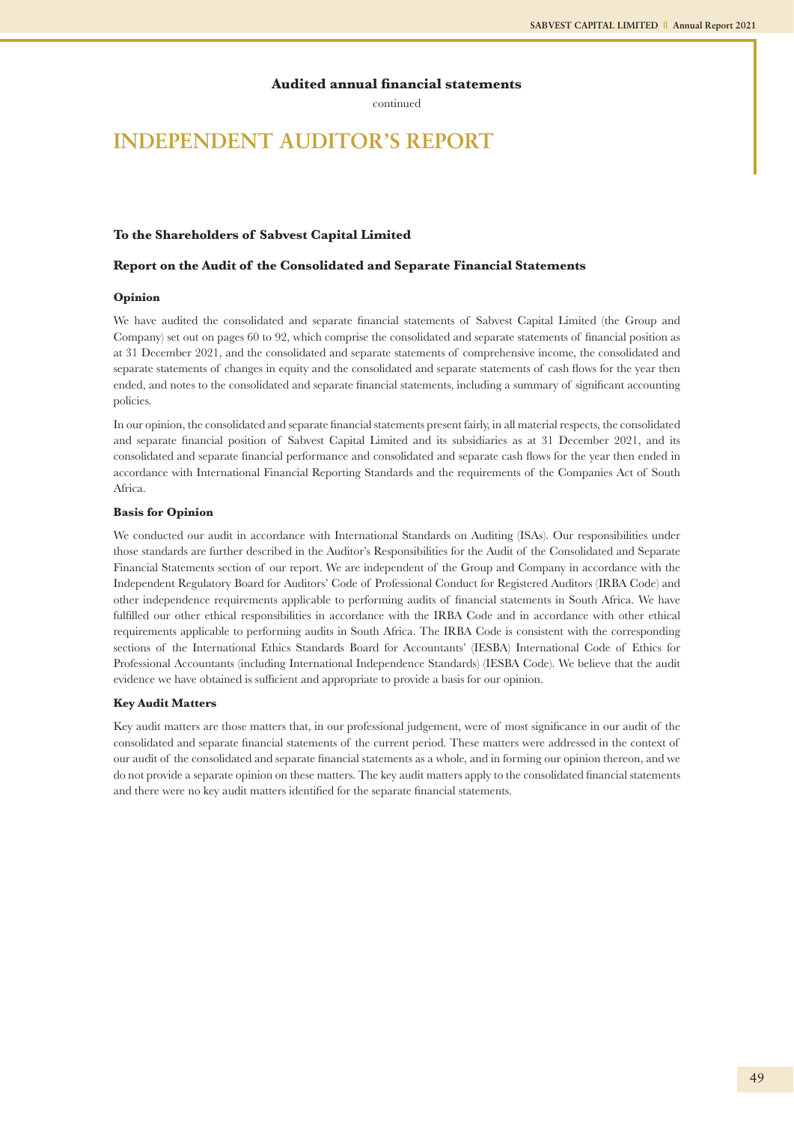continued

## **INDEPENDENT AUDITOR'S REPORT**

#### **To the Shareholders of Sabvest Capital Limited**

#### **Report on the Audit of the Consolidated and Separate Financial Statements**

#### **Opinion**

We have audited the consolidated and separate financial statements of Sabvest Capital Limited (the Group and Company) set out on pages 60 to 92, which comprise the consolidated and separate statements of financial position as at 31 December 2021, and the consolidated and separate statements of comprehensive income, the consolidated and separate statements of changes in equity and the consolidated and separate statements of cash flows for the year then ended, and notes to the consolidated and separate financial statements, including a summary of significant accounting policies.

In our opinion, the consolidated and separate financial statements present fairly, in all material respects, the consolidated and separate financial position of Sabvest Capital Limited and its subsidiaries as at 31 December 2021, and its consolidated and separate financial performance and consolidated and separate cash flows for the year then ended in accordance with International Financial Reporting Standards and the requirements of the Companies Act of South Africa.

#### **Basis for Opinion**

We conducted our audit in accordance with International Standards on Auditing (ISAs). Our responsibilities under those standards are further described in the Auditor's Responsibilities for the Audit of the Consolidated and Separate Financial Statements section of our report. We are independent of the Group and Company in accordance with the Independent Regulatory Board for Auditors' Code of Professional Conduct for Registered Auditors (IRBA Code) and other independence requirements applicable to performing audits of financial statements in South Africa. We have fulfilled our other ethical responsibilities in accordance with the IRBA Code and in accordance with other ethical requirements applicable to performing audits in South Africa. The IRBA Code is consistent with the corresponding sections of the International Ethics Standards Board for Accountants' (IESBA) International Code of Ethics for Professional Accountants (including International Independence Standards) (IESBA Code). We believe that the audit evidence we have obtained is sufficient and appropriate to provide a basis for our opinion.

#### **Key Audit Matters**

Key audit matters are those matters that, in our professional judgement, were of most significance in our audit of the consolidated and separate financial statements of the current period. These matters were addressed in the context of our audit of the consolidated and separate financial statements as a whole, and in forming our opinion thereon, and we do not provide a separate opinion on these matters. The key audit matters apply to the consolidated financial statements and there were no key audit matters identified for the separate financial statements.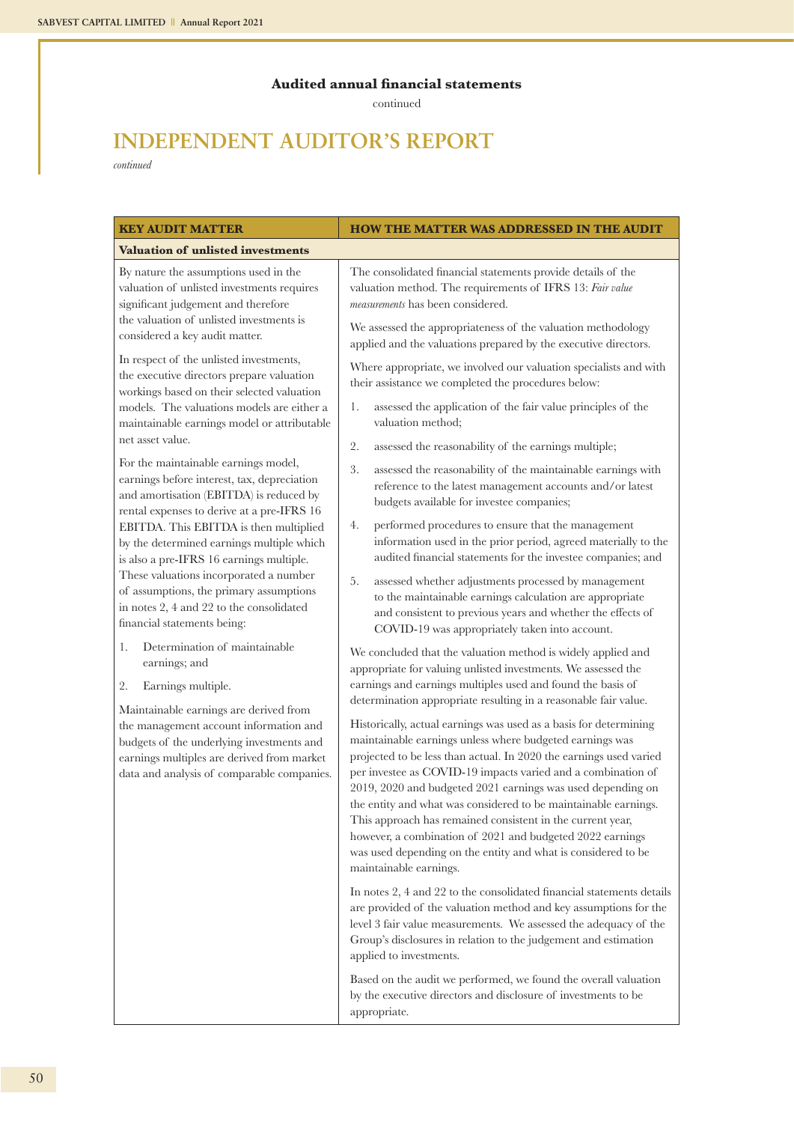continued

## **INDEPENDENT AUDITOR'S REPORT**

*continued*

| <b>KEY AUDIT MATTER</b>                                                                                                                                                      | <b>HOW THE MATTER WAS ADDRESSED IN THE AUDIT</b>                                                                                                                                                                                                                                                            |
|------------------------------------------------------------------------------------------------------------------------------------------------------------------------------|-------------------------------------------------------------------------------------------------------------------------------------------------------------------------------------------------------------------------------------------------------------------------------------------------------------|
| <b>Valuation of unlisted investments</b>                                                                                                                                     |                                                                                                                                                                                                                                                                                                             |
| By nature the assumptions used in the<br>valuation of unlisted investments requires<br>significant judgement and therefore<br>the valuation of unlisted investments is       | The consolidated financial statements provide details of the<br>valuation method. The requirements of IFRS 13: Fair value<br>measurements has been considered.<br>We assessed the appropriateness of the valuation methodology                                                                              |
| considered a key audit matter.                                                                                                                                               | applied and the valuations prepared by the executive directors.                                                                                                                                                                                                                                             |
| In respect of the unlisted investments,<br>the executive directors prepare valuation<br>workings based on their selected valuation                                           | Where appropriate, we involved our valuation specialists and with<br>their assistance we completed the procedures below:                                                                                                                                                                                    |
| models. The valuations models are either a<br>maintainable earnings model or attributable                                                                                    | assessed the application of the fair value principles of the<br>1.<br>valuation method;                                                                                                                                                                                                                     |
| net asset value.                                                                                                                                                             | 2.<br>assessed the reasonability of the earnings multiple;                                                                                                                                                                                                                                                  |
| For the maintainable earnings model,<br>earnings before interest, tax, depreciation<br>and amortisation (EBITDA) is reduced by<br>rental expenses to derive at a pre-IFRS 16 | 3.<br>assessed the reasonability of the maintainable earnings with<br>reference to the latest management accounts and/or latest<br>budgets available for investee companies;                                                                                                                                |
| EBITDA. This EBITDA is then multiplied<br>by the determined earnings multiple which<br>is also a pre-IFRS 16 earnings multiple.                                              | performed procedures to ensure that the management<br>4.<br>information used in the prior period, agreed materially to the<br>audited financial statements for the investee companies; and                                                                                                                  |
| These valuations incorporated a number<br>of assumptions, the primary assumptions<br>in notes 2, 4 and 22 to the consolidated<br>financial statements being:                 | 5.<br>assessed whether adjustments processed by management<br>to the maintainable earnings calculation are appropriate<br>and consistent to previous years and whether the effects of<br>COVID-19 was appropriately taken into account.                                                                     |
| Determination of maintainable<br>1.<br>earnings; and<br>2.<br>Earnings multiple.                                                                                             | We concluded that the valuation method is widely applied and<br>appropriate for valuing unlisted investments. We assessed the<br>earnings and earnings multiples used and found the basis of                                                                                                                |
| Maintainable earnings are derived from                                                                                                                                       | determination appropriate resulting in a reasonable fair value.                                                                                                                                                                                                                                             |
| the management account information and<br>budgets of the underlying investments and                                                                                          | Historically, actual earnings was used as a basis for determining<br>maintainable earnings unless where budgeted earnings was                                                                                                                                                                               |
| earnings multiples are derived from market<br>data and analysis of comparable companies.                                                                                     | projected to be less than actual. In 2020 the earnings used varied<br>per investee as COVID-19 impacts varied and a combination of<br>2019, 2020 and budgeted 2021 earnings was used depending on<br>the entity and what was considered to be maintainable earnings.                                        |
|                                                                                                                                                                              | This approach has remained consistent in the current year,<br>however, a combination of 2021 and budgeted 2022 earnings<br>was used depending on the entity and what is considered to be<br>maintainable earnings.                                                                                          |
|                                                                                                                                                                              | In notes 2, 4 and 22 to the consolidated financial statements details<br>are provided of the valuation method and key assumptions for the<br>level 3 fair value measurements. We assessed the adequacy of the<br>Group's disclosures in relation to the judgement and estimation<br>applied to investments. |
|                                                                                                                                                                              | Based on the audit we performed, we found the overall valuation<br>by the executive directors and disclosure of investments to be<br>appropriate.                                                                                                                                                           |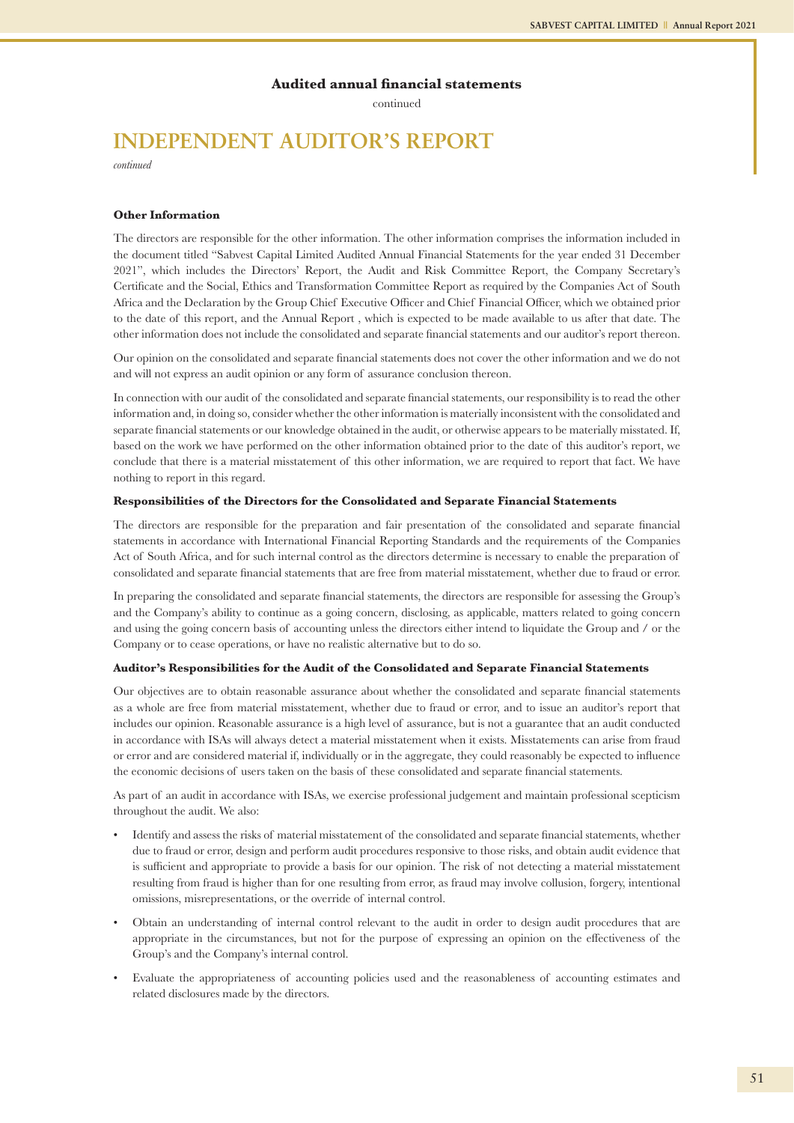continued

## **INDEPENDENT AUDITOR'S REPORT**

*continued*

#### **Other Information**

The directors are responsible for the other information. The other information comprises the information included in the document titled "Sabvest Capital Limited Audited Annual Financial Statements for the year ended 31 December 2021", which includes the Directors' Report, the Audit and Risk Committee Report, the Company Secretary's Certificate and the Social, Ethics and Transformation Committee Report as required by the Companies Act of South Africa and the Declaration by the Group Chief Executive Officer and Chief Financial Officer, which we obtained prior to the date of this report, and the Annual Report , which is expected to be made available to us after that date. The other information does not include the consolidated and separate financial statements and our auditor's report thereon.

Our opinion on the consolidated and separate financial statements does not cover the other information and we do not and will not express an audit opinion or any form of assurance conclusion thereon.

In connection with our audit of the consolidated and separate financial statements, our responsibility is to read the other information and, in doing so, consider whether the other information is materially inconsistent with the consolidated and separate financial statements or our knowledge obtained in the audit, or otherwise appears to be materially misstated. If, based on the work we have performed on the other information obtained prior to the date of this auditor's report, we conclude that there is a material misstatement of this other information, we are required to report that fact. We have nothing to report in this regard.

#### **Responsibilities of the Directors for the Consolidated and Separate Financial Statements**

The directors are responsible for the preparation and fair presentation of the consolidated and separate financial statements in accordance with International Financial Reporting Standards and the requirements of the Companies Act of South Africa, and for such internal control as the directors determine is necessary to enable the preparation of consolidated and separate financial statements that are free from material misstatement, whether due to fraud or error.

In preparing the consolidated and separate financial statements, the directors are responsible for assessing the Group's and the Company's ability to continue as a going concern, disclosing, as applicable, matters related to going concern and using the going concern basis of accounting unless the directors either intend to liquidate the Group and / or the Company or to cease operations, or have no realistic alternative but to do so.

#### **Auditor's Responsibilities for the Audit of the Consolidated and Separate Financial Statements**

Our objectives are to obtain reasonable assurance about whether the consolidated and separate financial statements as a whole are free from material misstatement, whether due to fraud or error, and to issue an auditor's report that includes our opinion. Reasonable assurance is a high level of assurance, but is not a guarantee that an audit conducted in accordance with ISAs will always detect a material misstatement when it exists. Misstatements can arise from fraud or error and are considered material if, individually or in the aggregate, they could reasonably be expected to influence the economic decisions of users taken on the basis of these consolidated and separate financial statements.

As part of an audit in accordance with ISAs, we exercise professional judgement and maintain professional scepticism throughout the audit. We also:

- Identify and assess the risks of material misstatement of the consolidated and separate financial statements, whether due to fraud or error, design and perform audit procedures responsive to those risks, and obtain audit evidence that is sufficient and appropriate to provide a basis for our opinion. The risk of not detecting a material misstatement resulting from fraud is higher than for one resulting from error, as fraud may involve collusion, forgery, intentional omissions, misrepresentations, or the override of internal control.
- Obtain an understanding of internal control relevant to the audit in order to design audit procedures that are appropriate in the circumstances, but not for the purpose of expressing an opinion on the effectiveness of the Group's and the Company's internal control.
- Evaluate the appropriateness of accounting policies used and the reasonableness of accounting estimates and related disclosures made by the directors.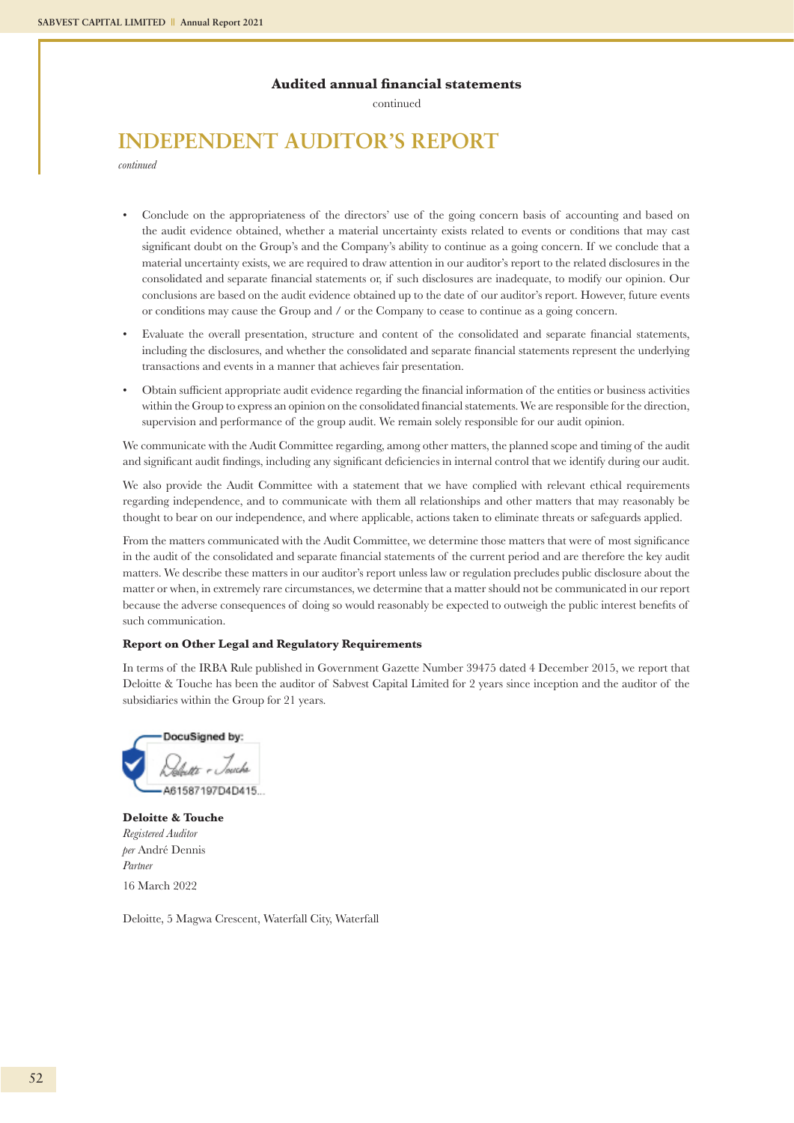continued

## **INDEPENDENT AUDITOR'S REPORT**

*continued*

- Conclude on the appropriateness of the directors' use of the going concern basis of accounting and based on the audit evidence obtained, whether a material uncertainty exists related to events or conditions that may cast significant doubt on the Group's and the Company's ability to continue as a going concern. If we conclude that a material uncertainty exists, we are required to draw attention in our auditor's report to the related disclosures in the consolidated and separate financial statements or, if such disclosures are inadequate, to modify our opinion. Our conclusions are based on the audit evidence obtained up to the date of our auditor's report. However, future events or conditions may cause the Group and / or the Company to cease to continue as a going concern.
- Evaluate the overall presentation, structure and content of the consolidated and separate financial statements, including the disclosures, and whether the consolidated and separate financial statements represent the underlying transactions and events in a manner that achieves fair presentation.
- Obtain sufficient appropriate audit evidence regarding the financial information of the entities or business activities within the Group to express an opinion on the consolidated financial statements. We are responsible for the direction, supervision and performance of the group audit. We remain solely responsible for our audit opinion.

We communicate with the Audit Committee regarding, among other matters, the planned scope and timing of the audit and significant audit findings, including any significant deficiencies in internal control that we identify during our audit.

We also provide the Audit Committee with a statement that we have complied with relevant ethical requirements regarding independence, and to communicate with them all relationships and other matters that may reasonably be thought to bear on our independence, and where applicable, actions taken to eliminate threats or safeguards applied.

From the matters communicated with the Audit Committee, we determine those matters that were of most significance in the audit of the consolidated and separate financial statements of the current period and are therefore the key audit matters. We describe these matters in our auditor's report unless law or regulation precludes public disclosure about the matter or when, in extremely rare circumstances, we determine that a matter should not be communicated in our report because the adverse consequences of doing so would reasonably be expected to outweigh the public interest benefits of such communication.

#### **Report on Other Legal and Regulatory Requirements**

In terms of the IRBA Rule published in Government Gazette Number 39475 dated 4 December 2015, we report that Deloitte & Touche has been the auditor of Sabvest Capital Limited for 2 years since inception and the auditor of the subsidiaries within the Group for 21 years.

DocuSigned by: Lett - Joseph

**Deloitte & Touche** *Registered Auditor per* André Dennis *Partner* 16 March 2022

Deloitte, 5 Magwa Crescent, Waterfall City, Waterfall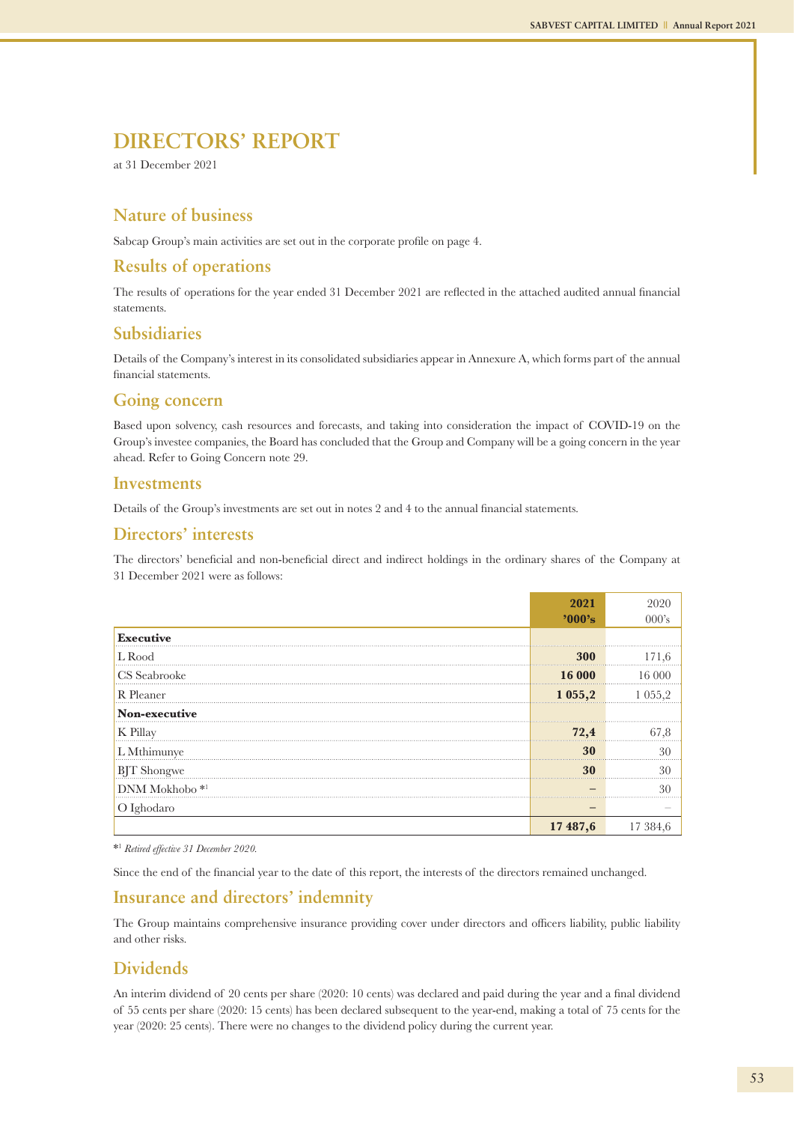at 31 December 2021

### **Nature of business**

Sabcap Group's main activities are set out in the corporate profile on page 4.

### **Results of operations**

The results of operations for the year ended 31 December 2021 are reflected in the attached audited annual financial statements.

### **Subsidiaries**

Details of the Company's interest in its consolidated subsidiaries appear in Annexure A, which forms part of the annual financial statements.

### **Going concern**

Based upon solvency, cash resources and forecasts, and taking into consideration the impact of COVID-19 on the Group's investee companies, the Board has concluded that the Group and Company will be a going concern in the year ahead. Refer to Going Concern note 29.

### **Investments**

Details of the Group's investments are set out in notes 2 and 4 to the annual financial statements.

### **Directors' interests**

The directors' beneficial and non-beneficial direct and indirect holdings in the ordinary shares of the Company at 31 December 2021 were as follows:

|                           | 2021     |             |
|---------------------------|----------|-------------|
|                           | '000's   | 000's       |
| <b>Executive</b>          |          |             |
| L Rood                    | 300      |             |
| CS Seabrooke              | 16 000   | 16.000      |
| R Pleaner                 | 1055,2   | 1 0 5 5 , 2 |
| Non-executive             |          |             |
| K Pillay                  | 72,4     | 67.8        |
| L Mthimunye               | 30       | 30          |
| <b>BJT</b> Shongwe        | 30       | 30          |
| DNM Mokhobo <sup>*1</sup> |          | 30          |
| O Ighodaro                |          |             |
|                           | 17 487,6 | 17 384,6    |

\*1 *Retired effective 31 December 2020.*

Since the end of the financial year to the date of this report, the interests of the directors remained unchanged.

### **Insurance and directors' indemnity**

The Group maintains comprehensive insurance providing cover under directors and officers liability, public liability and other risks.

### **Dividends**

An interim dividend of 20 cents per share (2020: 10 cents) was declared and paid during the year and a final dividend of 55 cents per share (2020: 15 cents) has been declared subsequent to the year-end, making a total of 75 cents for the year (2020: 25 cents). There were no changes to the dividend policy during the current year.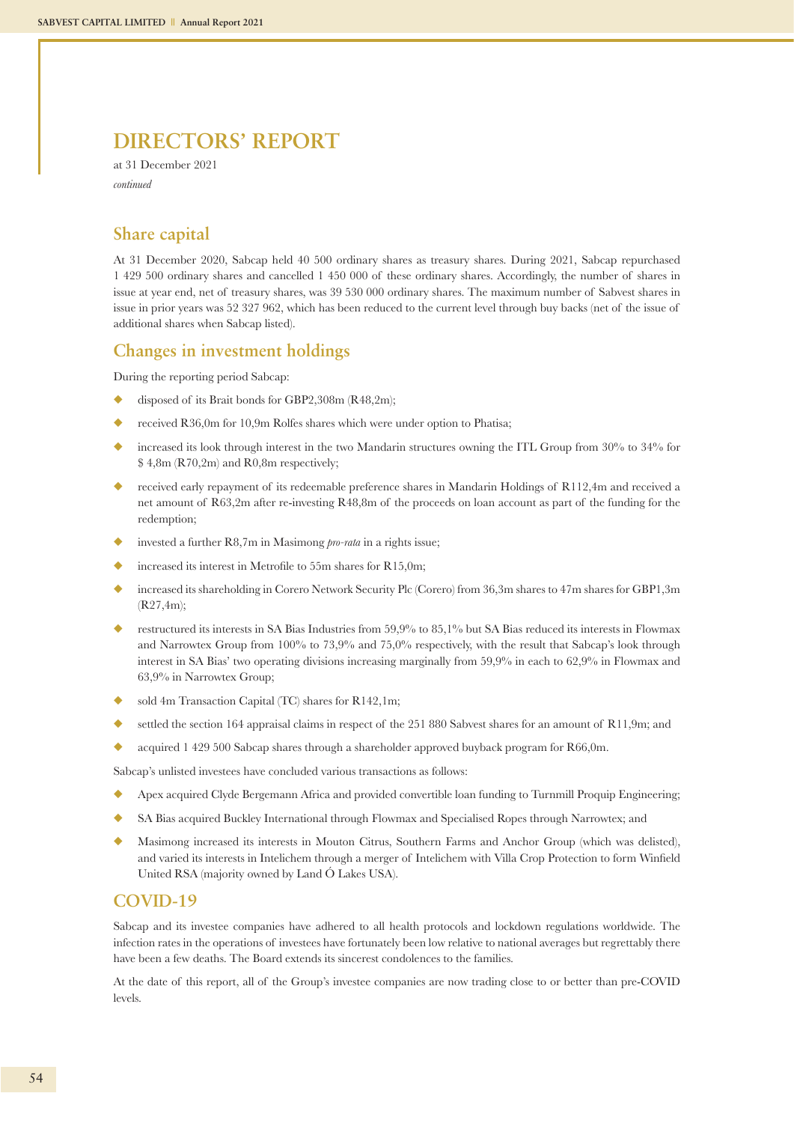at 31 December 2021 *continued*

### **Share capital**

At 31 December 2020, Sabcap held 40 500 ordinary shares as treasury shares. During 2021, Sabcap repurchased 1 429 500 ordinary shares and cancelled 1 450 000 of these ordinary shares. Accordingly, the number of shares in issue at year end, net of treasury shares, was 39 530 000 ordinary shares. The maximum number of Sabvest shares in issue in prior years was 52 327 962, which has been reduced to the current level through buy backs (net of the issue of additional shares when Sabcap listed).

### **Changes in investment holdings**

During the reporting period Sabcap:

- disposed of its Brait bonds for GBP2,308m (R48,2m);
- received R36,0m for 10,9m Rolfes shares which were under option to Phatisa;
- increased its look through interest in the two Mandarin structures owning the ITL Group from 30% to 34% for \$ 4,8m (R70,2m) and R0,8m respectively;
- u received early repayment of its redeemable preference shares in Mandarin Holdings of R112,4m and received a net amount of R63,2m after re-investing R48,8m of the proceeds on loan account as part of the funding for the redemption;
- invested a further R8,7m in Masimong *pro-rata* in a rights issue;
- increased its interest in Metrofile to 55m shares for R15,0m;
- increased its shareholding in Corero Network Security Plc (Corero) from 36,3m shares to 47m shares for GBP1,3m (R27,4m);
- restructured its interests in SA Bias Industries from 59.9% to 85,1% but SA Bias reduced its interests in Flowmax and Narrowtex Group from 100% to 73,9% and 75,0% respectively, with the result that Sabcap's look through interest in SA Bias' two operating divisions increasing marginally from 59,9% in each to 62,9% in Flowmax and 63,9% in Narrowtex Group;
- sold 4m Transaction Capital (TC) shares for  $R142,1m$ ;
- settled the section 164 appraisal claims in respect of the  $251\,880$  Sabvest shares for an amount of R11,9m; and
- acquired 1 429 500 Sabcap shares through a shareholder approved buyback program for R66,0m.

Sabcap's unlisted investees have concluded various transactions as follows:

- Apex acquired Clyde Bergemann Africa and provided convertible loan funding to Turnmill Proquip Engineering;
- SA Bias acquired Buckley International through Flowmax and Specialised Ropes through Narrowtex; and
- u Masimong increased its interests in Mouton Citrus, Southern Farms and Anchor Group (which was delisted), and varied its interests in Intelichem through a merger of Intelichem with Villa Crop Protection to form Winfield United RSA (majority owned by Land Ó Lakes USA).

### **COVID-19**

Sabcap and its investee companies have adhered to all health protocols and lockdown regulations worldwide. The infection rates in the operations of investees have fortunately been low relative to national averages but regrettably there have been a few deaths. The Board extends its sincerest condolences to the families.

At the date of this report, all of the Group's investee companies are now trading close to or better than pre-COVID levels.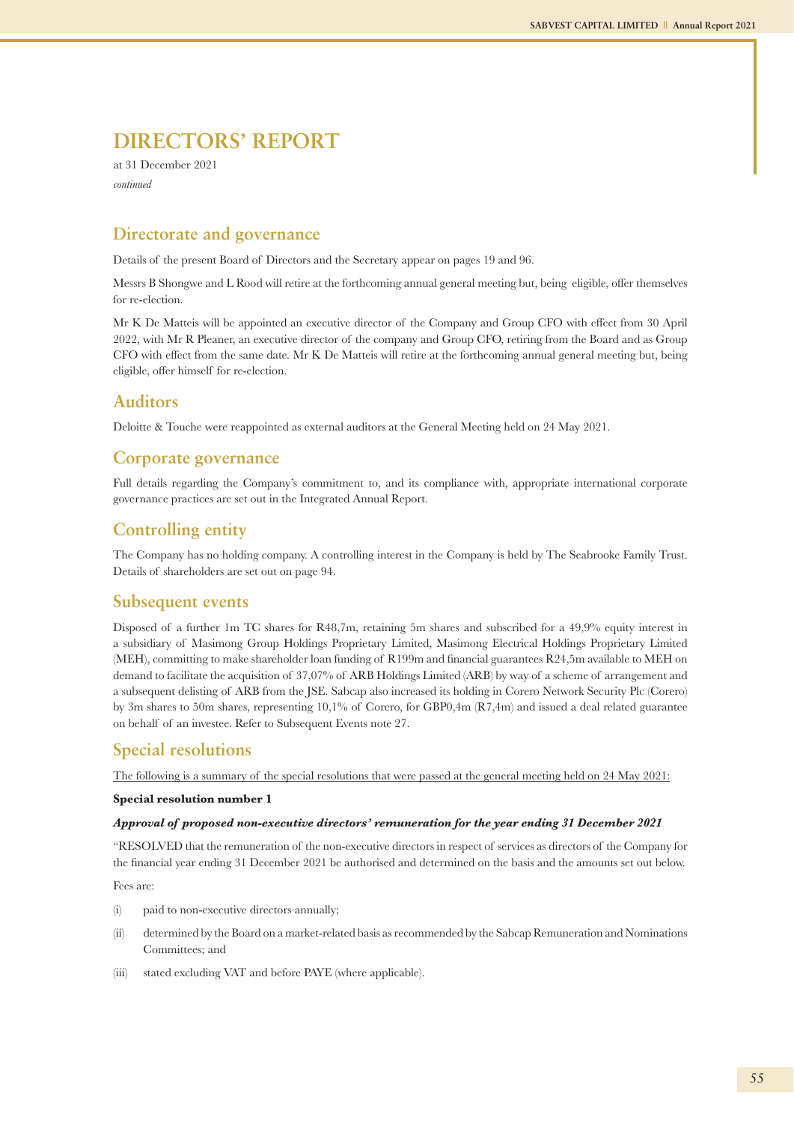at 31 December 2021 *continued*

### **Directorate and governance**

Details of the present Board of Directors and the Secretary appear on pages 19 and 96.

Messrs B Shongwe and L Rood will retire at the forthcoming annual general meeting but, being eligible, offer themselves for re-election.

Mr K De Matteis will be appointed an executive director of the Company and Group CFO with effect from 30 April 2022, with Mr R Pleaner, an executive director of the company and Group CFO, retiring from the Board and as Group CFO with effect from the same date. Mr K De Matteis will retire at the forthcoming annual general meeting but, being eligible, offer himself for re-election.

### **Auditors**

Deloitte & Touche were reappointed as external auditors at the General Meeting held on 24 May 2021.

### **Corporate governance**

Full details regarding the Company's commitment to, and its compliance with, appropriate international corporate governance practices are set out in the Integrated Annual Report.

### **Controlling entity**

The Company has no holding company. A controlling interest in the Company is held by The Seabrooke Family Trust. Details of shareholders are set out on page 94.

### **Subsequent events**

Disposed of a further 1m TC shares for R48,7m, retaining 5m shares and subscribed for a 49,9% equity interest in a subsidiary of Masimong Group Holdings Proprietary Limited, Masimong Electrical Holdings Proprietary Limited (MEH), committing to make shareholder loan funding of R199m and financial guarantees R24,5m available to MEH on demand to facilitate the acquisition of 37,07% of ARB Holdings Limited (ARB) by way of a scheme of arrangement and a subsequent delisting of ARB from the JSE. Sabcap also increased its holding in Corero Network Security Plc (Corero) by 3m shares to 50m shares, representing 10,1% of Corero, for GBP0,4m (R7,4m) and issued a deal related guarantee on behalf of an investee. Refer to Subsequent Events note 27.

### **Special resolutions**

The following is a summary of the special resolutions that were passed at the general meeting held on 24 May 2021:

#### **Special resolution number 1**

#### *Approval of proposed non-executive directors' remuneration for the year ending 31 December 2021*

"RESOLVED that the remuneration of the non-executive directors in respect of services as directors of the Company for the financial year ending 31 December 2021 be authorised and determined on the basis and the amounts set out below.

Fees are:

- (i) paid to non-executive directors annually;
- (ii) determined by the Board on a market-related basis as recommended by the Sabcap Remuneration and Nominations Committees; and
- (iii) stated excluding VAT and before PAYE (where applicable).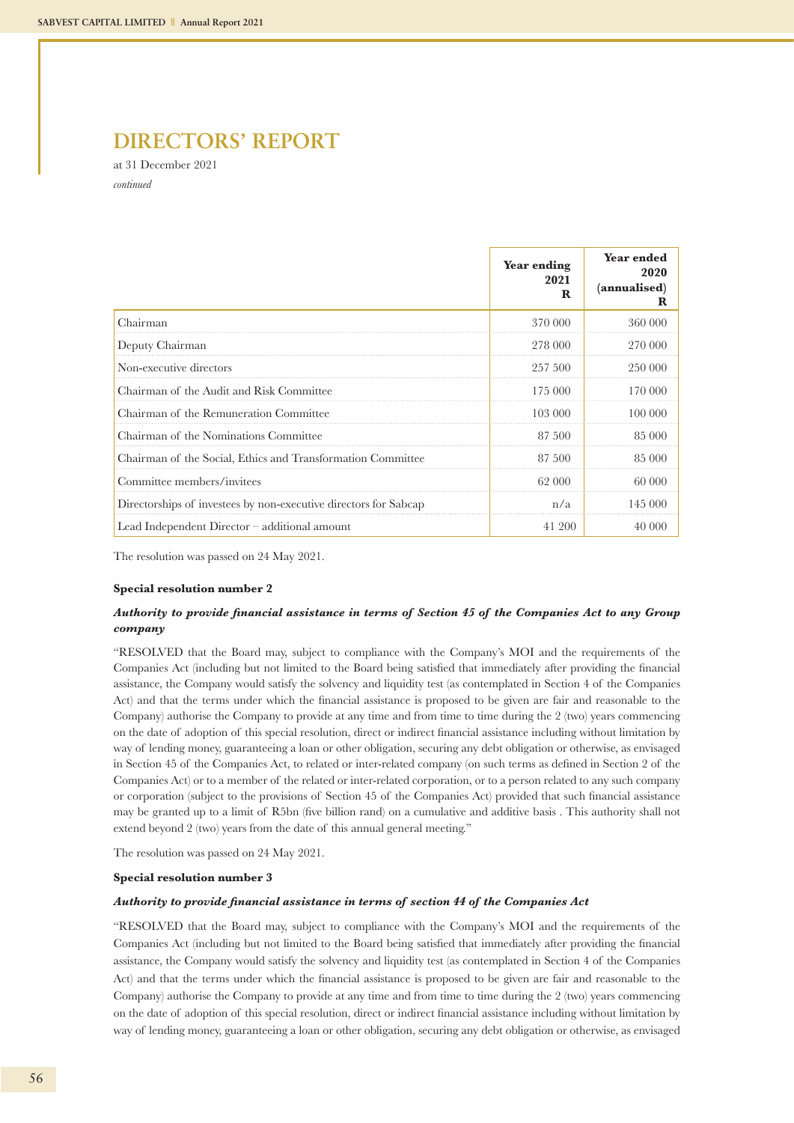at 31 December 2021 *continued*

|                                                                  | <b>Year ending</b><br>2021<br>R | Year ended<br>2020<br>(annualised) |
|------------------------------------------------------------------|---------------------------------|------------------------------------|
| Chairman                                                         | 370 000                         | 360 000                            |
| Deputy Chairman                                                  | 278 000                         | 270 000                            |
| Non-executive directors                                          | 257 500                         | 250 000                            |
| Chairman of the Audit and Risk Committee                         | 175 000                         | 170 000                            |
| Chairman of the Remuneration Committee                           | 103 000                         | 100 000                            |
| Chairman of the Nominations Committee                            | 87 500                          | 85 000                             |
| Chairman of the Social, Ethics and Transformation Committee      | 87 500                          | 85 000                             |
| Committee members/invitees                                       | 62 000                          | 60 000                             |
| Directorships of investees by non-executive directors for Sabcap | n/a                             | 145 000                            |
| Lead Independent Director – additional amount                    | 41 200                          | 40.000                             |

The resolution was passed on 24 May 2021.

#### **Special resolution number 2**

### *Authority to provide financial assistance in terms of Section 45 of the Companies Act to any Group company*

"RESOLVED that the Board may, subject to compliance with the Company's MOI and the requirements of the Companies Act (including but not limited to the Board being satisfied that immediately after providing the financial assistance, the Company would satisfy the solvency and liquidity test (as contemplated in Section 4 of the Companies Act) and that the terms under which the financial assistance is proposed to be given are fair and reasonable to the Company) authorise the Company to provide at any time and from time to time during the 2 (two) years commencing on the date of adoption of this special resolution, direct or indirect financial assistance including without limitation by way of lending money, guaranteeing a loan or other obligation, securing any debt obligation or otherwise, as envisaged in Section 45 of the Companies Act, to related or inter-related company (on such terms as defined in Section 2 of the Companies Act) or to a member of the related or inter-related corporation, or to a person related to any such company or corporation (subject to the provisions of Section 45 of the Companies Act) provided that such financial assistance may be granted up to a limit of R5bn (five billion rand) on a cumulative and additive basis . This authority shall not extend beyond 2 (two) years from the date of this annual general meeting."

The resolution was passed on 24 May 2021.

#### **Special resolution number 3**

#### *Authority to provide financial assistance in terms of section 44 of the Companies Act*

"RESOLVED that the Board may, subject to compliance with the Company's MOI and the requirements of the Companies Act (including but not limited to the Board being satisfied that immediately after providing the financial assistance, the Company would satisfy the solvency and liquidity test (as contemplated in Section 4 of the Companies Act) and that the terms under which the financial assistance is proposed to be given are fair and reasonable to the Company) authorise the Company to provide at any time and from time to time during the 2 (two) years commencing on the date of adoption of this special resolution, direct or indirect financial assistance including without limitation by way of lending money, guaranteeing a loan or other obligation, securing any debt obligation or otherwise, as envisaged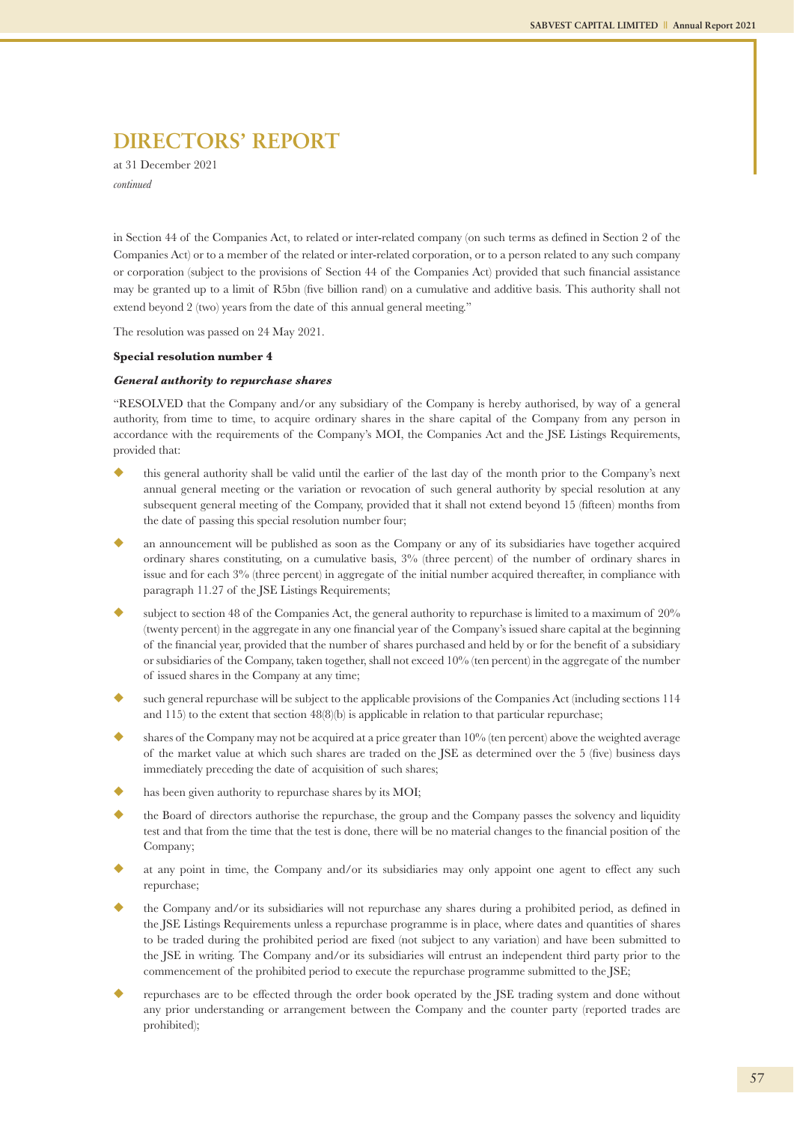at 31 December 2021 *continued*

in Section 44 of the Companies Act, to related or inter-related company (on such terms as defined in Section 2 of the Companies Act) or to a member of the related or inter-related corporation, or to a person related to any such company or corporation (subject to the provisions of Section 44 of the Companies Act) provided that such financial assistance may be granted up to a limit of R5bn (five billion rand) on a cumulative and additive basis. This authority shall not extend beyond 2 (two) years from the date of this annual general meeting."

The resolution was passed on 24 May 2021.

#### **Special resolution number 4**

#### *General authority to repurchase shares*

"RESOLVED that the Company and/or any subsidiary of the Company is hereby authorised, by way of a general authority, from time to time, to acquire ordinary shares in the share capital of the Company from any person in accordance with the requirements of the Company's MOI, the Companies Act and the JSE Listings Requirements, provided that:

- u this general authority shall be valid until the earlier of the last day of the month prior to the Company's next annual general meeting or the variation or revocation of such general authority by special resolution at any subsequent general meeting of the Company, provided that it shall not extend beyond 15 (fifteen) months from the date of passing this special resolution number four;
- an announcement will be published as soon as the Company or any of its subsidiaries have together acquired ordinary shares constituting, on a cumulative basis, 3% (three percent) of the number of ordinary shares in issue and for each 3% (three percent) in aggregate of the initial number acquired thereafter, in compliance with paragraph 11.27 of the JSE Listings Requirements;
- subject to section 48 of the Companies Act, the general authority to repurchase is limited to a maximum of  $20\%$ (twenty percent) in the aggregate in any one financial year of the Company's issued share capital at the beginning of the financial year, provided that the number of shares purchased and held by or for the benefit of a subsidiary or subsidiaries of the Company, taken together, shall not exceed 10% (ten percent) in the aggregate of the number of issued shares in the Company at any time;
- such general repurchase will be subject to the applicable provisions of the Companies Act (including sections 114 and 115) to the extent that section  $48(8)(b)$  is applicable in relation to that particular repurchase;
- shares of the Company may not be acquired at a price greater than  $10\%$  (ten percent) above the weighted average of the market value at which such shares are traded on the JSE as determined over the 5 (five) business days immediately preceding the date of acquisition of such shares;
- has been given authority to repurchase shares by its MOI;
- u the Board of directors authorise the repurchase, the group and the Company passes the solvency and liquidity test and that from the time that the test is done, there will be no material changes to the financial position of the Company;
- at any point in time, the Company and/or its subsidiaries may only appoint one agent to effect any such repurchase;
- u the Company and/or its subsidiaries will not repurchase any shares during a prohibited period, as defined in the JSE Listings Requirements unless a repurchase programme is in place, where dates and quantities of shares to be traded during the prohibited period are fixed (not subject to any variation) and have been submitted to the JSE in writing. The Company and/or its subsidiaries will entrust an independent third party prior to the commencement of the prohibited period to execute the repurchase programme submitted to the JSE;
- u repurchases are to be effected through the order book operated by the JSE trading system and done without any prior understanding or arrangement between the Company and the counter party (reported trades are prohibited);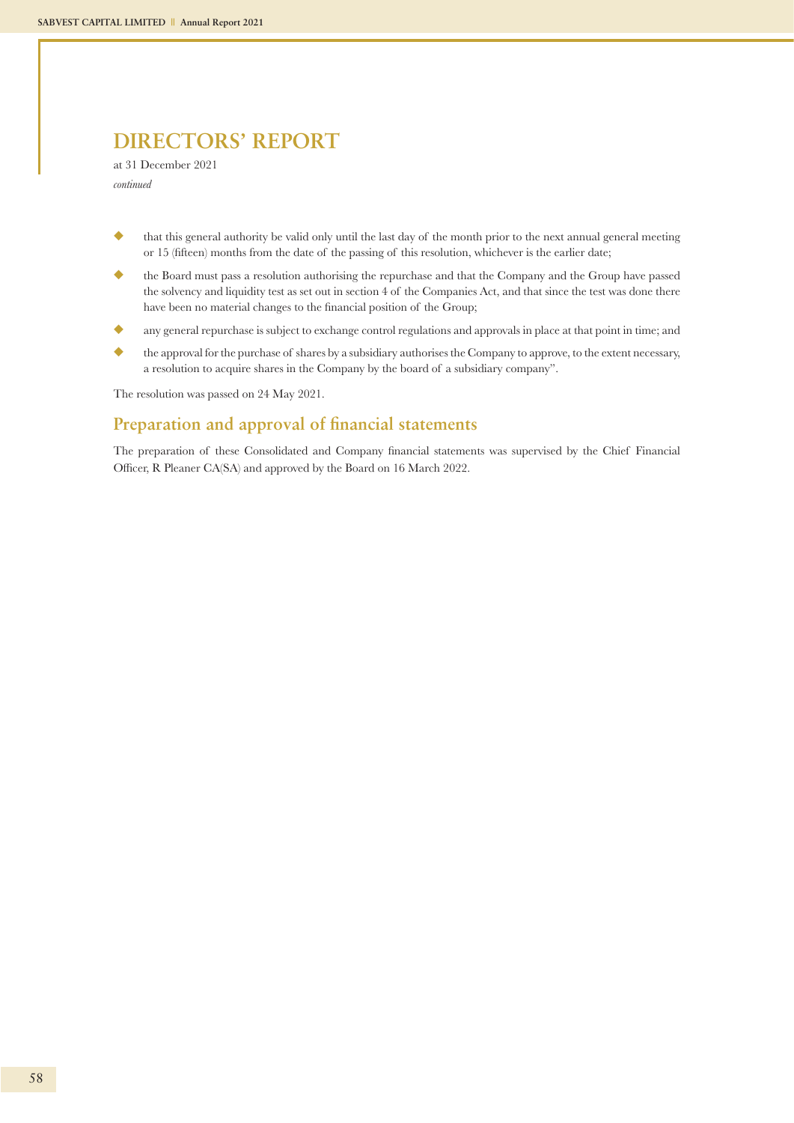at 31 December 2021 *continued*

- u that this general authority be valid only until the last day of the month prior to the next annual general meeting or 15 (fifteen) months from the date of the passing of this resolution, whichever is the earlier date;
- u the Board must pass a resolution authorising the repurchase and that the Company and the Group have passed the solvency and liquidity test as set out in section 4 of the Companies Act, and that since the test was done there have been no material changes to the financial position of the Group;
- u any general repurchase is subject to exchange control regulations and approvals in place at that point in time; and
- u the approval for the purchase of shares by a subsidiary authorises the Company to approve, to the extent necessary, a resolution to acquire shares in the Company by the board of a subsidiary company".

The resolution was passed on 24 May 2021.

### **Preparation and approval of financial statements**

The preparation of these Consolidated and Company financial statements was supervised by the Chief Financial Officer, R Pleaner CA(SA) and approved by the Board on 16 March 2022.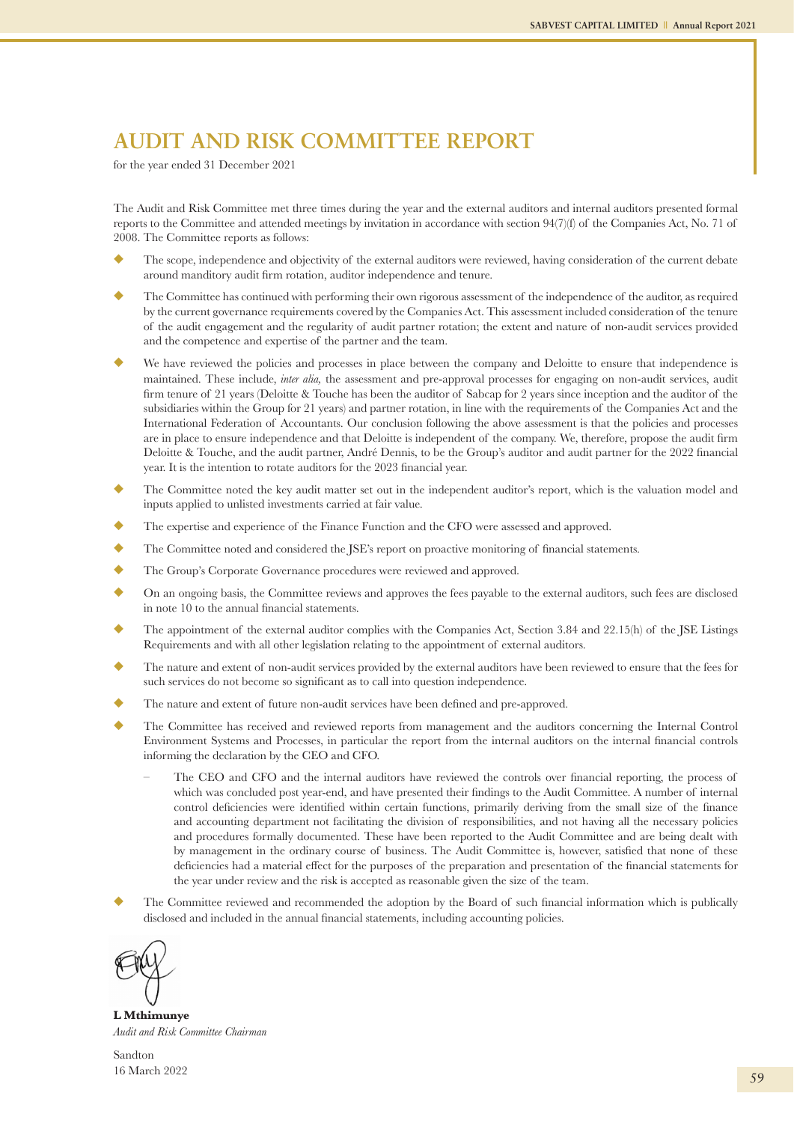## **AUDIT AND RISK COMMITTEE REPORT**

for the year ended 31 December 2021

The Audit and Risk Committee met three times during the year and the external auditors and internal auditors presented formal reports to the Committee and attended meetings by invitation in accordance with section 94(7)(f) of the Companies Act, No. 71 of 2008. The Committee reports as follows:

- The scope, independence and objectivity of the external auditors were reviewed, having consideration of the current debate around manditory audit firm rotation, auditor independence and tenure.
- u The Committee has continued with performing their own rigorous assessment of the independence of the auditor, as required by the current governance requirements covered by the Companies Act. This assessment included consideration of the tenure of the audit engagement and the regularity of audit partner rotation; the extent and nature of non-audit services provided and the competence and expertise of the partner and the team.
- We have reviewed the policies and processes in place between the company and Deloitte to ensure that independence is maintained. These include, *inter alia,* the assessment and pre-approval processes for engaging on non-audit services, audit firm tenure of 21 years (Deloitte & Touche has been the auditor of Sabcap for 2 years since inception and the auditor of the subsidiaries within the Group for 21 years) and partner rotation, in line with the requirements of the Companies Act and the International Federation of Accountants. Our conclusion following the above assessment is that the policies and processes are in place to ensure independence and that Deloitte is independent of the company. We, therefore, propose the audit firm Deloitte & Touche, and the audit partner, André Dennis, to be the Group's auditor and audit partner for the 2022 financial year. It is the intention to rotate auditors for the 2023 financial year.
- u The Committee noted the key audit matter set out in the independent auditor's report, which is the valuation model and inputs applied to unlisted investments carried at fair value.
- The expertise and experience of the Finance Function and the CFO were assessed and approved.
- The Committee noted and considered the JSE's report on proactive monitoring of financial statements.
- ◆ The Group's Corporate Governance procedures were reviewed and approved.
- u On an ongoing basis, the Committee reviews and approves the fees payable to the external auditors, such fees are disclosed in note 10 to the annual financial statements.
- The appointment of the external auditor complies with the Companies Act, Section 3.84 and 22.15(h) of the JSE Listings Requirements and with all other legislation relating to the appointment of external auditors.
- The nature and extent of non-audit services provided by the external auditors have been reviewed to ensure that the fees for such services do not become so significant as to call into question independence.
- The nature and extent of future non-audit services have been defined and pre-approved.
- u The Committee has received and reviewed reports from management and the auditors concerning the Internal Control Environment Systems and Processes, in particular the report from the internal auditors on the internal financial controls informing the declaration by the CEO and CFO.
	- The CEO and CFO and the internal auditors have reviewed the controls over financial reporting, the process of which was concluded post year-end, and have presented their findings to the Audit Committee. A number of internal control deficiencies were identified within certain functions, primarily deriving from the small size of the finance and accounting department not facilitating the division of responsibilities, and not having all the necessary policies and procedures formally documented. These have been reported to the Audit Committee and are being dealt with by management in the ordinary course of business. The Audit Committee is, however, satisfied that none of these deficiencies had a material effect for the purposes of the preparation and presentation of the financial statements for the year under review and the risk is accepted as reasonable given the size of the team.
- The Committee reviewed and recommended the adoption by the Board of such financial information which is publically disclosed and included in the annual financial statements, including accounting policies.



**L Mthimunye**  *Audit and Risk Committee Chairman*

Sandton 16 March 2022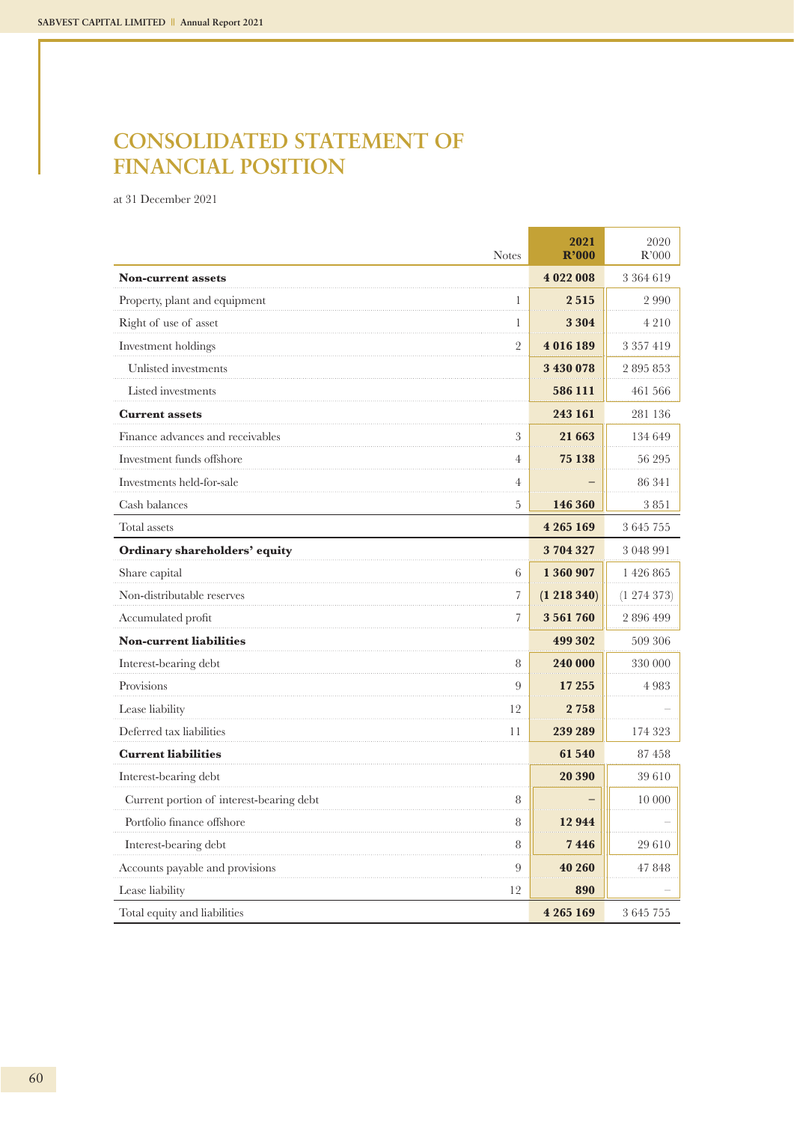## **CONSOLIDATED STATEMENT OF FINANCIAL POSITION**

at 31 December 2021

| <b>Notes</b>                                  | 2021<br>R'000 | 2020<br>R'000 |
|-----------------------------------------------|---------------|---------------|
| <b>Non-current assets</b>                     | 4 022 008     | 3 3 6 4 6 1 9 |
| Property, plant and equipment<br>1            | 2515          | 2990          |
| Right of use of asset<br>1                    | 3 3 0 4       | 4 2 1 0       |
| $\overline{2}$<br>Investment holdings         | 4016189       | 3 3 5 7 4 1 9 |
| Unlisted investments                          | 3 430 078     | 2 895 853     |
| Listed investments                            | 586 111       | 461 566       |
| <b>Current assets</b>                         | 243 161       | 281 136       |
| Finance advances and receivables<br>3         | 21 663        | 134 649       |
| Investment funds offshore<br>$\overline{4}$   | 75 138        | 56 295        |
| Investments held-for-sale<br>$\overline{4}$   |               | 86 341        |
| Cash balances<br>5                            | 146 360       | 3851          |
| Total assets                                  | 4 265 169     | 3 645 755     |
| Ordinary shareholders' equity                 | 3704327       | 3 048 991     |
| Share capital<br>6                            | 1 360 907     | 1 426 865     |
| Non-distributable reserves<br>$\overline{7}$  | (1 218 340)   | (1 274 373)   |
| $\overline{7}$<br>Accumulated profit          | 3561760       | 2 896 499     |
| <b>Non-current liabilities</b>                | 499 302       | 509 306       |
| Interest-bearing debt<br>8                    | 240 000       | 330 000       |
| Provisions<br>9                               | 17 255        | 4983          |
| Lease liability<br>12                         | 2758          |               |
| Deferred tax liabilities<br>11                | 239 289       | 174 323       |
| <b>Current liabilities</b>                    | 61 540        | 87458         |
| Interest-bearing debt                         | 20 390        | 39610         |
| Current portion of interest-bearing debt<br>8 |               | 10 000        |
| Portfolio finance offshore<br>8               | 12944         |               |
| 8<br>Interest-bearing debt                    | 7446          | 29 610        |
| Accounts payable and provisions<br>9          | 40 260        | 47 848        |
| 12<br>Lease liability                         | 890           |               |
| Total equity and liabilities                  | 4 265 169     | 3 645 755     |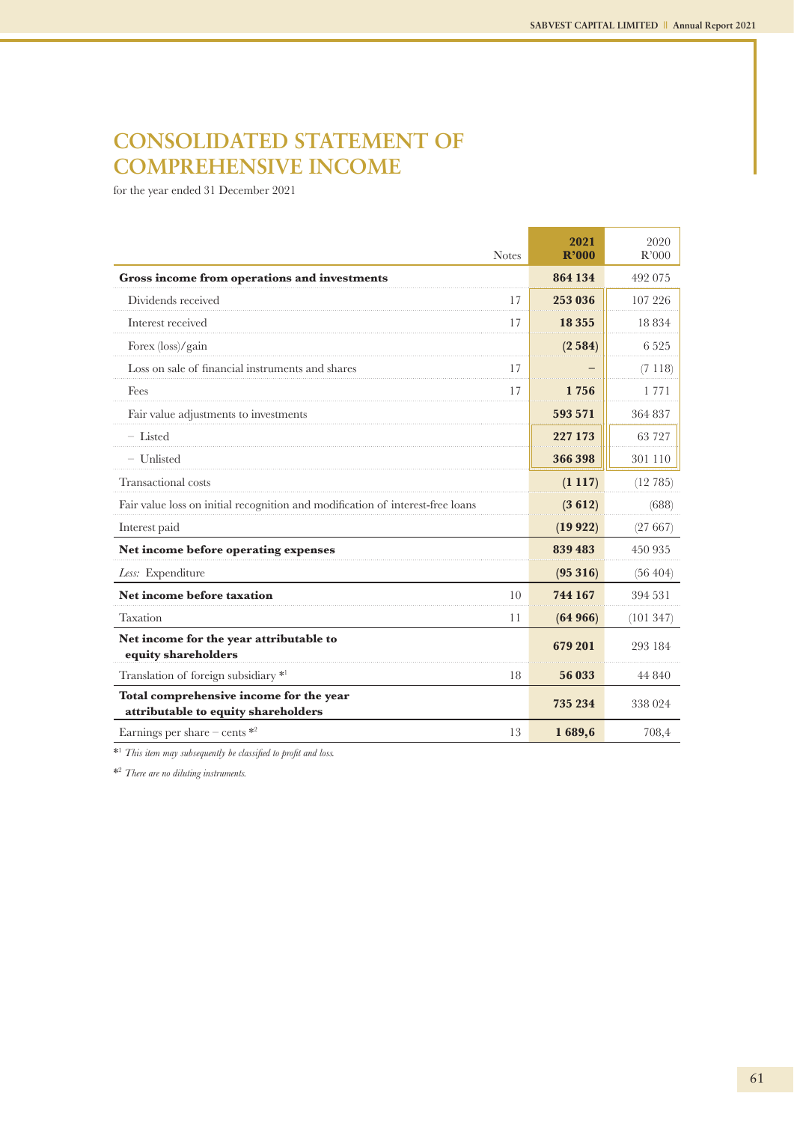## **CONSOLIDATED STATEMENT OF COMPREHENSIVE INCOME**

for the year ended 31 December 2021

| <b>Notes</b>                                                                   | 2021<br>R'000 | 2020<br>R'000 |
|--------------------------------------------------------------------------------|---------------|---------------|
| Gross income from operations and investments                                   | 864 134       | 492 075       |
| Dividends received<br>17                                                       | 253 036       | 107 226       |
| Interest received<br>17                                                        | 18 3 5 5      | 18 8 3 4      |
| Forex (loss)/gain                                                              | (2584)        | 6 5 2 5       |
| Loss on sale of financial instruments and shares<br>17                         |               | (7118)        |
| Fees<br>17                                                                     | 1 756         | 1771          |
| Fair value adjustments to investments                                          | 593 571       | 364 837       |
| $-$ Listed                                                                     | 227 173       | 63 727        |
| - Unlisted                                                                     | 366 398       | 301 110       |
| Transactional costs                                                            | (1117)        | (12785)       |
| Fair value loss on initial recognition and modification of interest-free loans | (3612)        | (688)         |
| Interest paid                                                                  | (19922)       | (27667)       |
| Net income before operating expenses                                           | 839 483       | 450 935       |
| Less: Expenditure                                                              | (95316)       | (56, 404)     |
| Net income before taxation<br>10                                               | 744 167       | 394 531       |
| Taxation<br>11                                                                 | (64966)       | (101347)      |
| Net income for the year attributable to<br>equity shareholders                 | 679 201       | 293 184       |
| Translation of foreign subsidiary *1<br>18                                     | 56 033        | 44 840        |
| Total comprehensive income for the year<br>attributable to equity shareholders | 735 234       | 338 024       |
| 13<br>Earnings per share – cents $*$ <sup>2</sup>                              | 1689,6        | 708,4         |

\*1  *This item may subsequently be classified to profit and loss.*

\*2  *There are no diluting instruments.*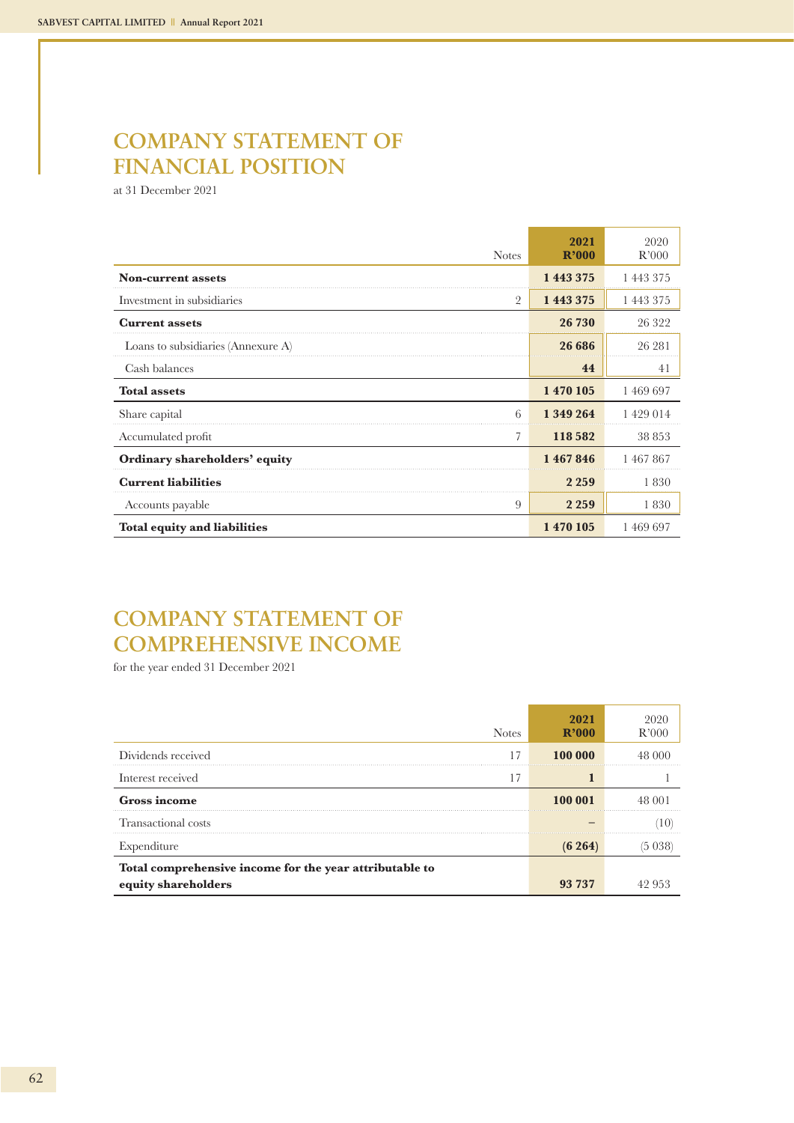## **COMPANY STATEMENT OF FINANCIAL POSITION**

at 31 December 2021

| <b>Notes</b>                        | 2021<br>R'000 | 2020<br>R'000 |
|-------------------------------------|---------------|---------------|
| <b>Non-current assets</b>           | 1 443 375     | 1 443 375     |
| Investment in subsidiaries<br>2     | 1 443 375     | 1 443 375     |
| <b>Current assets</b>               | 26 730        | 26 322        |
| Loans to subsidiaries (Annexure A)  | 26 686        | 26 281        |
| Cash balances                       | 44            | 41            |
| <b>Total assets</b>                 | 1 470 105     | 1469697       |
| 6<br>Share capital                  | 1 349 264     | 1 429 014     |
| 7<br>Accumulated profit             | 118 582       | 38 853        |
| Ordinary shareholders' equity       | 1467846       | 1467867       |
| <b>Current liabilities</b>          | 2 2 5 9       | 1830          |
| 9<br>Accounts payable               | 2 2 5 9       | 1830          |
| <b>Total equity and liabilities</b> | 1 470 105     | 1 469 697     |

## **COMPANY STATEMENT OF COMPREHENSIVE INCOME**

for the year ended 31 December 2021

| <b>Notes</b>                                            | 2021<br>$R$ '000 | R'000  |
|---------------------------------------------------------|------------------|--------|
| Dividends received                                      | 100 000          | 48 000 |
| Interest received                                       |                  |        |
| <b>Gross income</b>                                     | 100 001          | 48 001 |
| Transactional costs                                     |                  |        |
| Expenditure                                             | $(6\;264)$       |        |
| Total comprehensive income for the year attributable to |                  |        |
| equity shareholders                                     | 93 737           |        |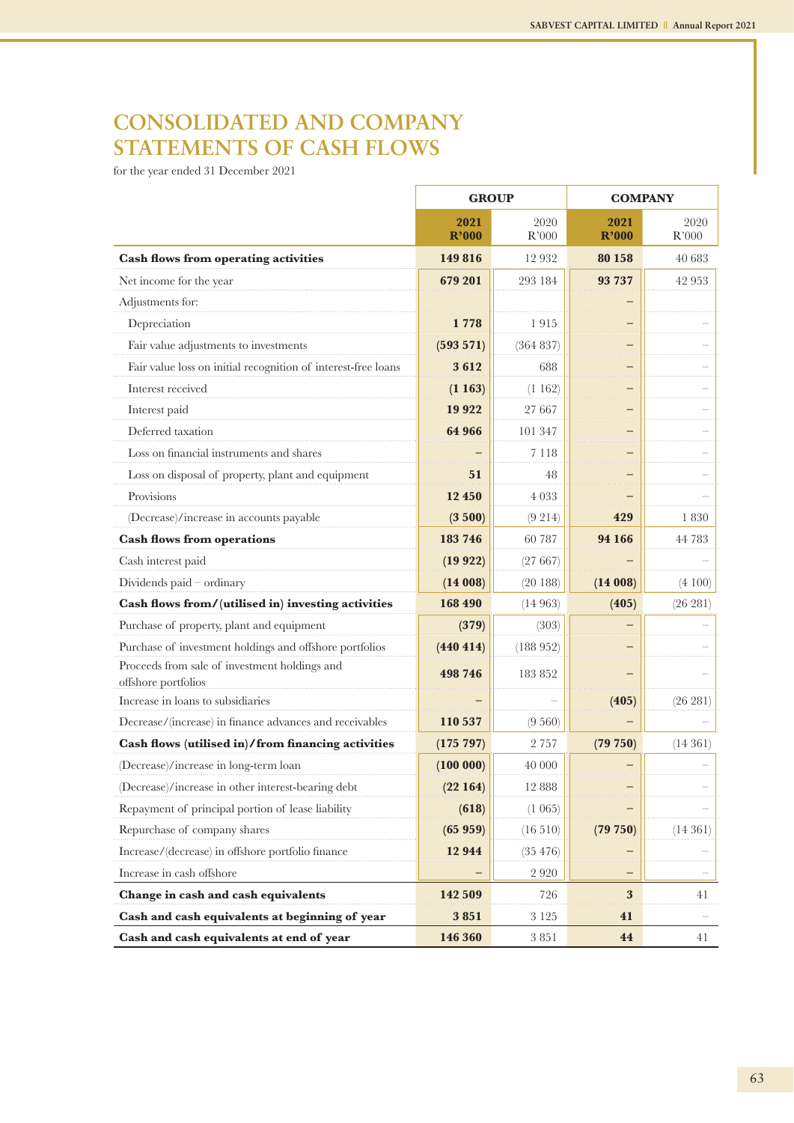## **CONSOLIDATED AND COMPANY STATEMENTS OF CASH FLOWS**

for the year ended 31 December 2021

|                                                                      | <b>GROUP</b>  |               | <b>COMPANY</b> |               |
|----------------------------------------------------------------------|---------------|---------------|----------------|---------------|
|                                                                      | 2021<br>R'000 | 2020<br>R'000 | 2021<br>R'000  | 2020<br>R'000 |
| <b>Cash flows from operating activities</b>                          | 149 816       | 12 9 32       | 80 158         | 40 683        |
| Net income for the year                                              | 679 201       | 293 184       | 93 737         | 42 953        |
| Adjustments for:                                                     |               |               |                |               |
| Depreciation                                                         | 778           | 1915          |                |               |
| Fair value adjustments to investments                                | $(593\ 571)$  | (364 837)     |                |               |
| Fair value loss on initial recognition of interest-free loans        | 3612          | 688           |                |               |
| Interest received                                                    | (1163)        | (1162)        |                |               |
| Interest paid                                                        | 19 9 22       | 27 667        |                |               |
| Deferred taxation                                                    | 64 966        | 101 347       |                |               |
| Loss on financial instruments and shares                             |               | 7 1 1 8       |                |               |
| Loss on disposal of property, plant and equipment                    | 51            | 48            |                |               |
| Provisions                                                           | 12 450        | 4 0 3 3       |                |               |
| (Decrease)/increase in accounts payable                              | (3500)        | $(9\;214)$    | 429            | 1830          |
| <b>Cash flows from operations</b>                                    | 183 746       | 60 787        | 94 166         | 44 783        |
| Cash interest paid                                                   | (19922)       | (27667)       |                |               |
| Dividends paid - ordinary                                            | (14008)       | (20188)       | (14008)        | (4 100)       |
| Cash flows from/(utilised in) investing activities                   | 168 490       | (14963)       | (405)          | (26 281)      |
| Purchase of property, plant and equipment                            | (379)         | (303)         |                |               |
| Purchase of investment holdings and offshore portfolios              | (440 414)     | (188952)      |                |               |
| Proceeds from sale of investment holdings and<br>offshore portfolios | 498 746       | 183 852       |                |               |
| Increase in loans to subsidiaries                                    |               |               | (405)          | (26 281)      |
| Decrease/(increase) in finance advances and receivables              | 110 537       | (9560)        |                |               |
| Cash flows (utilised in)/from financing activities                   | (175 797)     | 2 7 5 7       | (79 750)       | (14361)       |
| (Decrease)/increase in long-term loan                                | (100000)      | 40 000        |                |               |
| (Decrease)/increase in other interest-bearing debt                   | (22164)       | 12 888        |                |               |
| Repayment of principal portion of lease liability                    | (618)         | $(1\ 065)$    |                |               |
| Repurchase of company shares                                         | (65959)       | (16510)       | (79 750)       | (14361)       |
| Increase/(decrease) in offshore portfolio finance                    | 12 944        | (35 476)      |                |               |
| Increase in cash offshore                                            |               | 2920          |                |               |
| Change in cash and cash equivalents                                  | 142 509       | 726           | 3              | 41            |
| Cash and cash equivalents at beginning of year                       | 3851          | 3 1 2 5       | 41             |               |
| Cash and cash equivalents at end of year                             | 146 360       | 3851          | 44             | 41            |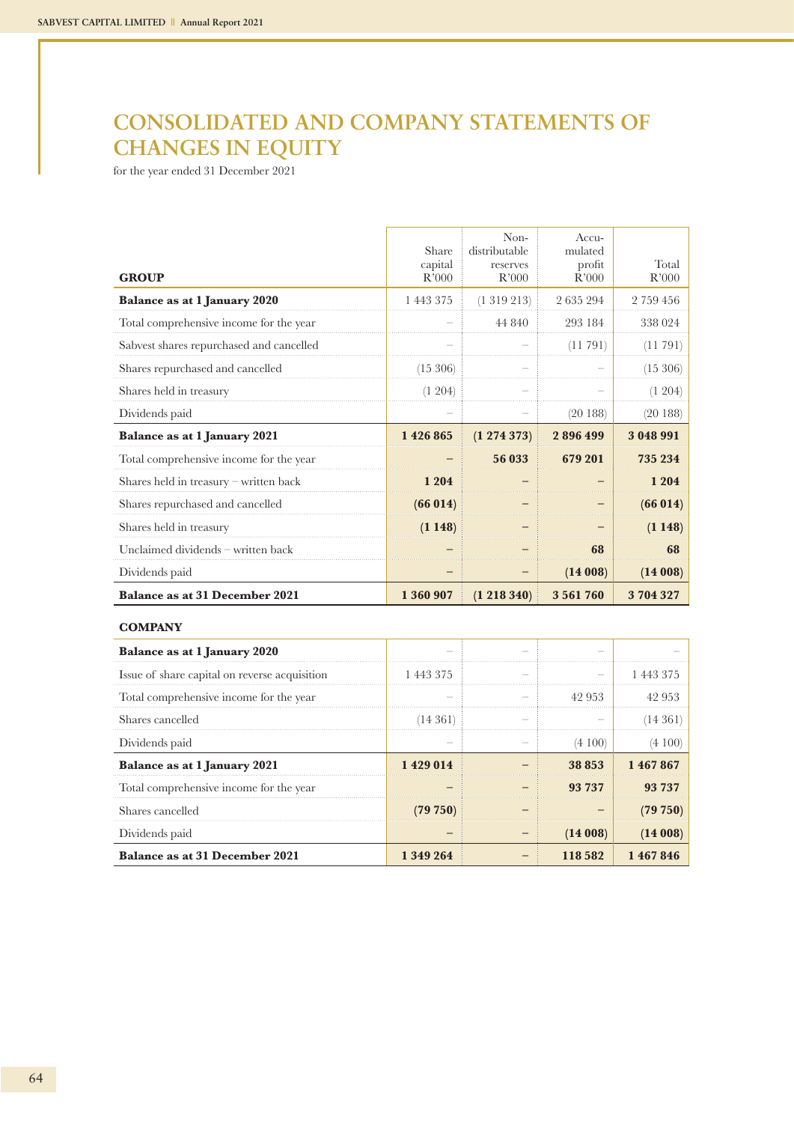## **CONSOLIDATED AND COMPANY STATEMENTS OF CHANGES IN EQUITY**

for the year ended 31 December 2021

| <b>GROUP</b>                             | Share<br>capital<br>R'000 | Non-<br>distributable<br>reserves<br>R'000 | Accu-<br>mulated<br>profit<br>R'000 | Total<br>R'000 |
|------------------------------------------|---------------------------|--------------------------------------------|-------------------------------------|----------------|
| <b>Balance as at 1 January 2020</b>      | 1 443 375                 | (1319213)                                  | 2635294                             | 2 759 456      |
| Total comprehensive income for the year  |                           | 44 840                                     | 293 184                             | 338 024        |
| Sabvest shares repurchased and cancelled |                           |                                            | (11791)                             | (11791)        |
| Shares repurchased and cancelled         | (15, 306)                 |                                            |                                     | (15 306)       |
| Shares held in treasury                  | (1 204)                   |                                            |                                     | (1204)         |
| Dividends paid                           |                           |                                            | (20188)                             | (20188)        |
| Balance as at 1 January 2021             | 1426865                   | $(1\;274\;373)$                            | 2896499                             | 3 048 991      |
| Total comprehensive income for the year  |                           | 56 033                                     | 679 201                             | 735 234        |
| Shares held in treasury - written back   | 1 204                     |                                            |                                     | 1 204          |
| Shares repurchased and cancelled         | (66 014)                  |                                            |                                     | (66014)        |
| Shares held in treasury                  | (1148)                    |                                            |                                     | (1148)         |
| Unclaimed dividends - written back       |                           |                                            | 68                                  | 68             |
| Dividends paid                           |                           |                                            | (14008)                             | (14008)        |
| <b>Balance as at 31 December 2021</b>    | 1 360 907                 | $(1\;218\;340)$                            | 3 5 6 1 7 6 0                       | 3704327        |

### **COMPANY**

| Balance as at 1 January 2020                  |          |         |          |
|-----------------------------------------------|----------|---------|----------|
| Issue of share capital on reverse acquisition | 1443375  |         | 1443375  |
| Total comprehensive income for the year       |          | 42 953  | 42 953   |
| Shares cancelled                              | (14361)  |         | (14 361  |
| Dividends paid                                |          | (4100)  | (4 100)  |
|                                               |          |         |          |
| Balance as at 1 January 2021                  | 1429014  | 38 853  | 1467867  |
| Total comprehensive income for the year       |          | 93 737  | 93 737   |
| Shares cancelled                              | (79 750) |         | (79 750) |
| Dividends paid                                |          | (14008) | (14008)  |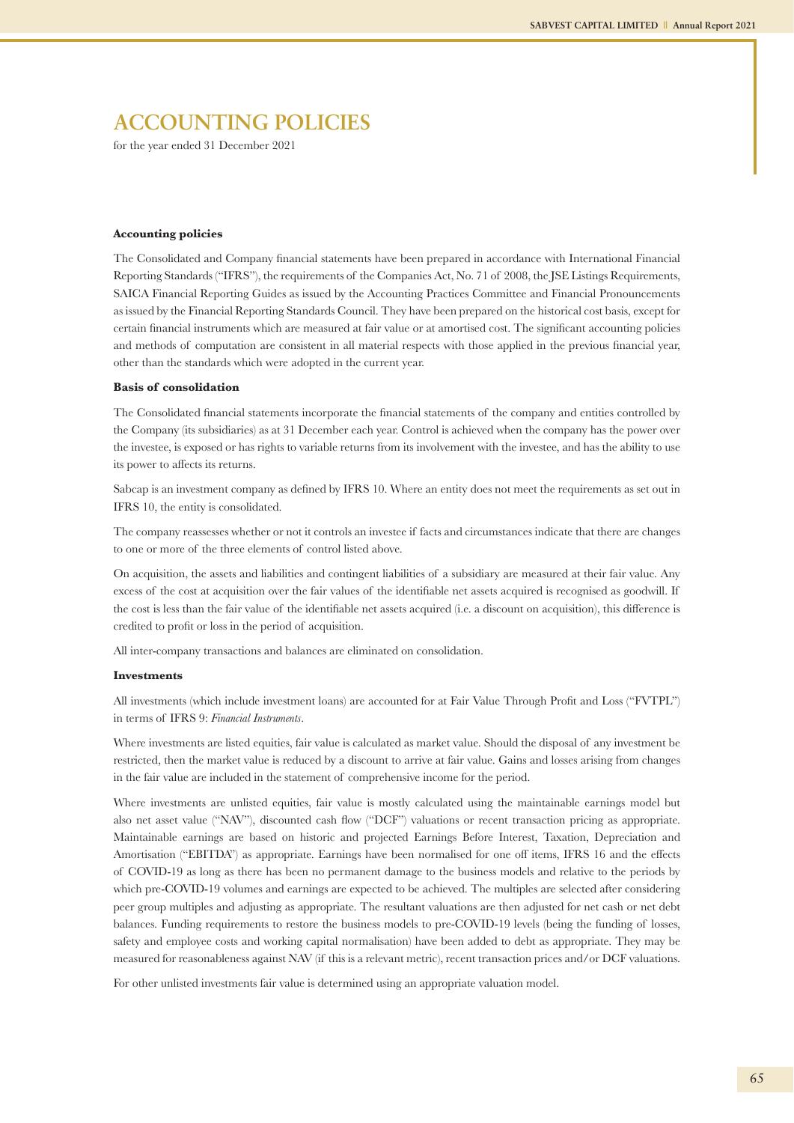for the year ended 31 December 2021

#### **Accounting policies**

The Consolidated and Company financial statements have been prepared in accordance with International Financial Reporting Standards ("IFRS"), the requirements of the Companies Act, No. 71 of 2008, the JSE Listings Requirements, SAICA Financial Reporting Guides as issued by the Accounting Practices Committee and Financial Pronouncements as issued by the Financial Reporting Standards Council. They have been prepared on the historical cost basis, except for certain financial instruments which are measured at fair value or at amortised cost. The significant accounting policies and methods of computation are consistent in all material respects with those applied in the previous financial year, other than the standards which were adopted in the current year.

#### **Basis of consolidation**

The Consolidated financial statements incorporate the financial statements of the company and entities controlled by the Company (its subsidiaries) as at 31 December each year. Control is achieved when the company has the power over the investee, is exposed or has rights to variable returns from its involvement with the investee, and has the ability to use its power to affects its returns.

Sabcap is an investment company as defined by IFRS 10. Where an entity does not meet the requirements as set out in IFRS 10, the entity is consolidated.

The company reassesses whether or not it controls an investee if facts and circumstances indicate that there are changes to one or more of the three elements of control listed above.

On acquisition, the assets and liabilities and contingent liabilities of a subsidiary are measured at their fair value. Any excess of the cost at acquisition over the fair values of the identifiable net assets acquired is recognised as goodwill. If the cost is less than the fair value of the identifiable net assets acquired (i.e. a discount on acquisition), this difference is credited to profit or loss in the period of acquisition.

All inter-company transactions and balances are eliminated on consolidation.

#### **Investments**

All investments (which include investment loans) are accounted for at Fair Value Through Profit and Loss ("FVTPL") in terms of IFRS 9: *Financial Instruments*.

Where investments are listed equities, fair value is calculated as market value. Should the disposal of any investment be restricted, then the market value is reduced by a discount to arrive at fair value. Gains and losses arising from changes in the fair value are included in the statement of comprehensive income for the period.

Where investments are unlisted equities, fair value is mostly calculated using the maintainable earnings model but also net asset value ("NAV"), discounted cash flow ("DCF") valuations or recent transaction pricing as appropriate. Maintainable earnings are based on historic and projected Earnings Before Interest, Taxation, Depreciation and Amortisation ("EBITDA") as appropriate. Earnings have been normalised for one off items, IFRS 16 and the effects of COVID-19 as long as there has been no permanent damage to the business models and relative to the periods by which pre-COVID-19 volumes and earnings are expected to be achieved. The multiples are selected after considering peer group multiples and adjusting as appropriate. The resultant valuations are then adjusted for net cash or net debt balances. Funding requirements to restore the business models to pre-COVID-19 levels (being the funding of losses, safety and employee costs and working capital normalisation) have been added to debt as appropriate. They may be measured for reasonableness against NAV (if this is a relevant metric), recent transaction prices and/or DCF valuations.

For other unlisted investments fair value is determined using an appropriate valuation model.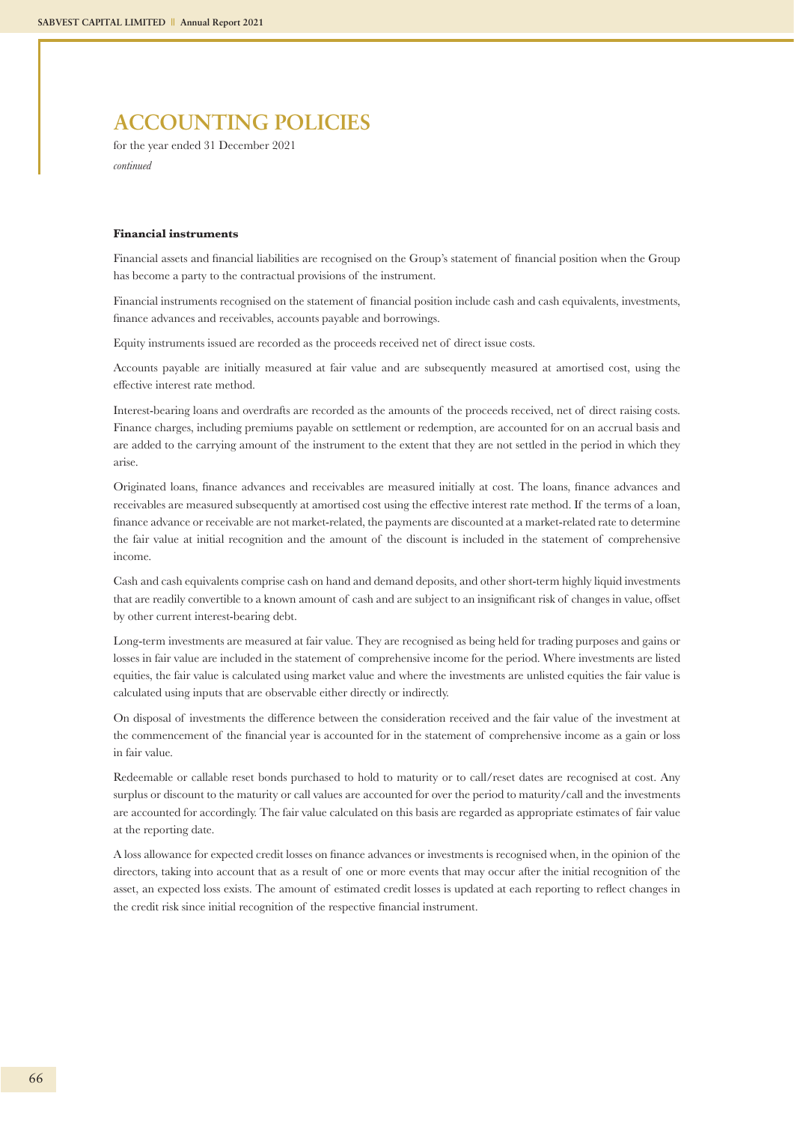for the year ended 31 December 2021 *continued*

#### **Financial instruments**

Financial assets and financial liabilities are recognised on the Group's statement of financial position when the Group has become a party to the contractual provisions of the instrument.

Financial instruments recognised on the statement of financial position include cash and cash equivalents, investments, finance advances and receivables, accounts payable and borrowings.

Equity instruments issued are recorded as the proceeds received net of direct issue costs.

Accounts payable are initially measured at fair value and are subsequently measured at amortised cost, using the effective interest rate method.

Interest-bearing loans and overdrafts are recorded as the amounts of the proceeds received, net of direct raising costs. Finance charges, including premiums payable on settlement or redemption, are accounted for on an accrual basis and are added to the carrying amount of the instrument to the extent that they are not settled in the period in which they arise.

Originated loans, finance advances and receivables are measured initially at cost. The loans, finance advances and receivables are measured subsequently at amortised cost using the effective interest rate method. If the terms of a loan, finance advance or receivable are not market-related, the payments are discounted at a market-related rate to determine the fair value at initial recognition and the amount of the discount is included in the statement of comprehensive income.

Cash and cash equivalents comprise cash on hand and demand deposits, and other short-term highly liquid investments that are readily convertible to a known amount of cash and are subject to an insignificant risk of changes in value, offset by other current interest-bearing debt.

Long-term investments are measured at fair value. They are recognised as being held for trading purposes and gains or losses in fair value are included in the statement of comprehensive income for the period. Where investments are listed equities, the fair value is calculated using market value and where the investments are unlisted equities the fair value is calculated using inputs that are observable either directly or indirectly.

On disposal of investments the difference between the consideration received and the fair value of the investment at the commencement of the financial year is accounted for in the statement of comprehensive income as a gain or loss in fair value.

Redeemable or callable reset bonds purchased to hold to maturity or to call/reset dates are recognised at cost. Any surplus or discount to the maturity or call values are accounted for over the period to maturity/call and the investments are accounted for accordingly. The fair value calculated on this basis are regarded as appropriate estimates of fair value at the reporting date.

A loss allowance for expected credit losses on finance advances or investments is recognised when, in the opinion of the directors, taking into account that as a result of one or more events that may occur after the initial recognition of the asset, an expected loss exists. The amount of estimated credit losses is updated at each reporting to reflect changes in the credit risk since initial recognition of the respective financial instrument.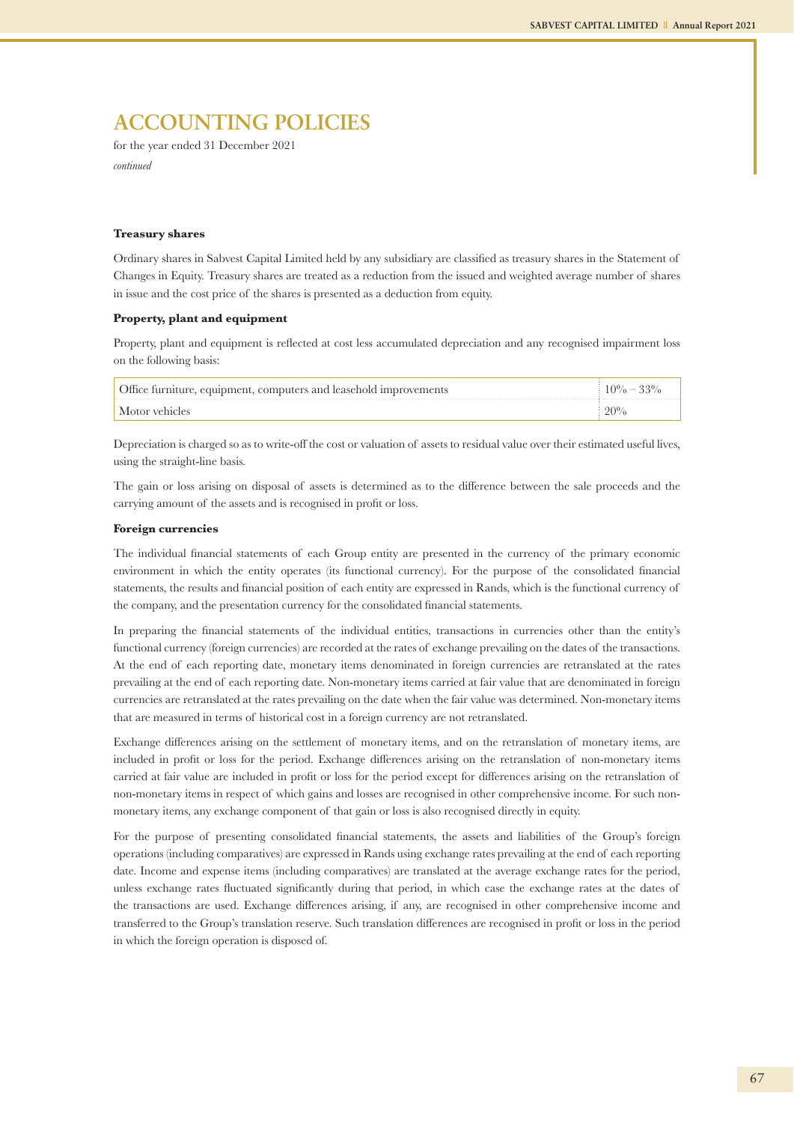for the year ended 31 December 2021 *continued*

#### **Treasury shares**

Ordinary shares in Sabvest Capital Limited held by any subsidiary are classified as treasury shares in the Statement of Changes in Equity. Treasury shares are treated as a reduction from the issued and weighted average number of shares in issue and the cost price of the shares is presented as a deduction from equity.

#### **Property, plant and equipment**

Property, plant and equipment is reflected at cost less accumulated depreciation and any recognised impairment loss on the following basis:

| Office furniture, equipment, computers and leasehold improvements | $10\% - 33\%$ |
|-------------------------------------------------------------------|---------------|
| Motor vehicles                                                    | $20\%$        |

Depreciation is charged so as to write-off the cost or valuation of assets to residual value over their estimated useful lives, using the straight-line basis.

The gain or loss arising on disposal of assets is determined as to the difference between the sale proceeds and the carrying amount of the assets and is recognised in profit or loss.

#### **Foreign currencies**

The individual financial statements of each Group entity are presented in the currency of the primary economic environment in which the entity operates (its functional currency). For the purpose of the consolidated financial statements, the results and financial position of each entity are expressed in Rands, which is the functional currency of the company, and the presentation currency for the consolidated financial statements.

In preparing the financial statements of the individual entities, transactions in currencies other than the entity's functional currency (foreign currencies) are recorded at the rates of exchange prevailing on the dates of the transactions. At the end of each reporting date, monetary items denominated in foreign currencies are retranslated at the rates prevailing at the end of each reporting date. Non-monetary items carried at fair value that are denominated in foreign currencies are retranslated at the rates prevailing on the date when the fair value was determined. Non-monetary items that are measured in terms of historical cost in a foreign currency are not retranslated.

Exchange differences arising on the settlement of monetary items, and on the retranslation of monetary items, are included in profit or loss for the period. Exchange differences arising on the retranslation of non-monetary items carried at fair value are included in profit or loss for the period except for differences arising on the retranslation of non-monetary items in respect of which gains and losses are recognised in other comprehensive income. For such nonmonetary items, any exchange component of that gain or loss is also recognised directly in equity.

For the purpose of presenting consolidated financial statements, the assets and liabilities of the Group's foreign operations (including comparatives) are expressed in Rands using exchange rates prevailing at the end of each reporting date. Income and expense items (including comparatives) are translated at the average exchange rates for the period, unless exchange rates fluctuated significantly during that period, in which case the exchange rates at the dates of the transactions are used. Exchange differences arising, if any, are recognised in other comprehensive income and transferred to the Group's translation reserve. Such translation differences are recognised in profit or loss in the period in which the foreign operation is disposed of.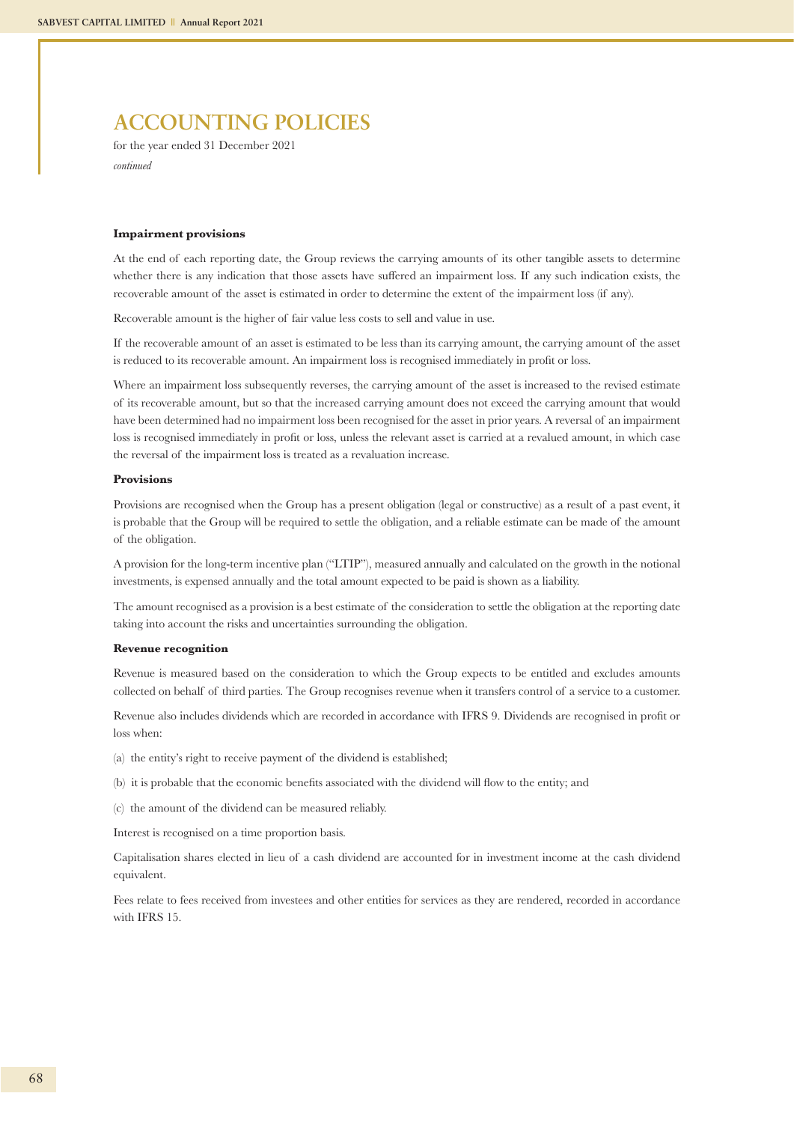for the year ended 31 December 2021 *continued*

#### **Impairment provisions**

At the end of each reporting date, the Group reviews the carrying amounts of its other tangible assets to determine whether there is any indication that those assets have suffered an impairment loss. If any such indication exists, the recoverable amount of the asset is estimated in order to determine the extent of the impairment loss (if any).

Recoverable amount is the higher of fair value less costs to sell and value in use.

If the recoverable amount of an asset is estimated to be less than its carrying amount, the carrying amount of the asset is reduced to its recoverable amount. An impairment loss is recognised immediately in profit or loss.

Where an impairment loss subsequently reverses, the carrying amount of the asset is increased to the revised estimate of its recoverable amount, but so that the increased carrying amount does not exceed the carrying amount that would have been determined had no impairment loss been recognised for the asset in prior years. A reversal of an impairment loss is recognised immediately in profit or loss, unless the relevant asset is carried at a revalued amount, in which case the reversal of the impairment loss is treated as a revaluation increase.

#### **Provisions**

Provisions are recognised when the Group has a present obligation (legal or constructive) as a result of a past event, it is probable that the Group will be required to settle the obligation, and a reliable estimate can be made of the amount of the obligation.

A provision for the long-term incentive plan ("LTIP"), measured annually and calculated on the growth in the notional investments, is expensed annually and the total amount expected to be paid is shown as a liability.

The amount recognised as a provision is a best estimate of the consideration to settle the obligation at the reporting date taking into account the risks and uncertainties surrounding the obligation.

#### **Revenue recognition**

Revenue is measured based on the consideration to which the Group expects to be entitled and excludes amounts collected on behalf of third parties. The Group recognises revenue when it transfers control of a service to a customer.

Revenue also includes dividends which are recorded in accordance with IFRS 9. Dividends are recognised in profit or loss when:

- (a) the entity's right to receive payment of the dividend is established;
- (b) it is probable that the economic benefits associated with the dividend will flow to the entity; and

(c) the amount of the dividend can be measured reliably.

Interest is recognised on a time proportion basis.

Capitalisation shares elected in lieu of a cash dividend are accounted for in investment income at the cash dividend equivalent.

Fees relate to fees received from investees and other entities for services as they are rendered, recorded in accordance with IFRS 15.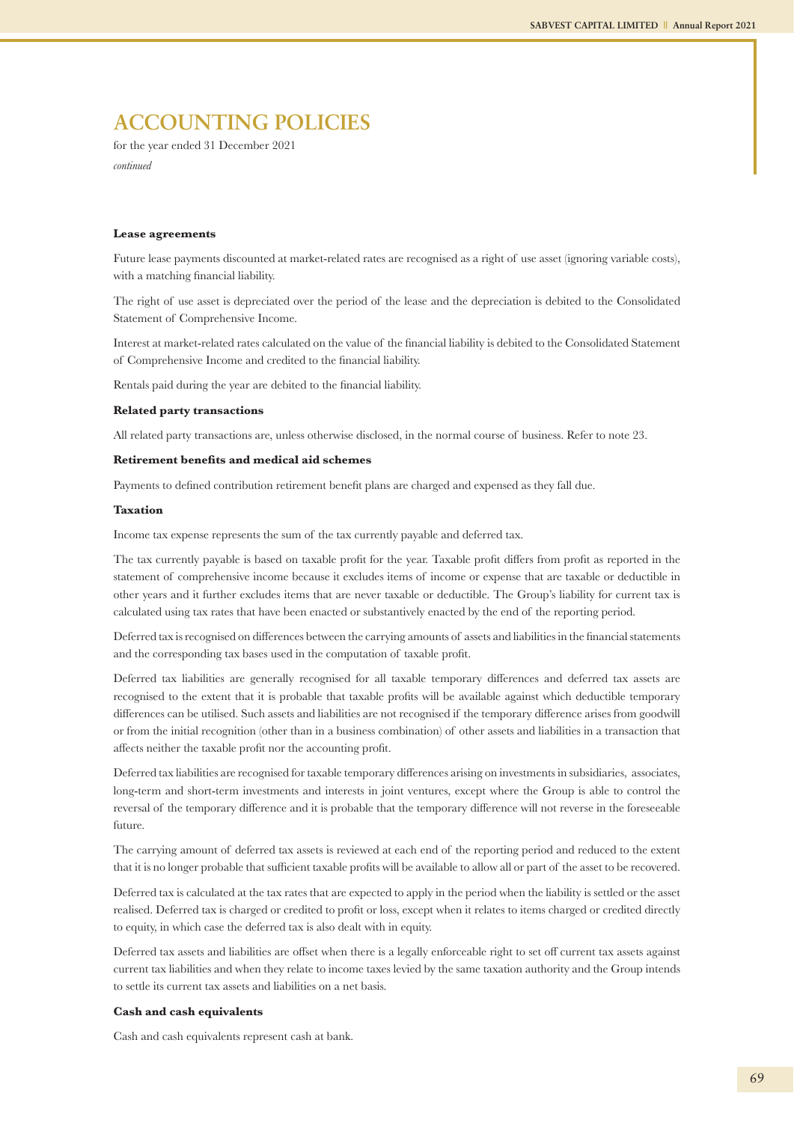for the year ended 31 December 2021 *continued*

#### **Lease agreements**

Future lease payments discounted at market-related rates are recognised as a right of use asset (ignoring variable costs), with a matching financial liability.

The right of use asset is depreciated over the period of the lease and the depreciation is debited to the Consolidated Statement of Comprehensive Income.

Interest at market-related rates calculated on the value of the financial liability is debited to the Consolidated Statement of Comprehensive Income and credited to the financial liability.

Rentals paid during the year are debited to the financial liability.

#### **Related party transactions**

All related party transactions are, unless otherwise disclosed, in the normal course of business. Refer to note 23.

#### **Retirement benefits and medical aid schemes**

Payments to defined contribution retirement benefit plans are charged and expensed as they fall due.

#### **Taxation**

Income tax expense represents the sum of the tax currently payable and deferred tax.

The tax currently payable is based on taxable profit for the year. Taxable profit differs from profit as reported in the statement of comprehensive income because it excludes items of income or expense that are taxable or deductible in other years and it further excludes items that are never taxable or deductible. The Group's liability for current tax is calculated using tax rates that have been enacted or substantively enacted by the end of the reporting period.

Deferred tax is recognised on differences between the carrying amounts of assets and liabilities in the financial statements and the corresponding tax bases used in the computation of taxable profit.

Deferred tax liabilities are generally recognised for all taxable temporary differences and deferred tax assets are recognised to the extent that it is probable that taxable profits will be available against which deductible temporary differences can be utilised. Such assets and liabilities are not recognised if the temporary difference arises from goodwill or from the initial recognition (other than in a business combination) of other assets and liabilities in a transaction that affects neither the taxable profit nor the accounting profit.

Deferred tax liabilities are recognised for taxable temporary differences arising on investments in subsidiaries, associates, long-term and short-term investments and interests in joint ventures, except where the Group is able to control the reversal of the temporary difference and it is probable that the temporary difference will not reverse in the foreseeable future.

The carrying amount of deferred tax assets is reviewed at each end of the reporting period and reduced to the extent that it is no longer probable that sufficient taxable profits will be available to allow all or part of the asset to be recovered.

Deferred tax is calculated at the tax rates that are expected to apply in the period when the liability is settled or the asset realised. Deferred tax is charged or credited to profit or loss, except when it relates to items charged or credited directly to equity, in which case the deferred tax is also dealt with in equity.

Deferred tax assets and liabilities are offset when there is a legally enforceable right to set off current tax assets against current tax liabilities and when they relate to income taxes levied by the same taxation authority and the Group intends to settle its current tax assets and liabilities on a net basis.

#### **Cash and cash equivalents**

Cash and cash equivalents represent cash at bank.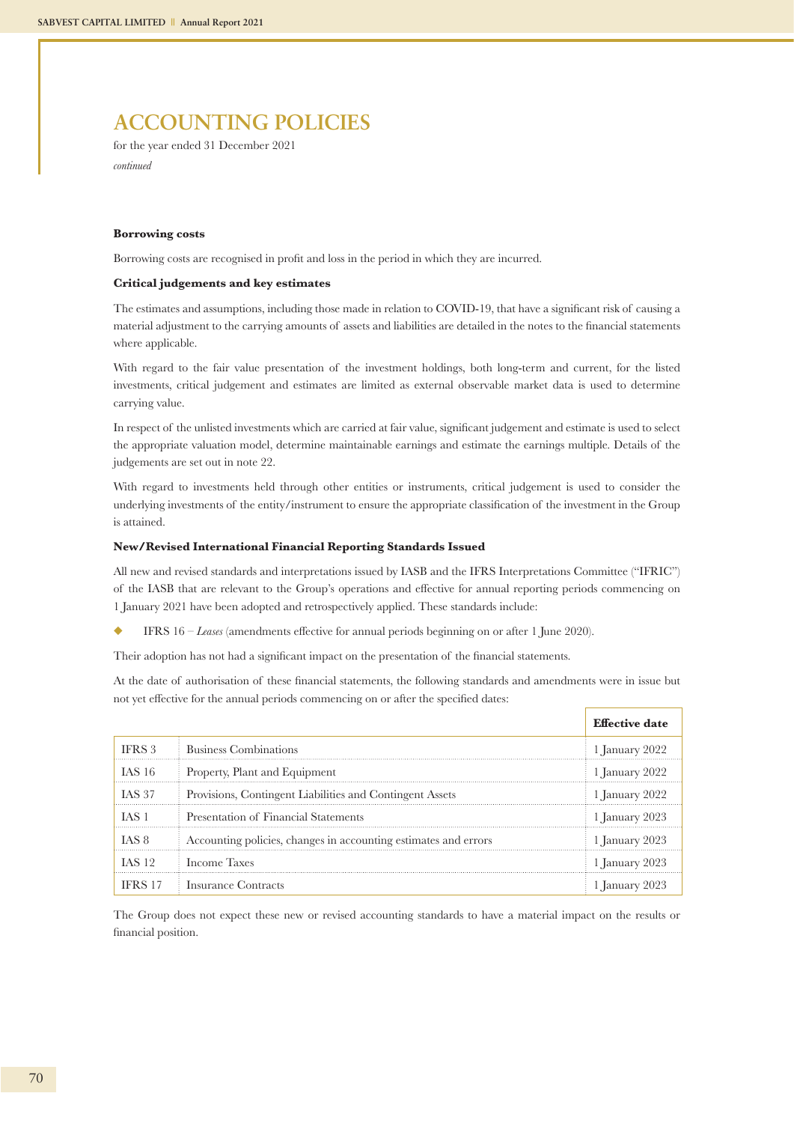for the year ended 31 December 2021 *continued*

#### **Borrowing costs**

Borrowing costs are recognised in profit and loss in the period in which they are incurred.

#### **Critical judgements and key estimates**

The estimates and assumptions, including those made in relation to COVID-19, that have a significant risk of causing a material adjustment to the carrying amounts of assets and liabilities are detailed in the notes to the financial statements where applicable.

With regard to the fair value presentation of the investment holdings, both long-term and current, for the listed investments, critical judgement and estimates are limited as external observable market data is used to determine carrying value.

In respect of the unlisted investments which are carried at fair value, significant judgement and estimate is used to select the appropriate valuation model, determine maintainable earnings and estimate the earnings multiple. Details of the judgements are set out in note 22.

With regard to investments held through other entities or instruments, critical judgement is used to consider the underlying investments of the entity/instrument to ensure the appropriate classification of the investment in the Group is attained.

#### **New/Revised International Financial Reporting Standards Issued**

All new and revised standards and interpretations issued by IASB and the IFRS Interpretations Committee ("IFRIC") of the IASB that are relevant to the Group's operations and effective for annual reporting periods commencing on 1 January 2021 have been adopted and retrospectively applied. These standards include:

u IFRS 16 – *Leases* (amendments effective for annual periods beginning on or after 1 June 2020).

Their adoption has not had a significant impact on the presentation of the financial statements.

At the date of authorisation of these financial statements, the following standards and amendments were in issue but not yet effective for the annual periods commencing on or after the specified dates:

|                |                                                                 | <b>Effective date</b>     |
|----------------|-----------------------------------------------------------------|---------------------------|
| IFRS 3         | Business Combinations                                           | $\frac{1}{2}$ anuary 2022 |
| <b>IAS 16</b>  | Property, Plant and Equipment                                   | 1 January 2022            |
| <b>IAS 37</b>  | Provisions, Contingent Liabilities and Contingent Assets        | 1 January $2022$          |
| TAS 1          | Presentation of Financial Statements                            | 1 January 2023            |
| IAS 8          | Accounting policies, changes in accounting estimates and errors | 1 January 2023            |
| <b>IAS 12</b>  | Income Taxes                                                    | 1 January 2023            |
| <b>IFRS 17</b> | Insurance Contracts                                             | 1 January 2023            |

The Group does not expect these new or revised accounting standards to have a material impact on the results or financial position.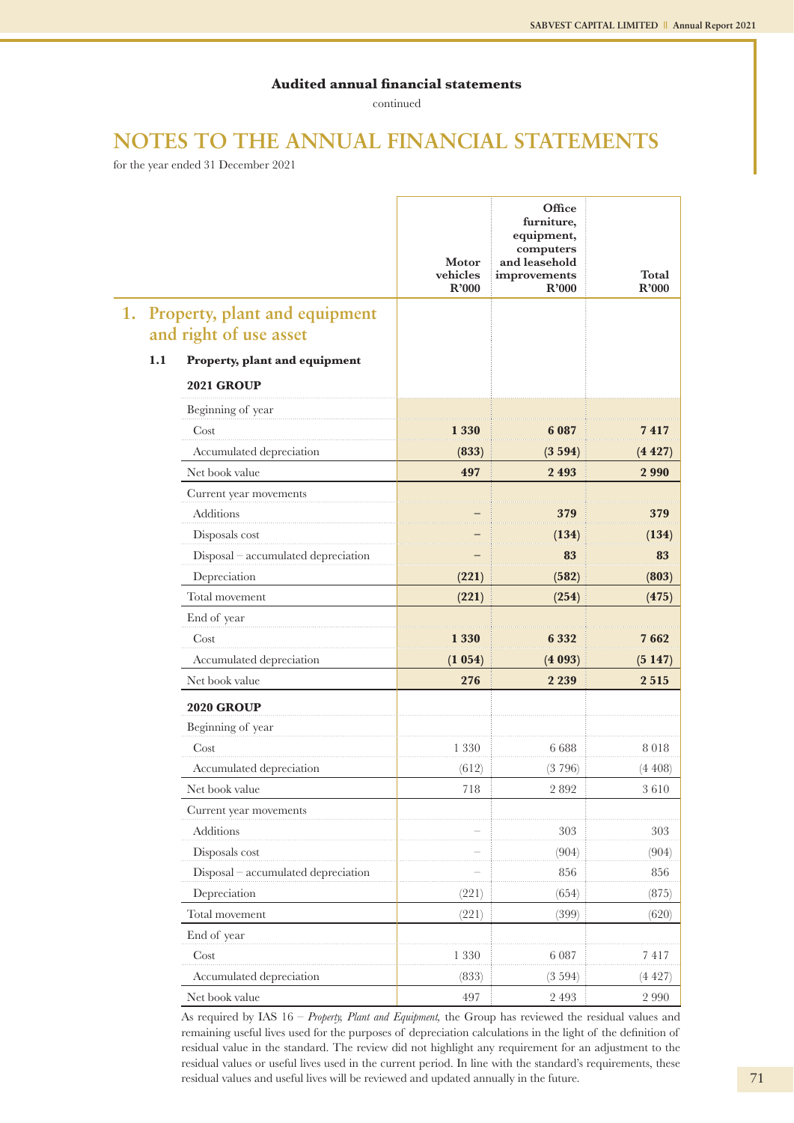continued

## **NOTES TO THE ANNUAL FINANCIAL STATEMENTS**

for the year ended 31 December 2021

|    |                        |                                     | Motor<br>vehicles<br>R'000 | Office<br>furniture,<br>equipment,<br>computers<br>and leasehold<br>improvements<br>R'000 | <b>Total</b><br>R'000 |
|----|------------------------|-------------------------------------|----------------------------|-------------------------------------------------------------------------------------------|-----------------------|
| 1. |                        | Property, plant and equipment       |                            |                                                                                           |                       |
|    | and right of use asset |                                     |                            |                                                                                           |                       |
|    | 1.1                    | Property, plant and equipment       |                            |                                                                                           |                       |
|    |                        | <b>2021 GROUP</b>                   |                            |                                                                                           |                       |
|    |                        | Beginning of year                   |                            |                                                                                           |                       |
|    |                        | Cost                                | 1 330                      | 6 087                                                                                     | 7 417                 |
|    |                        | Accumulated depreciation            | (833)                      | (3594)                                                                                    | (4 427)               |
|    |                        | Net book value                      | 497                        | 2493                                                                                      | 2990                  |
|    |                        | Current year movements              |                            |                                                                                           |                       |
|    |                        | <b>Additions</b>                    |                            | 379                                                                                       | 379                   |
|    |                        | Disposals cost                      |                            | (134)                                                                                     | (134)                 |
|    |                        | Disposal - accumulated depreciation |                            | 83                                                                                        | 83                    |
|    |                        | Depreciation                        | (221)                      | (582)                                                                                     | (803)                 |
|    |                        | Total movement                      | (221)                      | (254)                                                                                     | (475)                 |
|    |                        | End of year                         |                            |                                                                                           |                       |
|    |                        | Cost                                | 1 330                      | 6 332                                                                                     | 7 662                 |
|    |                        | Accumulated depreciation            | (1 054)                    | (4093)                                                                                    | (5147)                |
|    |                        | Net book value                      | 276                        | 2 2 3 9                                                                                   | 2515                  |
|    |                        | <b>2020 GROUP</b>                   |                            |                                                                                           |                       |
|    |                        | Beginning of year                   |                            |                                                                                           |                       |
|    |                        | Cost                                | 1 3 3 0                    | 6 6 8 8                                                                                   | 8018                  |
|    |                        | Accumulated depreciation            | (612)                      | (3796)                                                                                    | (4 408)               |
|    |                        | Net book value                      | 718                        | 2892                                                                                      | 3610                  |
|    |                        | Current year movements              |                            |                                                                                           |                       |
|    |                        | Additions                           |                            | 303                                                                                       | 303                   |
|    |                        | Disposals cost                      |                            | (904)                                                                                     | (904)                 |
|    |                        | Disposal - accumulated depreciation |                            | 856                                                                                       | 856                   |
|    |                        | Depreciation                        | (221)                      | (654)                                                                                     | (875)                 |
|    |                        | Total movement                      | (221)                      | (399)                                                                                     | (620)                 |
|    |                        | End of year                         |                            |                                                                                           |                       |
|    |                        | Cost                                | 1 3 3 0                    | 6 0 8 7                                                                                   | 7417                  |
|    |                        | Accumulated depreciation            | (833)                      | (3594)                                                                                    | (4427)                |
|    |                        | Net book value                      | 497                        | 2 4 9 3                                                                                   | 2 9 9 0               |

 As required by IAS 16 – *Property, Plant and Equipment,* the Group has reviewed the residual values and remaining useful lives used for the purposes of depreciation calculations in the light of the definition of residual value in the standard. The review did not highlight any requirement for an adjustment to the residual values or useful lives used in the current period. In line with the standard's requirements, these residual values and useful lives will be reviewed and updated annually in the future.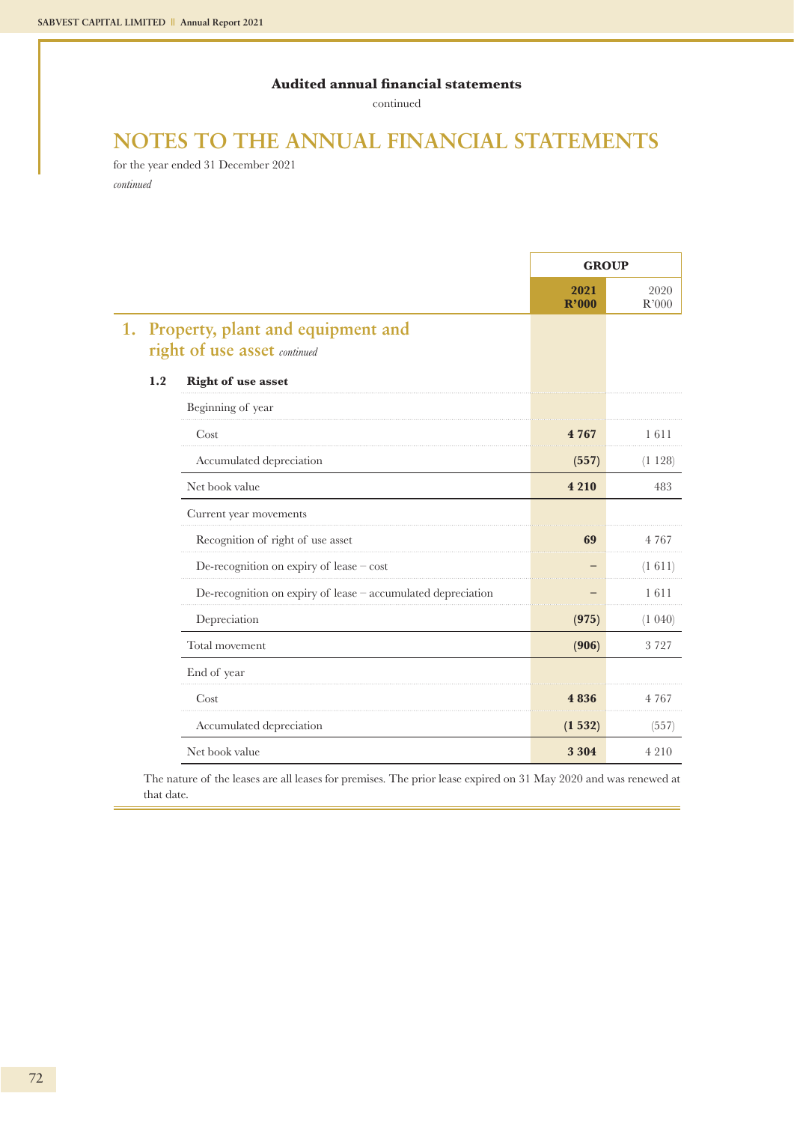continued

## **NOTES TO THE ANNUAL FINANCIAL STATEMENTS**

for the year ended 31 December 2021 *continued*

|     |                                                                   | <b>GROUP</b>  |               |
|-----|-------------------------------------------------------------------|---------------|---------------|
|     |                                                                   | 2021<br>R'000 | 2020<br>R'000 |
| 1.  | Property, plant and equipment and<br>right of use asset continued |               |               |
| 1.2 | <b>Right of use asset</b>                                         |               |               |
|     | Beginning of year                                                 |               |               |
|     | Cost                                                              | 4 767         | 1611          |
|     | Accumulated depreciation                                          | (557)         | (1128)        |
|     | Net book value                                                    | 4 2 1 0       | 483           |
|     | Current year movements                                            |               |               |
|     | Recognition of right of use asset                                 | 69            | 4 7 6 7       |
|     | De-recognition on expiry of lease $-\cos t$                       |               | (1 611)       |
|     | De-recognition on expiry of lease - accumulated depreciation      |               | 1611          |
|     | Depreciation                                                      | (975)         | (1.040)       |
|     | Total movement                                                    | (906)         | 3727          |
|     | End of year                                                       |               |               |
|     | Cost                                                              | 4 8 3 6       | 4 7 6 7       |
|     | Accumulated depreciation                                          | (1532)        | (557)         |
|     | Net book value                                                    | 3 3 0 4       | 4 2 1 0       |

The nature of the leases are all leases for premises. The prior lease expired on 31 May 2020 and was renewed at that date.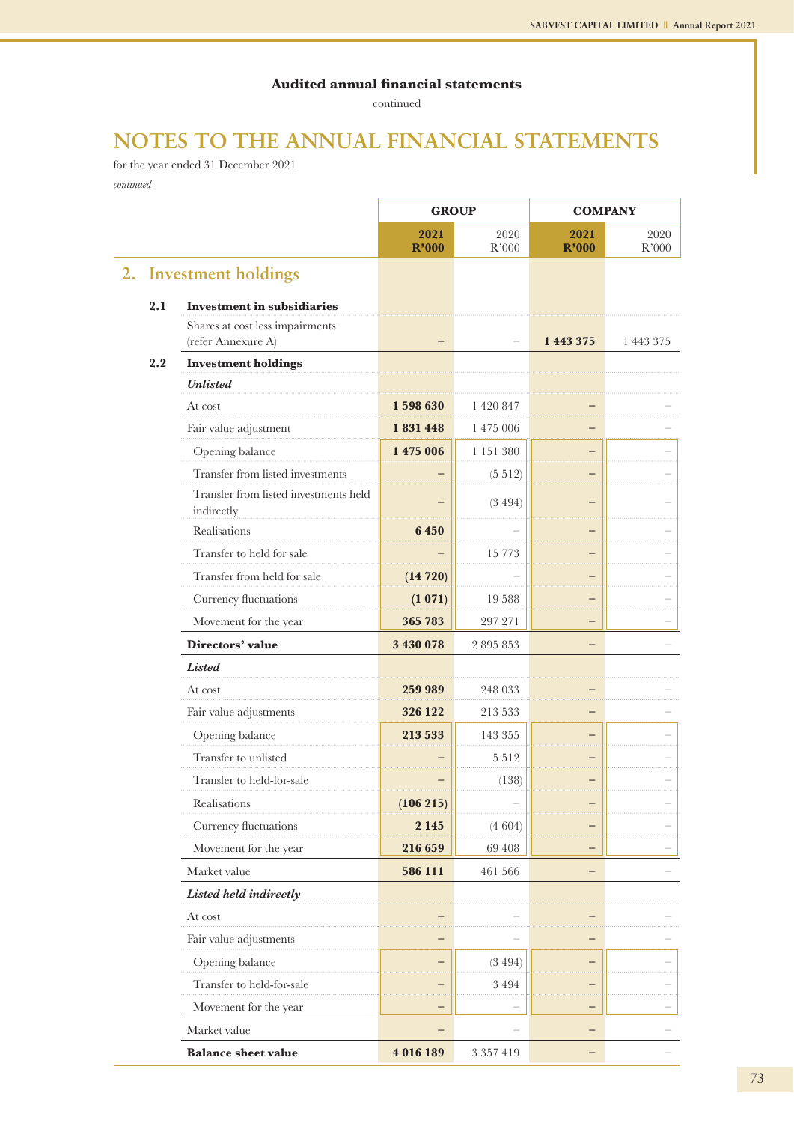continued

## **NOTES TO THE ANNUAL FINANCIAL STATEMENTS**

for the year ended 31 December 2021 *continued*

|    |     |                                                       | <b>GROUP</b>  |               | <b>COMPANY</b> |               |
|----|-----|-------------------------------------------------------|---------------|---------------|----------------|---------------|
|    |     |                                                       | 2021<br>R'000 | 2020<br>R'000 | 2021<br>R'000  | 2020<br>R'000 |
| 2. |     | <b>Investment holdings</b>                            |               |               |                |               |
|    | 2.1 | <b>Investment in subsidiaries</b>                     |               |               |                |               |
|    |     | Shares at cost less impairments<br>(refer Annexure A) |               | ÷             | 1 443 375      | 1 443 375     |
|    | 2.2 | <b>Investment holdings</b>                            |               |               |                |               |
|    |     | <b>Unlisted</b>                                       |               |               |                |               |
|    |     | At cost                                               | 1598630       | 1 420 847     |                |               |
|    |     | Fair value adjustment                                 | 1831448       | 1 475 006     |                |               |
|    |     | Opening balance                                       | 1 475 006     | 1 151 380     |                |               |
|    |     | Transfer from listed investments                      |               | (5 512)       |                |               |
|    |     | Transfer from listed investments held<br>indirectly   |               | (3494)        |                |               |
|    |     | Realisations                                          | 6 450         |               |                |               |
|    |     | Transfer to held for sale                             |               | 15 7 7 3      |                |               |
|    |     | Transfer from held for sale                           | (14720)       |               |                |               |
|    |     | Currency fluctuations                                 | (1 071)       | 19 5 88       |                |               |
|    |     | Movement for the year                                 | 365 783       | 297 271       |                |               |
|    |     | Directors' value                                      | 3 430 078     | 2 895 853     |                |               |
|    |     | Listed                                                |               |               |                |               |
|    |     | At cost                                               | 259 989       | 248 033       |                |               |
|    |     | Fair value adjustments                                | 326 122       | 213 533       |                |               |
|    |     | Opening balance                                       | 213 533       | 143 355       |                |               |
|    |     | Transfer to unlisted                                  |               | 5 5 1 2       |                |               |
|    |     | Transfer to held-for-sale                             |               | (138)         |                |               |
|    |     | Realisations                                          | (106 215)     |               |                |               |
|    |     | Currency fluctuations                                 | 2 1 4 5       | (4604)        |                |               |
|    |     | Movement for the year                                 | 216 659       | 69 408        |                |               |
|    |     | Market value                                          | 586 111       | 461 566       |                |               |
|    |     | Listed held indirectly                                |               |               |                |               |
|    |     | At cost                                               |               |               |                |               |
|    |     | Fair value adjustments                                |               |               |                |               |
|    |     | Opening balance                                       |               | (3494)        |                |               |
|    |     | Transfer to held-for-sale                             |               | 3 4 9 4       |                |               |
|    |     | Movement for the year                                 |               |               |                |               |
|    |     | Market value                                          |               |               |                |               |
|    |     | <b>Balance sheet value</b>                            | 4 016 189     | 3 3 5 7 4 1 9 |                |               |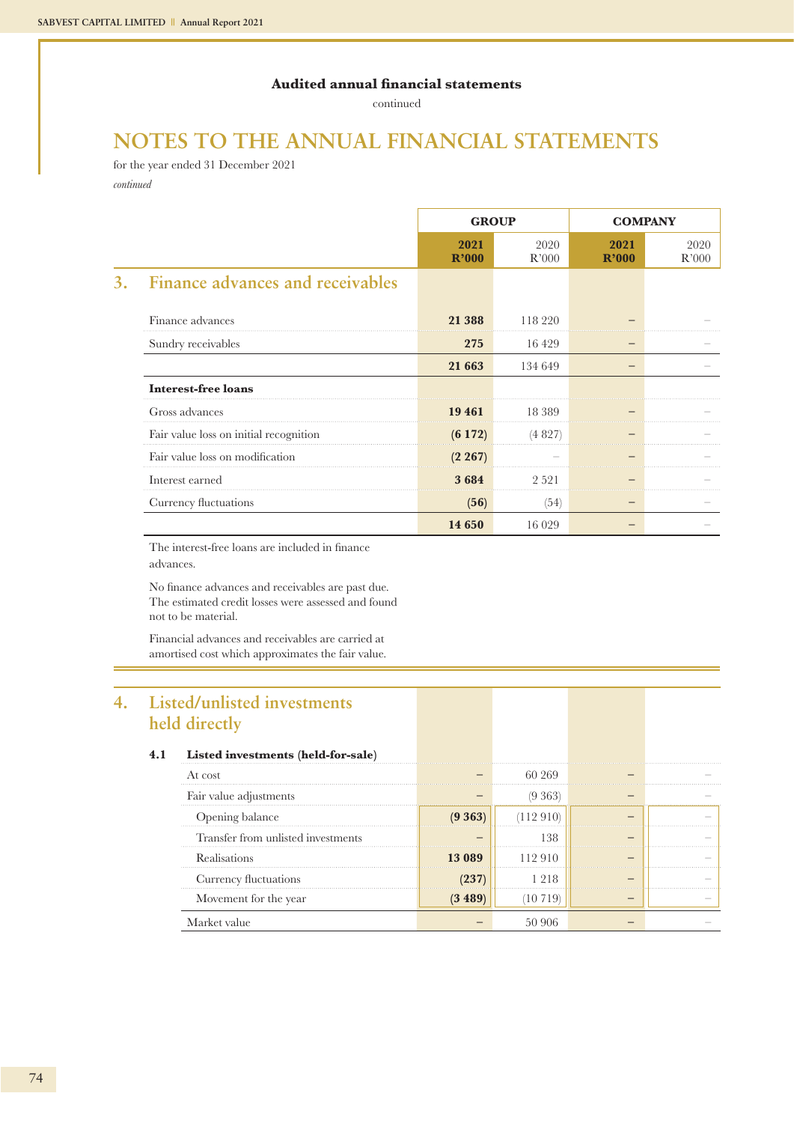continued

## **NOTES TO THE ANNUAL FINANCIAL STATEMENTS**

for the year ended 31 December 2021 *continued*

|                                               | <b>GROUP</b>  |               | <b>COMPANY</b> |               |
|-----------------------------------------------|---------------|---------------|----------------|---------------|
|                                               | 2021<br>R'000 | 2020<br>R'000 | 2021<br>R'000  | 2020<br>R'000 |
| <b>Finance advances and receivables</b><br>3. |               |               |                |               |
| Finance advances                              | 21 388        | 118 220       |                |               |
| Sundry receivables                            | 275           | 16 4 29       |                |               |
|                                               | 21 663        | 134 649       |                |               |
| <b>Interest-free loans</b>                    |               |               |                |               |
| Gross advances                                | 19 461        | 18 389        |                |               |
| Fair value loss on initial recognition        | (6172)        | (4827)        |                |               |
| Fair value loss on modification               | (2 267)       |               |                |               |
| Interest earned                               | 3684          | 2 5 2 1       |                |               |
| Currency fluctuations                         | (56)          | (54)          |                |               |
|                                               | 14 650        | 16 0 29       |                |               |

The interest-free loans are included in finance advances.

No finance advances and receivables are past due. The estimated credit losses were assessed and found not to be material.

Financial advances and receivables are carried at amortised cost which approximates the fair value.

## **4. Listed/unlisted investments held directly**

|     | .                                  |            |          |  |
|-----|------------------------------------|------------|----------|--|
| 4.1 | Listed investments (held-for-sale) |            |          |  |
|     | At cost                            |            | 60.269   |  |
|     | Fair value adjustments             |            | (9 363)  |  |
|     | Opening balance                    | $(9\,363)$ | 112 910  |  |
|     | Transfer from unlisted investments |            | 138      |  |
|     | <b>Realisations</b>                | 13 089     | 112 910  |  |
|     | Currency fluctuations              |            | -218     |  |
|     | Movement for the year              | (3 489     | -10 719, |  |
|     | Market value                       |            | 50.906   |  |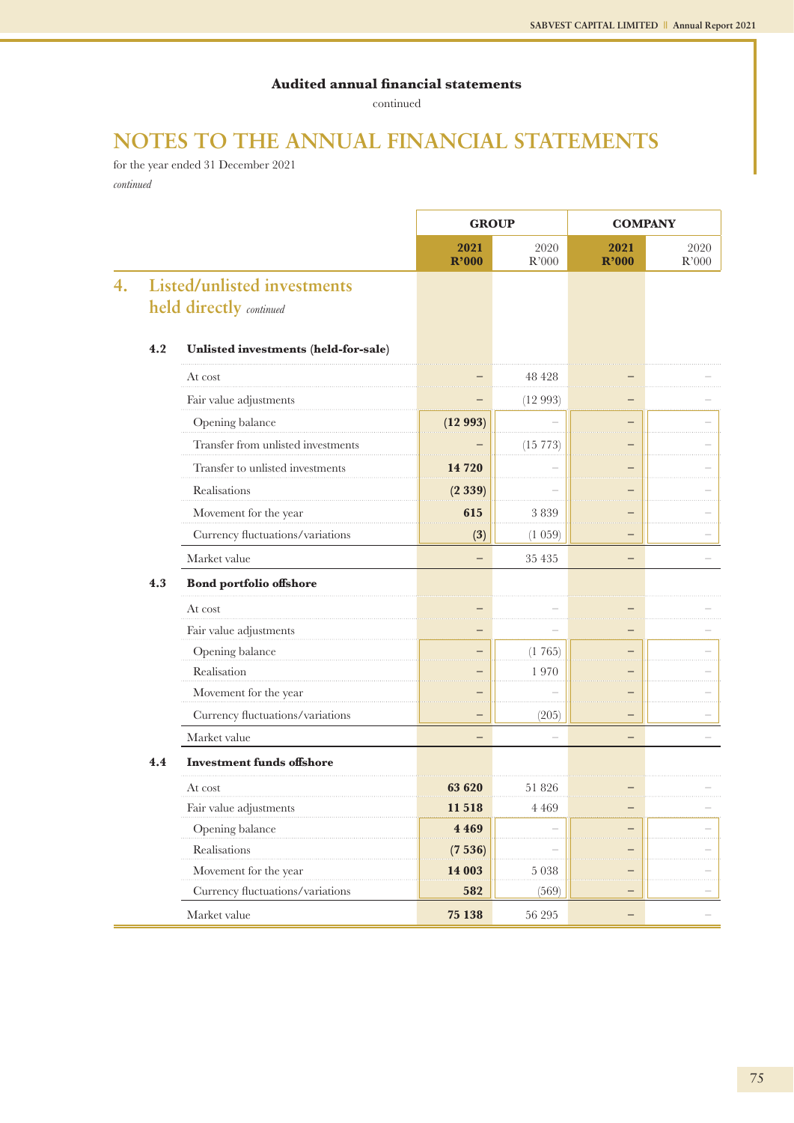continued

## **NOTES TO THE ANNUAL FINANCIAL STATEMENTS**

for the year ended 31 December 2021 *continued*

|    |     |                                                               | <b>GROUP</b>  |               | <b>COMPANY</b> |                     |
|----|-----|---------------------------------------------------------------|---------------|---------------|----------------|---------------------|
|    |     |                                                               | 2021<br>R'000 | 2020<br>R'000 | 2021<br>R'000  | 2020<br>$\rm R'000$ |
| 4. |     | <b>Listed/unlisted investments</b><br>held directly continued |               |               |                |                     |
|    | 4.2 | Unlisted investments (held-for-sale)                          |               |               |                |                     |
|    |     | At cost                                                       |               | 48 428        |                |                     |
|    |     | Fair value adjustments                                        |               | (12993)       |                |                     |
|    |     | Opening balance                                               | (12993)       |               |                |                     |
|    |     | Transfer from unlisted investments                            |               | (15773)       |                |                     |
|    |     | Transfer to unlisted investments                              | 14 720        |               |                |                     |
|    |     | Realisations                                                  | (2339)        |               |                |                     |
|    |     | Movement for the year                                         | 615           | 3839          |                |                     |
|    |     | Currency fluctuations/variations                              | (3)           | (1 059)       | and and        |                     |
|    |     | Market value                                                  |               | 35 435        |                |                     |
|    | 4.3 | <b>Bond portfolio offshore</b>                                |               |               |                |                     |
|    |     | At cost                                                       |               |               |                |                     |
|    |     | Fair value adjustments                                        |               |               |                |                     |
|    |     | Opening balance                                               |               | (1765)        |                |                     |
|    |     | Realisation                                                   |               | 1970          |                |                     |
|    |     | Movement for the year                                         |               |               |                |                     |
|    |     | Currency fluctuations/variations                              |               | (205)         |                |                     |
|    |     | Market value                                                  |               |               |                |                     |
|    | 4.4 | <b>Investment funds offshore</b>                              |               |               |                |                     |
|    |     | At cost                                                       | 63 620        | 51826         |                |                     |
|    |     | Fair value adjustments                                        | 11 518        | 4 4 6 9       |                |                     |
|    |     | Opening balance                                               | 4 4 6 9       |               |                |                     |
|    |     | Realisations                                                  | (7536)        |               |                |                     |
|    |     | Movement for the year                                         | 14 003        | $5\;038$      |                |                     |
|    |     | Currency fluctuations/variations                              | 582           | (569)         |                |                     |
|    |     | Market value                                                  | 75 138        | $56\;295$     |                |                     |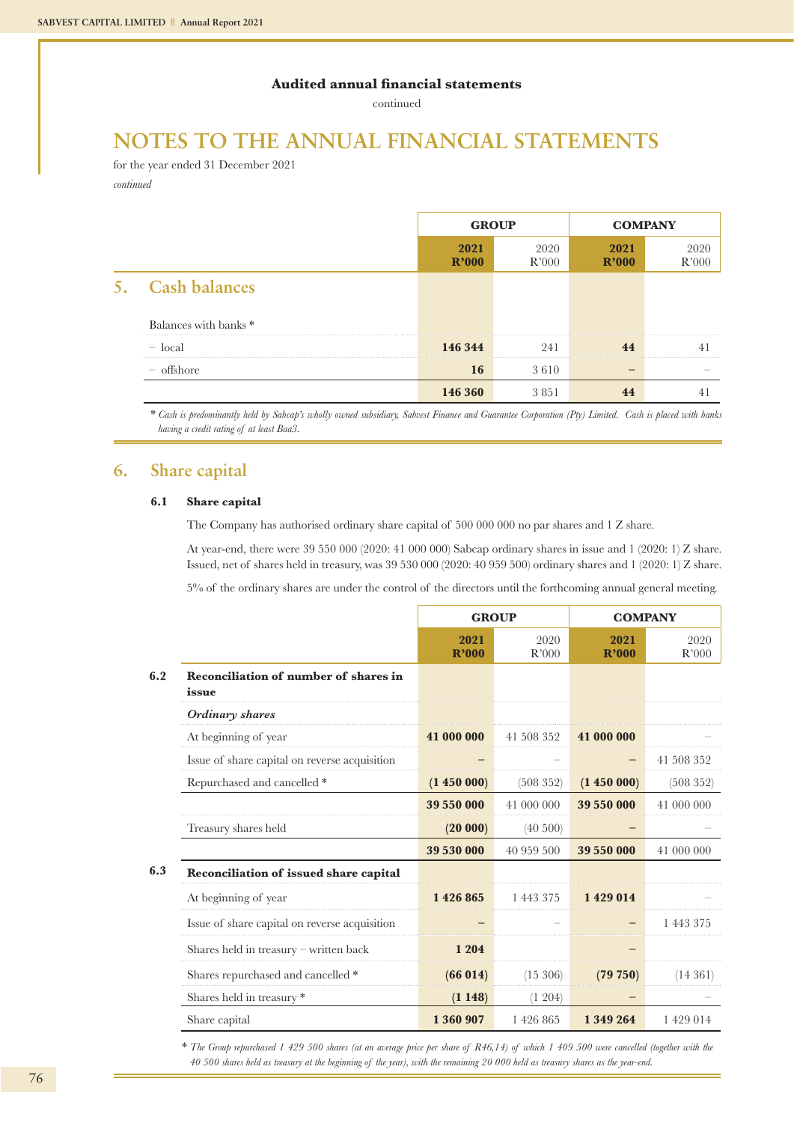continued

## **NOTES TO THE ANNUAL FINANCIAL STATEMENTS**

for the year ended 31 December 2021 *continued*

|                                  | <b>GROUP</b>  |               | <b>COMPANY</b> |               |
|----------------------------------|---------------|---------------|----------------|---------------|
|                                  | 2021<br>R'000 | 2020<br>R'000 | 2021<br>R'000  | 2020<br>R'OOC |
| 5. Cash balances                 |               |               |                |               |
| Balances with banks <sup>*</sup> |               |               |                |               |
| $\sim$ local                     | 146 344       | 241           |                |               |
| offshore                         | 16            | 3610          |                |               |
|                                  | 146 360       | 3851          |                |               |

\* *Cash is predominantly held by Sabcap's wholly owned subsidiary, Sabvest Finance and Guarantee Corporation (Pty) Limited. Cash is placed with banks having a credit rating of at least Baa3.*

### **6. Share capital**

#### **6.1 Share capital**

The Company has authorised ordinary share capital of 500 000 000 no par shares and 1 Z share.

At year-end, there were 39 550 000 (2020: 41 000 000) Sabcap ordinary shares in issue and 1 (2020: 1) Z share. Issued, net of shares held in treasury, was 39 530 000 (2020: 40 959 500) ordinary shares and 1 (2020: 1) Z share.

5% of the ordinary shares are under the control of the directors until the forthcoming annual general meeting.

|     |                                                | <b>GROUP</b>  |               | <b>COMPANY</b> |               |
|-----|------------------------------------------------|---------------|---------------|----------------|---------------|
|     |                                                | 2021<br>R'000 | 2020<br>R'000 | 2021<br>R'000  | 2020<br>R'000 |
| 6.2 | Reconciliation of number of shares in<br>issue |               |               |                |               |
|     | Ordinary shares                                |               |               |                |               |
|     | At beginning of year                           | 41 000 000    | 41 508 352    | 41 000 000     |               |
|     | Issue of share capital on reverse acquisition  |               |               |                | 41 508 352    |
|     | Repurchased and cancelled *                    | (1450000)     | (508352)      | (1450000)      | (508 352)     |
|     |                                                | 39 550 000    | 41 000 000    | 39 550 000     | 41 000 000    |
|     | Treasury shares held                           | (20000)       | (40, 500)     |                |               |
|     |                                                | 39 530 000    | 40 959 500    | 39 550 000     | 41 000 000    |
| 6.3 | Reconciliation of issued share capital         |               |               |                |               |
|     | At beginning of year                           | 1426865       | 1 443 375     | 1429014        |               |
|     | Issue of share capital on reverse acquisition  |               |               |                | 1 443 375     |
|     | Shares held in treasury $-$ written back       | 1 204         |               |                |               |
|     | Shares repurchased and cancelled *             | (66014)       | $(15\ 306)$   | (79 750)       | (14361)       |
|     | Shares held in treasury *                      | (1148)        | (1204)        |                |               |
|     | Share capital                                  | 1 360 907     | 1426865       | 1 349 264      | 1429014       |

\* *The Group repurchased 1 429 500 shares (at an average price per share of R46,14) of which 1 409 500 were cancelled (together with the 40 500 shares held as treasury at the beginning of the year), with the remaining 20 000 held as treasury shares as the year-end.*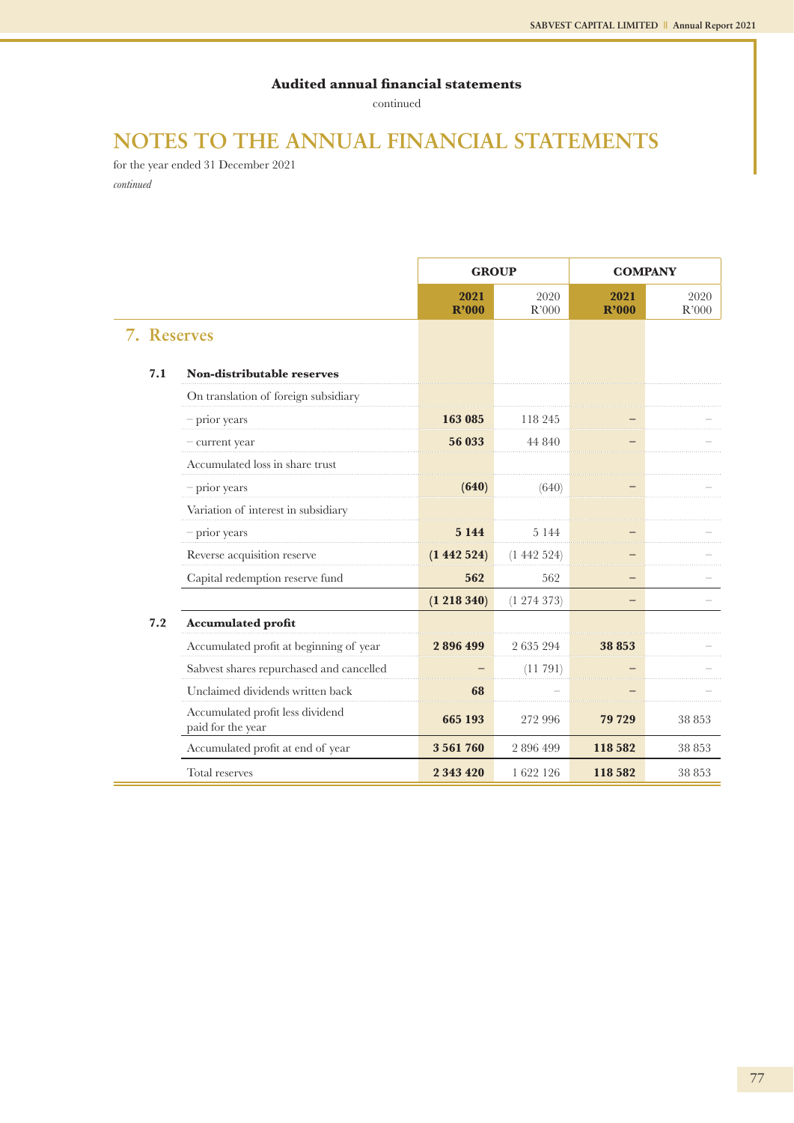continued

## **NOTES TO THE ANNUAL FINANCIAL STATEMENTS**

for the year ended 31 December 2021 *continued*

|             |                                                       | <b>GROUP</b>  |               | <b>COMPANY</b> |               |
|-------------|-------------------------------------------------------|---------------|---------------|----------------|---------------|
|             |                                                       | 2021<br>R'000 | 2020<br>R'000 | 2021<br>R'000  | 2020<br>R'000 |
| 7. Reserves |                                                       |               |               |                |               |
| 7.1         | Non-distributable reserves                            |               |               |                |               |
|             | On translation of foreign subsidiary                  |               |               |                |               |
|             | $-$ prior years                                       | 163 085       | 118 245       |                |               |
|             | - current year                                        | 56 033        | 44 840        |                |               |
|             | Accumulated loss in share trust                       |               |               |                |               |
|             | - prior years                                         | (640)         | (640)         |                |               |
|             | Variation of interest in subsidiary                   |               |               |                |               |
|             | - prior years                                         | 5 1 4 4       | 5 1 4 4       |                |               |
|             | Reverse acquisition reserve                           | (1442524)     | (1442524)     |                |               |
|             | Capital redemption reserve fund                       | 562           | 562           |                |               |
|             |                                                       | (1 218 340)   | (1274373)     |                |               |
| 7.2         | <b>Accumulated profit</b>                             |               |               |                |               |
|             | Accumulated profit at beginning of year               | 2896499       | 2 635 294     | 38 853         |               |
|             | Sabvest shares repurchased and cancelled              |               | (11791)       |                |               |
|             | Unclaimed dividends written back                      | 68            |               |                |               |
|             | Accumulated profit less dividend<br>paid for the year | 665 193       | 272 996       | 79 729         | 38 853        |
|             | Accumulated profit at end of year                     | 3561760       | 2896499       | 118 582        | 38 853        |
|             | Total reserves                                        | 2 343 420     | 1622 126      | 118 582        | 38 853        |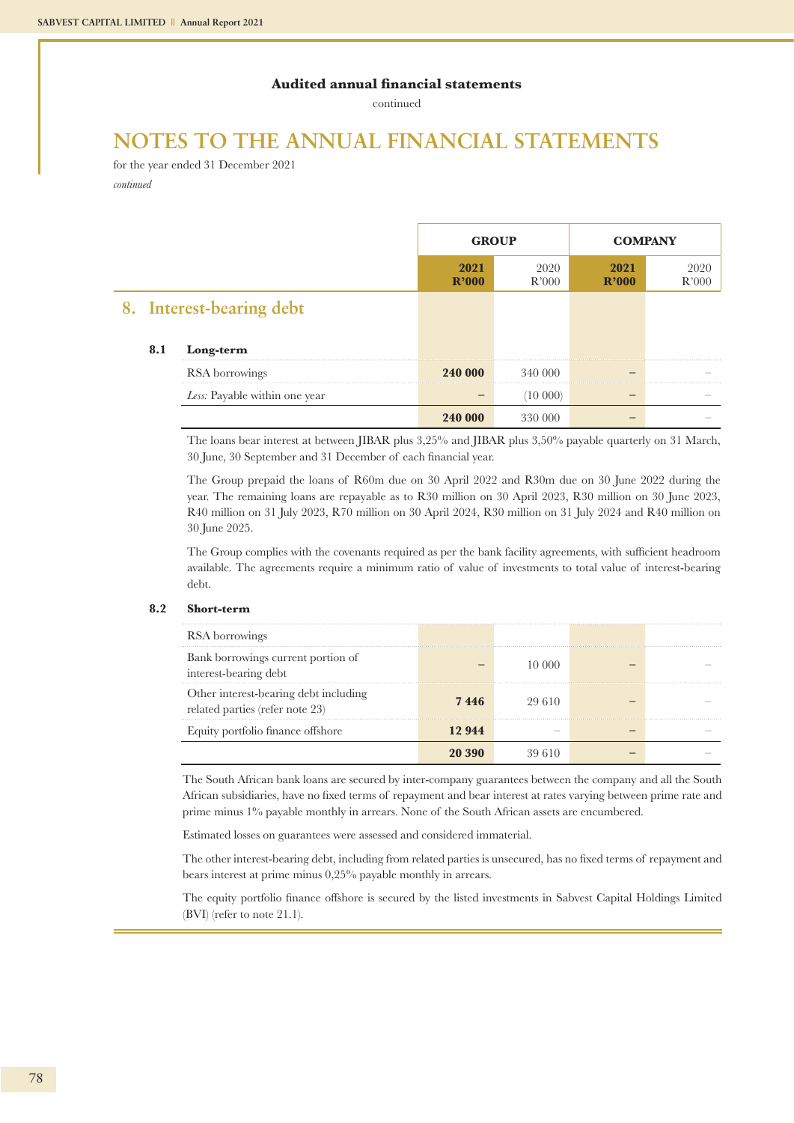continued

## **NOTES TO THE ANNUAL FINANCIAL STATEMENTS**

for the year ended 31 December 2021 *continued*

|  |     |                               | <b>GROUP</b>               |               | <b>COMPANY</b> |               |
|--|-----|-------------------------------|----------------------------|---------------|----------------|---------------|
|  |     |                               | 2021<br>R <sup>2</sup> 000 | 2020<br>R'000 | 2021<br>R'000  | 2020<br>R'000 |
|  |     | 8. Interest-bearing debt      |                            |               |                |               |
|  | 8.1 | Long-term                     |                            |               |                |               |
|  |     | RSA borrowings                | 240 000                    | 340 000       |                |               |
|  |     | Less: Payable within one year |                            | 10 000)       |                |               |
|  |     |                               | 240 000                    | 330 000       |                |               |

The loans bear interest at between JIBAR plus 3,25% and JIBAR plus 3,50% payable quarterly on 31 March, 30 June, 30 September and 31 December of each financial year.

The Group prepaid the loans of R60m due on 30 April 2022 and R30m due on 30 June 2022 during the year. The remaining loans are repayable as to R30 million on 30 April 2023, R30 million on 30 June 2023, R40 million on 31 July 2023, R70 million on 30 April 2024, R30 million on 31 July 2024 and R40 million on 30 June 2025.

The Group complies with the covenants required as per the bank facility agreements, with sufficient headroom available. The agreements require a minimum ratio of value of investments to total value of interest-bearing debt.

#### **8.2 Short-term**

| RSA borrowings                                                           |        |  |  |
|--------------------------------------------------------------------------|--------|--|--|
| Bank borrowings current portion of<br>interest-bearing debt              |        |  |  |
| Other interest-bearing debt including<br>related parties (refer note 23) | 7446   |  |  |
| Equity portfolio finance offshore                                        | 12 944 |  |  |
|                                                                          |        |  |  |

The South African bank loans are secured by inter-company guarantees between the company and all the South African subsidiaries, have no fixed terms of repayment and bear interest at rates varying between prime rate and prime minus 1% payable monthly in arrears. None of the South African assets are encumbered.

Estimated losses on guarantees were assessed and considered immaterial.

The other interest-bearing debt, including from related parties is unsecured, has no fixed terms of repayment and bears interest at prime minus 0,25% payable monthly in arrears.

The equity portfolio finance offshore is secured by the listed investments in Sabvest Capital Holdings Limited (BVI) (refer to note 21.1).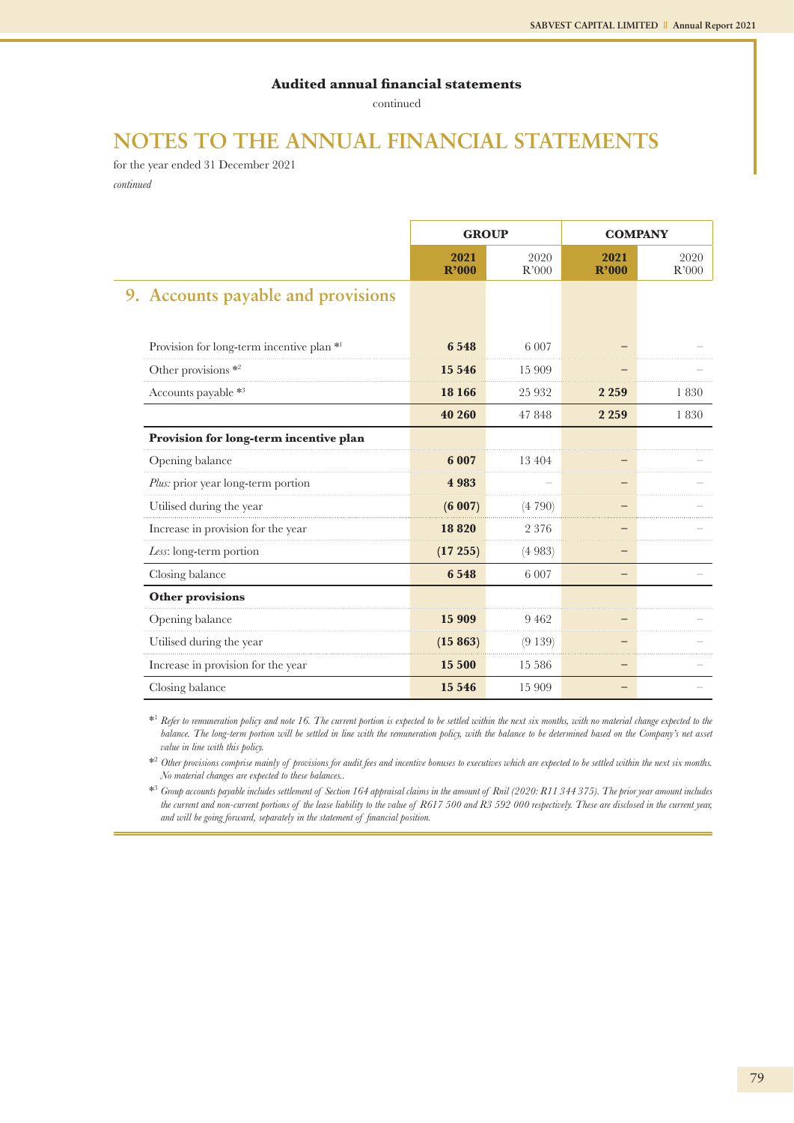continued

## **NOTES TO THE ANNUAL FINANCIAL STATEMENTS**

for the year ended 31 December 2021 *continued*

|                                           | <b>GROUP</b>  |               |               | <b>COMPANY</b> |
|-------------------------------------------|---------------|---------------|---------------|----------------|
|                                           | 2021<br>R'000 | 2020<br>R'000 | 2021<br>R'000 | 2020<br>R'000  |
| 9. Accounts payable and provisions        |               |               |               |                |
|                                           |               |               |               |                |
| Provision for long-term incentive plan *1 | 6548          | 6 0 0 7       |               |                |
| Other provisions $*$ <sup>2</sup>         | 15 546        | 15 909        |               |                |
| Accounts payable *3                       | 18 16 6       | 25 9 32       | 2 2 5 9       | 1830           |
|                                           | 40 260        | 47848         | 2 2 5 9       | 1830           |
| Provision for long-term incentive plan    |               |               |               |                |
| Opening balance                           | 6 0 0 7       | 13 4 04       |               |                |
| Plus: prior year long-term portion        | 4983          |               |               |                |
| Utilised during the year                  | (6007)        | (4790)        |               |                |
| Increase in provision for the year        | 18820         | 2 3 7 6       |               |                |
| Less: long-term portion                   | (17255)       | (4983)        |               |                |
| Closing balance                           | 6548          | 6 0 0 7       |               |                |
| <b>Other provisions</b>                   |               |               |               |                |
| Opening balance                           | 15 909        | 9462          |               |                |
| Utilised during the year                  | (15863)       | (9139)        |               |                |
| Increase in provision for the year        | 15 500        | 15 5 8 6      |               |                |
| Closing balance                           | 15 5 46       | 15 909        |               |                |

\*1 *Refer to remuneration policy and note 16. The current portion is expected to be settled within the next six months, with no material change expected to the*  balance. The long-term portion will be settled in line with the remuneration policy, with the balance to be determined based on the Company's net asset *value in line with this policy.*

\*2 *Other provisions comprise mainly of provisions for audit fees and incentive bonuses to executives which are expected to be settled within the next six months. No material changes are expected to these balances..*

\*3 *Group accounts payable includes settlement of Section 164 appraisal claims in the amount of Rnil (2020: R11 344 375). The prior year amount includes the current and non-current portions of the lease liability to the value of R617 500 and R3 592 000 respectively. These are disclosed in the current year, and will be going forward, separately in the statement of financial position.*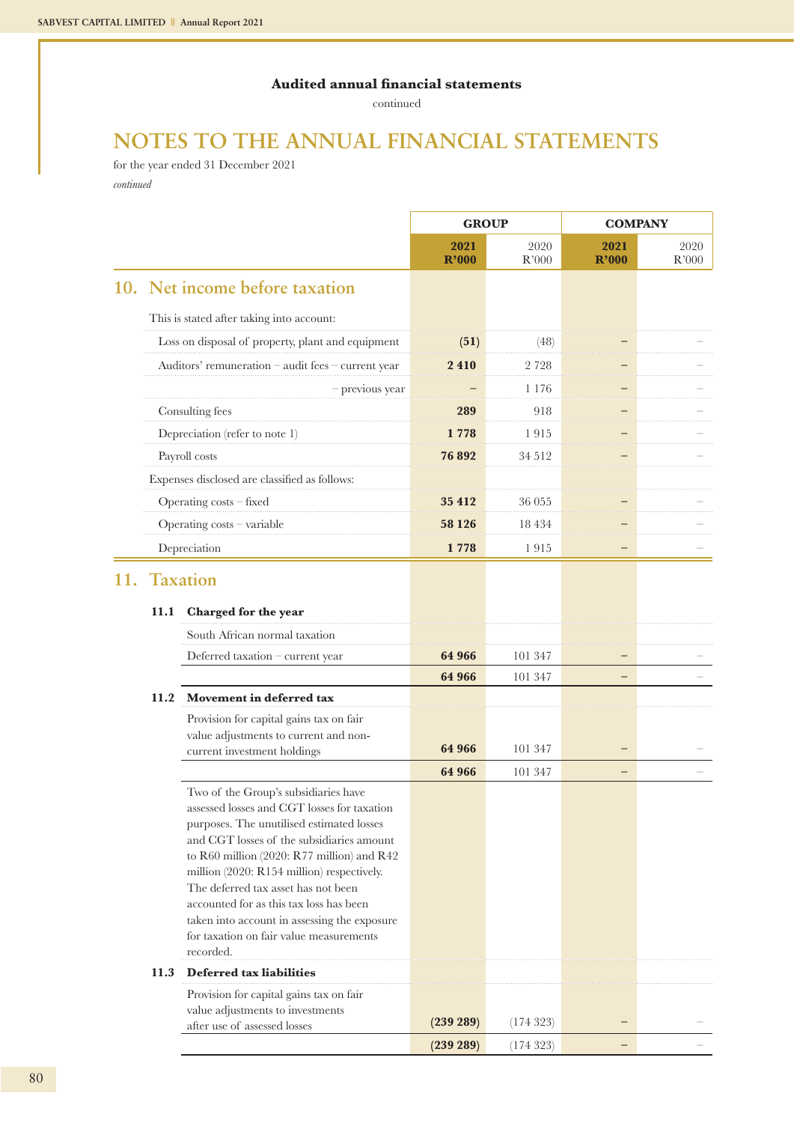continued

## **NOTES TO THE ANNUAL FINANCIAL STATEMENTS**

for the year ended 31 December 2021 *continued*

|     |      |                                                                                                                                                                                                                                                                                                                                                                                                                                                                     | <b>GROUP</b>  |               | <b>COMPANY</b> |               |
|-----|------|---------------------------------------------------------------------------------------------------------------------------------------------------------------------------------------------------------------------------------------------------------------------------------------------------------------------------------------------------------------------------------------------------------------------------------------------------------------------|---------------|---------------|----------------|---------------|
|     |      |                                                                                                                                                                                                                                                                                                                                                                                                                                                                     | 2021<br>R'000 | 2020<br>R'000 | 2021<br>R'000  | 2020<br>R'000 |
|     |      | 10. Net income before taxation                                                                                                                                                                                                                                                                                                                                                                                                                                      |               |               |                |               |
|     |      | This is stated after taking into account:                                                                                                                                                                                                                                                                                                                                                                                                                           |               |               |                |               |
|     |      | Loss on disposal of property, plant and equipment                                                                                                                                                                                                                                                                                                                                                                                                                   | (51)          | (48)          |                |               |
|     |      | Auditors' remuneration - audit fees - current year                                                                                                                                                                                                                                                                                                                                                                                                                  | 2410          | 2 7 2 8       |                |               |
|     |      | $-$ previous year                                                                                                                                                                                                                                                                                                                                                                                                                                                   |               | 1 1 7 6       |                |               |
|     |      | Consulting fees                                                                                                                                                                                                                                                                                                                                                                                                                                                     | 289           | 918           |                |               |
|     |      | Depreciation (refer to note 1)                                                                                                                                                                                                                                                                                                                                                                                                                                      | 1 778         | 1915          |                |               |
|     |      | Payroll costs                                                                                                                                                                                                                                                                                                                                                                                                                                                       | 76 892        | 34 5 12       |                |               |
|     |      | Expenses disclosed are classified as follows:                                                                                                                                                                                                                                                                                                                                                                                                                       |               |               |                |               |
|     |      | Operating costs - fixed                                                                                                                                                                                                                                                                                                                                                                                                                                             | 35 412        | 36 055        |                |               |
|     |      | Operating costs - variable                                                                                                                                                                                                                                                                                                                                                                                                                                          | 58 1 26       | 18 4 34       |                |               |
|     |      | Depreciation                                                                                                                                                                                                                                                                                                                                                                                                                                                        | 1778          | 1915          |                |               |
| 11. |      | <b>Taxation</b>                                                                                                                                                                                                                                                                                                                                                                                                                                                     |               |               |                |               |
|     | 11.1 | Charged for the year                                                                                                                                                                                                                                                                                                                                                                                                                                                |               |               |                |               |
|     |      | South African normal taxation                                                                                                                                                                                                                                                                                                                                                                                                                                       |               |               |                |               |
|     |      | Deferred taxation - current year                                                                                                                                                                                                                                                                                                                                                                                                                                    | 64 966        | 101 347       |                |               |
|     |      |                                                                                                                                                                                                                                                                                                                                                                                                                                                                     | 64 966        | 101 347       |                |               |
|     | 11.2 | Movement in deferred tax                                                                                                                                                                                                                                                                                                                                                                                                                                            |               |               |                |               |
|     |      | Provision for capital gains tax on fair                                                                                                                                                                                                                                                                                                                                                                                                                             |               |               |                |               |
|     |      | value adjustments to current and non-<br>current investment holdings                                                                                                                                                                                                                                                                                                                                                                                                | 64 966        | 101 347       |                |               |
|     |      |                                                                                                                                                                                                                                                                                                                                                                                                                                                                     | 64 966        | 101 347       | —              |               |
|     |      | Two of the Group's subsidiaries have<br>assessed losses and CGT losses for taxation<br>purposes. The unutilised estimated losses<br>and CGT losses of the subsidiaries amount<br>to R60 million (2020: R77 million) and R42<br>million (2020: R154 million) respectively.<br>The deferred tax asset has not been<br>accounted for as this tax loss has been<br>taken into account in assessing the exposure<br>for taxation on fair value measurements<br>recorded. |               |               |                |               |
|     | 11.3 | Deferred tax liabilities                                                                                                                                                                                                                                                                                                                                                                                                                                            |               |               |                |               |
|     |      | Provision for capital gains tax on fair<br>value adjustments to investments<br>after use of assessed losses                                                                                                                                                                                                                                                                                                                                                         | (239 289)     | (174323)      |                |               |
|     |      |                                                                                                                                                                                                                                                                                                                                                                                                                                                                     | (239 289)     | (174323)      | —              |               |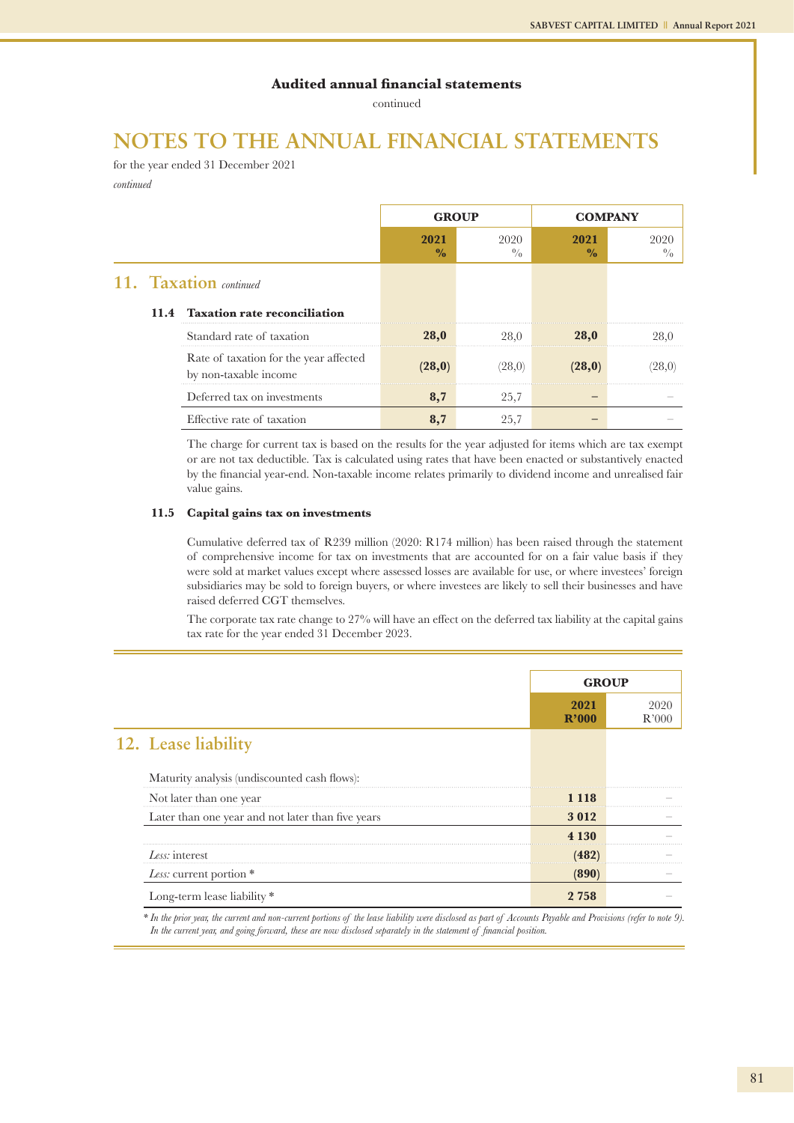continued

## **NOTES TO THE ANNUAL FINANCIAL STATEMENTS**

for the year ended 31 December 2021 *continued*

|  |                                                                 | <b>GROUP</b>          |                     | <b>COMPANY</b>        |             |
|--|-----------------------------------------------------------------|-----------------------|---------------------|-----------------------|-------------|
|  |                                                                 | 2021<br>$\frac{0}{0}$ | 2020<br>$^{0}/_{0}$ | 2021<br>$\frac{0}{0}$ | 2020<br>0/0 |
|  | 11. Taxation continued                                          |                       |                     |                       |             |
|  | 11.4 Taxation rate reconciliation                               |                       |                     |                       |             |
|  | Standard rate of taxation                                       | <b>28,0</b>           | 28,0                | 28,0                  | 28.0        |
|  | Rate of taxation for the year affected<br>by non-taxable income | (28, 0)               | (28,0)              |                       |             |
|  | Deferred tax on investments                                     | 8,7                   | 25,7                |                       |             |
|  | Effective rate of taxation                                      | 8,7                   | 25,7                |                       |             |

The charge for current tax is based on the results for the year adjusted for items which are tax exempt or are not tax deductible. Tax is calculated using rates that have been enacted or substantively enacted by the financial year-end. Non-taxable income relates primarily to dividend income and unrealised fair value gains.

#### **11.5 Capital gains tax on investments**

Cumulative deferred tax of R239 million (2020: R174 million) has been raised through the statement of comprehensive income for tax on investments that are accounted for on a fair value basis if they were sold at market values except where assessed losses are available for use, or where investees' foreign subsidiaries may be sold to foreign buyers, or where investees are likely to sell their businesses and have raised deferred CGT themselves.

The corporate tax rate change to 27% will have an effect on the deferred tax liability at the capital gains tax rate for the year ended 31 December 2023.

|                                                   | <b>GROUP</b>  |               |  |
|---------------------------------------------------|---------------|---------------|--|
|                                                   | 2021<br>R'000 | 2020<br>R'000 |  |
| 12. Lease liability                               |               |               |  |
| Maturity analysis (undiscounted cash flows):      |               |               |  |
| Not later than one year                           | 1 1 1 8       |               |  |
| Later than one year and not later than five years | 3012          |               |  |
|                                                   | 4 1 3 0       |               |  |
| Less: interest                                    | (482)         |               |  |
| Less: current portion *                           | (890)         |               |  |
| Long-term lease liability *                       | 2 758         |               |  |

*\* In the prior year, the current and non-current portions of the lease liability were disclosed as part of Accounts Payable and Provisions (refer to note 9). In the current year, and going forward, these are now disclosed separately in the statement of financial position.*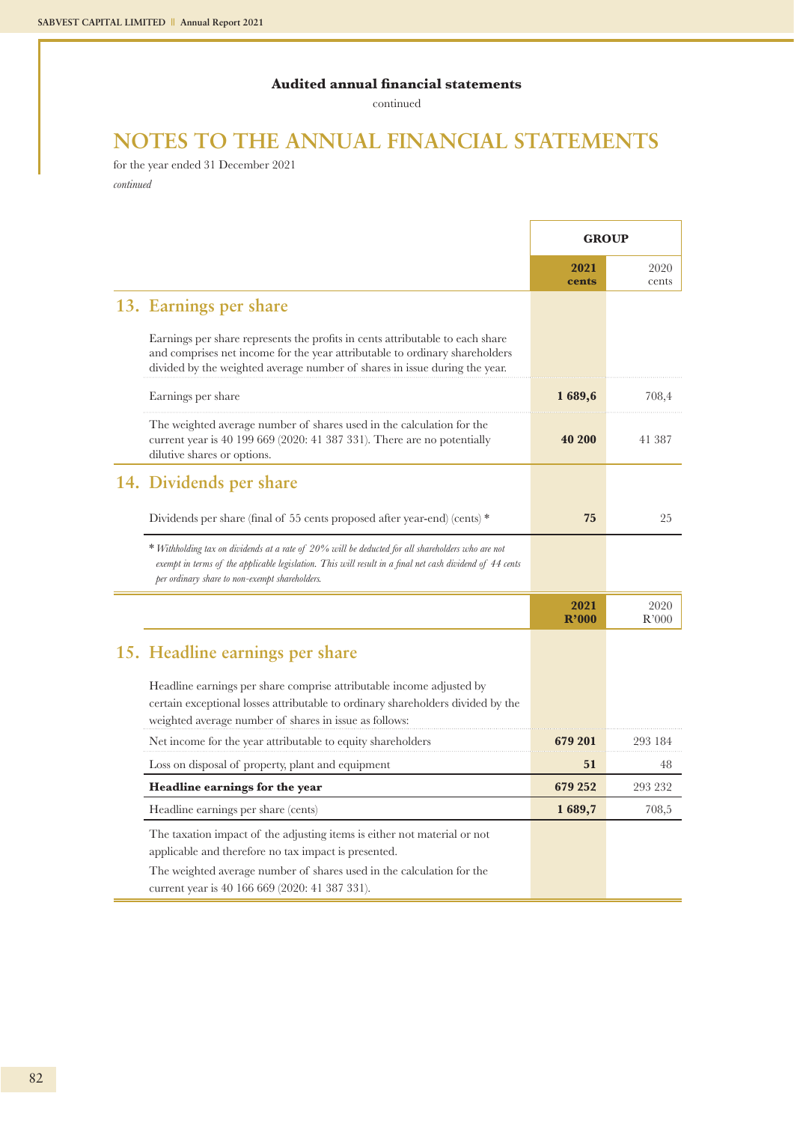continued

## **NOTES TO THE ANNUAL FINANCIAL STATEMENTS**

for the year ended 31 December 2021 *continued*

|                                                                                                                                                                                                                                                                 | <b>GROUP</b>  |               |
|-----------------------------------------------------------------------------------------------------------------------------------------------------------------------------------------------------------------------------------------------------------------|---------------|---------------|
|                                                                                                                                                                                                                                                                 | 2021<br>cents | 2020<br>cents |
| 13. Earnings per share                                                                                                                                                                                                                                          |               |               |
| Earnings per share represents the profits in cents attributable to each share<br>and comprises net income for the year attributable to ordinary shareholders<br>divided by the weighted average number of shares in issue during the year.                      |               |               |
| Earnings per share                                                                                                                                                                                                                                              | 1689,6        | 708,4         |
| The weighted average number of shares used in the calculation for the<br>current year is $40\ 199\ 669\ (2020: 41\ 387\ 331)$ . There are no potentially<br>dilutive shares or options.                                                                         | 40 200        | 41 387        |
| 14. Dividends per share                                                                                                                                                                                                                                         |               |               |
| Dividends per share (final of 55 cents proposed after year-end) (cents) $*$                                                                                                                                                                                     | 75            | 25            |
| * Withholding tax on dividends at a rate of 20% will be deducted for all shareholders who are not<br>exempt in terms of the applicable legislation. This will result in a final net cash dividend of 44 cents<br>per ordinary share to non-exempt shareholders. |               |               |
|                                                                                                                                                                                                                                                                 | 2021<br>R'000 | 2020<br>R'000 |
| 15. Headline earnings per share                                                                                                                                                                                                                                 |               |               |
| Headline earnings per share comprise attributable income adjusted by<br>certain exceptional losses attributable to ordinary shareholders divided by the<br>weighted average number of shares in issue as follows:                                               |               |               |
| Net income for the year attributable to equity shareholders                                                                                                                                                                                                     | 679 201       | 293 184       |
| Loss on disposal of property, plant and equipment                                                                                                                                                                                                               | 51            | 48            |
| Headline earnings for the year                                                                                                                                                                                                                                  | 679 252       | 293 232       |
| Headline earnings per share (cents)                                                                                                                                                                                                                             | 1689,7        | 708,5         |
| The taxation impact of the adjusting items is either not material or not<br>applicable and therefore no tax impact is presented.<br>The weighted average number of shares used in the calculation for the<br>current year is 40 166 669 (2020: 41 387 331).     |               |               |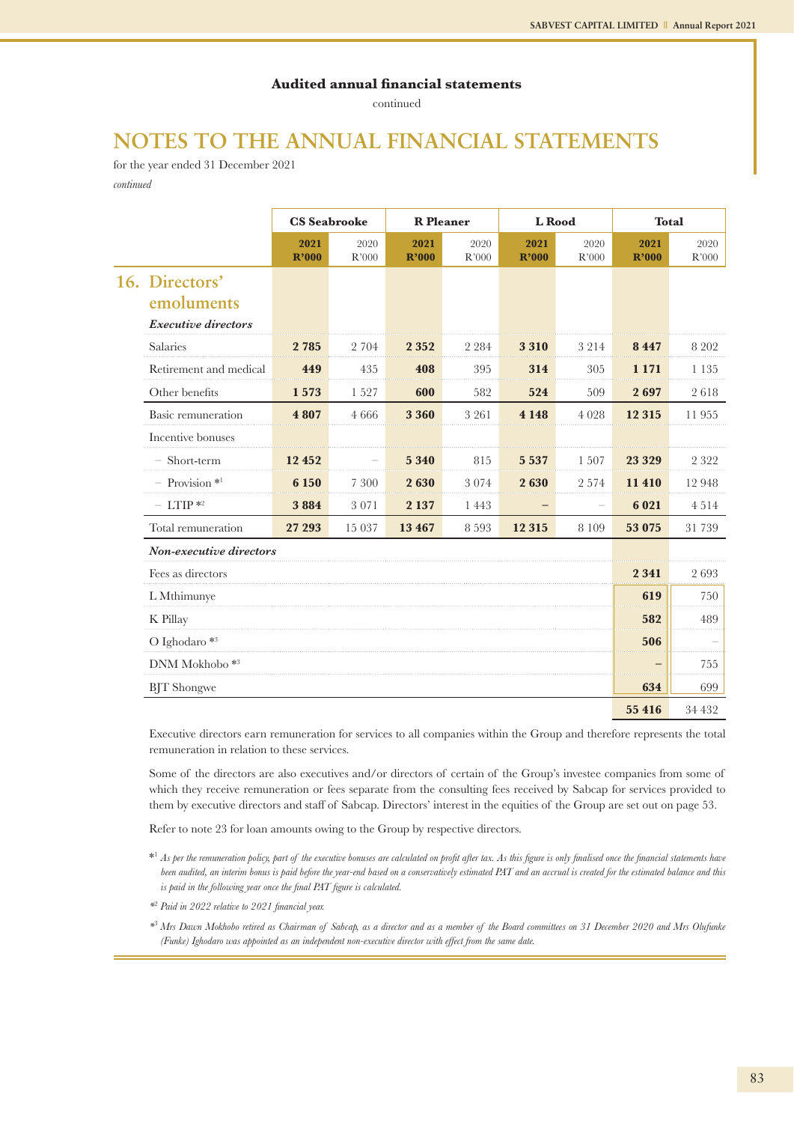continued

## **NOTES TO THE ANNUAL FINANCIAL STATEMENTS**

for the year ended 31 December 2021 *continued*

|                                                            | <b>CS</b> Seabrooke |               | <b>R</b> Pleaner |               | L Rood        |               | <b>Total</b>  |               |
|------------------------------------------------------------|---------------------|---------------|------------------|---------------|---------------|---------------|---------------|---------------|
|                                                            | 2021<br>R'000       | 2020<br>R'000 | 2021<br>R'000    | 2020<br>R'000 | 2021<br>R'000 | 2020<br>R'000 | 2021<br>R'000 | 2020<br>R'000 |
| 16. Directors'<br>emoluments<br><b>Executive directors</b> |                     |               |                  |               |               |               |               |               |
| <b>Salaries</b>                                            | 2 7 8 5             | 2 704         | 2 3 5 2          | 2 2 8 4       | 3 3 1 0       | 3 2 1 4       | 8447          | 8 2 0 2       |
| Retirement and medical                                     | 449                 | 435           | 408              | 395           | 314           | 305           | 1 1 7 1       | 1 1 3 5       |
| Other benefits                                             | 1573                | 1527          | 600              | 582           | 524           | 509           | 2697          | 2618          |
| Basic remuneration                                         | 4 8 0 7             | 4666          | 3 3 6 0          | 3 2 6 1       | 4 1 4 8       | 4 0 2 8       | 12 3 15       | 11955         |
| Incentive bonuses                                          |                     |               |                  |               |               |               |               |               |
| - Short-term                                               | 12 452              |               | 5 3 4 0          | 815           | 5 5 3 7       | 1 507         | 23 3 29       | 2 3 2 2       |
| $-$ Provision $*$ <sup>1</sup>                             | 6 1 5 0             | 7 3 0 0       | 2630             | 3 0 7 4       | 2630          | 2 5 7 4       | 11 410        | 12948         |
| $-$ LTIP $*$ <sup>2</sup>                                  | 3884                | 3 0 7 1       | 2 1 3 7          | 1 4 4 3       |               |               | 6 0 21        | 4514          |
| Total remuneration                                         | 27 29 3             | 15 037        | 13 4 67          | 8 5 9 3       | 12 3 15       | 8 1 0 9       | 53 075        | 31 739        |
| Non-executive directors                                    |                     |               |                  |               |               |               |               |               |
| Fees as directors                                          |                     |               |                  |               |               |               | 2 3 4 1       | 2693          |
| L Mthimunye                                                |                     |               |                  |               |               |               | 619           | 750           |
| K Pillay                                                   |                     |               |                  |               |               |               | 582           | 489           |
| O Ighodaro $*$ <sup>3</sup>                                |                     |               |                  |               |               |               | 506           |               |
| DNM Mokhobo <sup>*3</sup>                                  |                     |               |                  |               |               |               |               | 755           |
| <b>BIT</b> Shongwe                                         |                     |               |                  |               |               |               | 634           | 699           |

**55 416** 34 432

Executive directors earn remuneration for services to all companies within the Group and therefore represents the total remuneration in relation to these services.

Some of the directors are also executives and/or directors of certain of the Group's investee companies from some of which they receive remuneration or fees separate from the consulting fees received by Sabcap for services provided to them by executive directors and staff of Sabcap. Directors' interest in the equities of the Group are set out on page 53.

Refer to note 23 for loan amounts owing to the Group by respective directors.

\*1 *As per the remuneration policy, part of the executive bonuses are calculated on profit after tax. As this figure is only finalised once the financial statements have*  been audited, an interim bonus is paid before the year-end based on a conservatively estimated PAT and an accrual is created for the estimated balance and this *is paid in the following year once the final PAT figure is calculated.*

*\**2  *Paid in 2022 relative to 2021 financial year.* 

<sup>\*3</sup> *Mrs Dawn Mokhobo retired as Chairman of Sabcap, as a director and as a member of the Board committees on 31 December 2020 and Mrs Olufunke (Funke) Ighodaro was appointed as an independent non-executive director with effect from the same date.*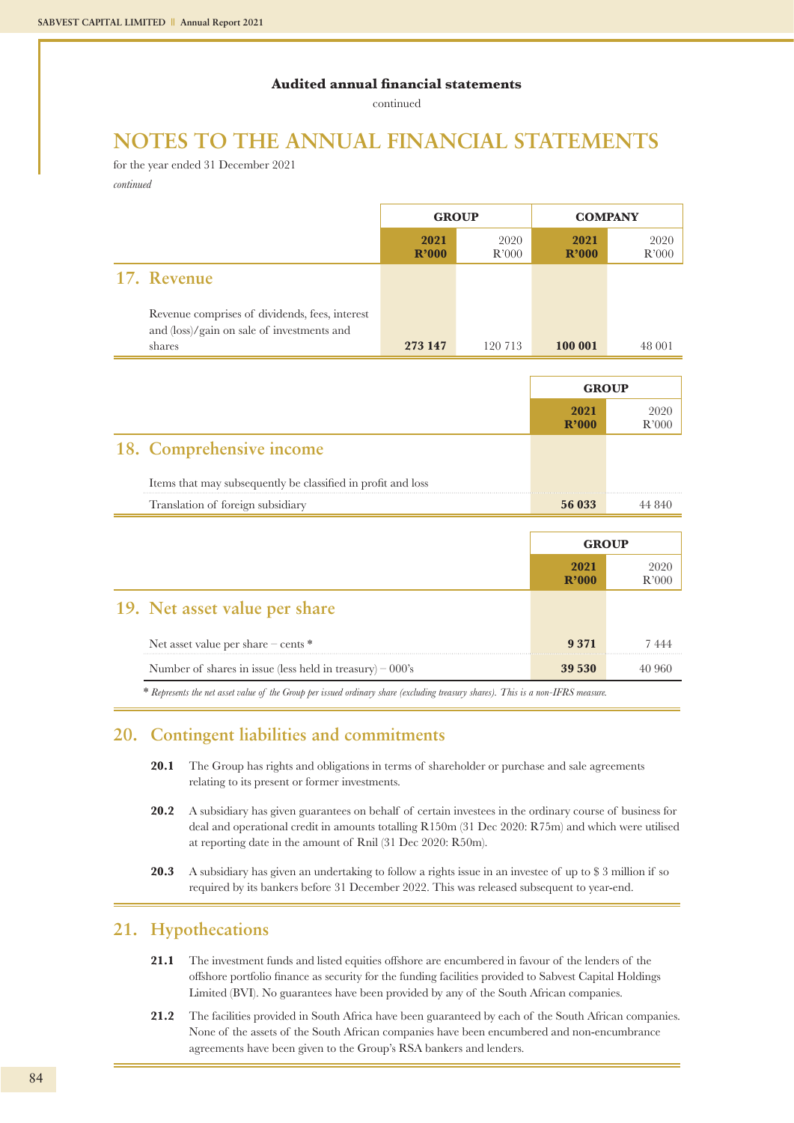continued

## **NOTES TO THE ANNUAL FINANCIAL STATEMENTS**

for the year ended 31 December 2021 *continued*

|                                                                                              | <b>GROUP</b>  |               | <b>COMPANY</b> |                     |
|----------------------------------------------------------------------------------------------|---------------|---------------|----------------|---------------------|
|                                                                                              | 2021<br>R'000 | 2020<br>R'000 | 2021<br>R'000  | 2020<br>R'000       |
| 17. Revenue                                                                                  |               |               |                |                     |
| Revenue comprises of dividends, fees, interest<br>and (loss)/gain on sale of investments and |               |               |                |                     |
| shares                                                                                       | 273 147       | 120 713       | 100 001        | 48 001              |
|                                                                                              |               |               |                |                     |
|                                                                                              |               |               | <b>GROUP</b>   |                     |
|                                                                                              |               |               | 2021<br>R'000  | 2020<br>R'000       |
| 18. Comprehensive income                                                                     |               |               |                |                     |
| Items that may subsequently be classified in profit and loss                                 |               |               |                |                     |
| Translation of foreign subsidiary                                                            |               |               | 56 033         | 44 840              |
|                                                                                              |               |               |                |                     |
|                                                                                              |               |               | <b>GROUP</b>   |                     |
|                                                                                              |               |               | 2021<br>R'000  | 2020<br>$\rm R'000$ |
| 19. Net asset value per share                                                                |               |               |                |                     |
| Net asset value per share - cents *                                                          |               |               | 9371           | 7444                |
| Number of shares in issue (less held in treasury) $-000$ 's                                  |               |               | 39 530         | 40 960              |

\* *Represents the net asset value of the Group per issued ordinary share (excluding treasury shares). This is a non-IFRS measure.*

### **20. Contingent liabilities and commitments**

- 20.1 The Group has rights and obligations in terms of shareholder or purchase and sale agreements relating to its present or former investments.
- **20.2** A subsidiary has given guarantees on behalf of certain investees in the ordinary course of business for deal and operational credit in amounts totalling R150m (31 Dec 2020: R75m) and which were utilised at reporting date in the amount of Rnil (31 Dec 2020: R50m).
- **20.3** A subsidiary has given an undertaking to follow a rights issue in an investee of up to \$3 million if so required by its bankers before 31 December 2022. This was released subsequent to year-end.

### **21. Hypothecations**

- **21.1** The investment funds and listed equities offshore are encumbered in favour of the lenders of the offshore portfolio finance as security for the funding facilities provided to Sabvest Capital Holdings Limited (BVI). No guarantees have been provided by any of the South African companies.
- **21.2** The facilities provided in South Africa have been guaranteed by each of the South African companies. None of the assets of the South African companies have been encumbered and non-encumbrance agreements have been given to the Group's RSA bankers and lenders.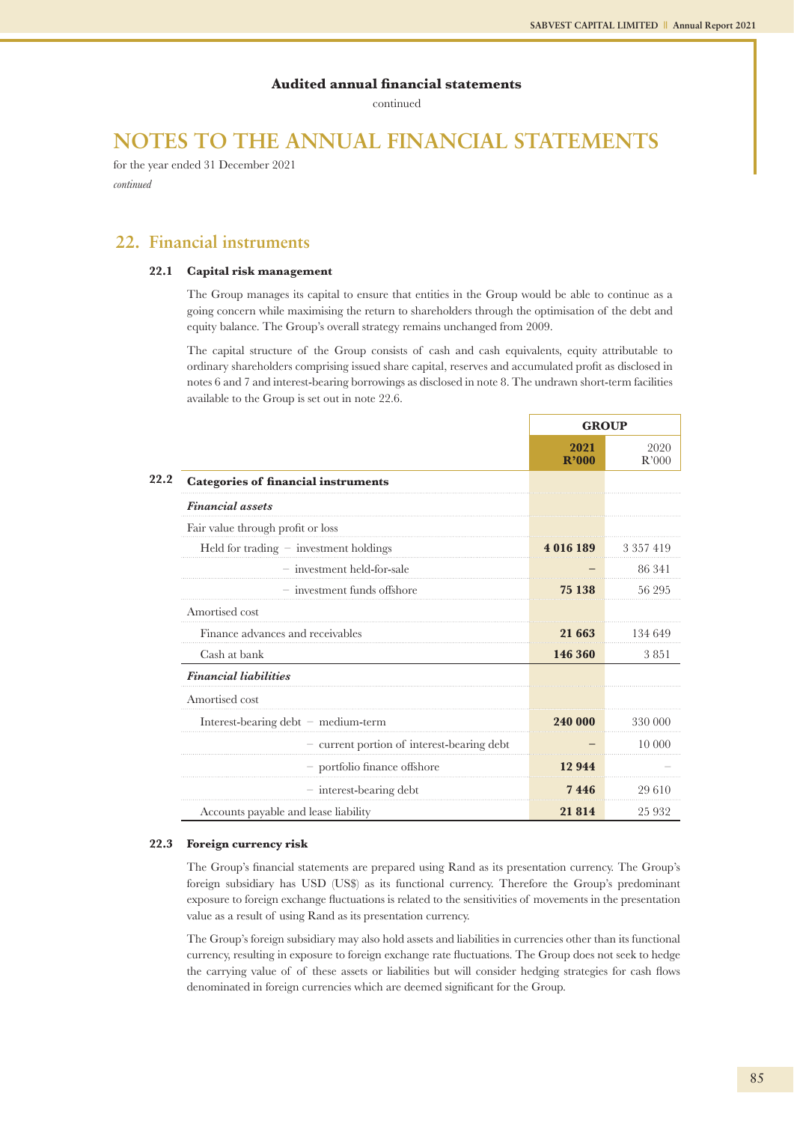continued

## **NOTES TO THE ANNUAL FINANCIAL STATEMENTS**

for the year ended 31 December 2021 *continued*

### **22. Financial instruments**

#### **22.1 Capital risk management**

The Group manages its capital to ensure that entities in the Group would be able to continue as a going concern while maximising the return to shareholders through the optimisation of the debt and equity balance. The Group's overall strategy remains unchanged from 2009.

The capital structure of the Group consists of cash and cash equivalents, equity attributable to ordinary shareholders comprising issued share capital, reserves and accumulated profit as disclosed in notes 6 and 7 and interest-bearing borrowings as disclosed in note 8. The undrawn short-term facilities available to the Group is set out in note 22.6.

|                                            | <b>GROUP</b>  |               |
|--------------------------------------------|---------------|---------------|
|                                            | 2021<br>R'000 | 2020<br>R'000 |
| <b>Categories of financial instruments</b> |               |               |
| <b>Financial</b> assets                    |               |               |
| Fair value through profit or loss          |               |               |
| Held for trading $-$ investment holdings   | 4016189       | 3 3 5 7 4 1 9 |
| $-$ investment held-for-sale               |               | 86 341        |
| $-$ investment funds offshore              | 75 138        | 56 295        |
| Amortised cost                             |               |               |
| Finance advances and receivables           | 21 663        | 134 649       |
| Cash at bank                               | 146 360       | 3851          |
| <b>Financial liabilities</b>               |               |               |
| Amortised cost                             |               |               |
| Interest-bearing $debt$ – medium-term      | 240 000       | 330 000       |
| - current portion of interest-bearing debt |               | 10 000        |
| - portfolio finance offshore               | 12944         |               |
| $-$ interest-bearing debt                  | 7446          | 29 610        |
| Accounts payable and lease liability       | 21814         | 25 9 32       |

#### **22.3 Foreign currency risk**

The Group's financial statements are prepared using Rand as its presentation currency. The Group's foreign subsidiary has USD (US\$) as its functional currency. Therefore the Group's predominant exposure to foreign exchange fluctuations is related to the sensitivities of movements in the presentation value as a result of using Rand as its presentation currency.

The Group's foreign subsidiary may also hold assets and liabilities in currencies other than its functional currency, resulting in exposure to foreign exchange rate fluctuations. The Group does not seek to hedge the carrying value of of these assets or liabilities but will consider hedging strategies for cash flows denominated in foreign currencies which are deemed significant for the Group.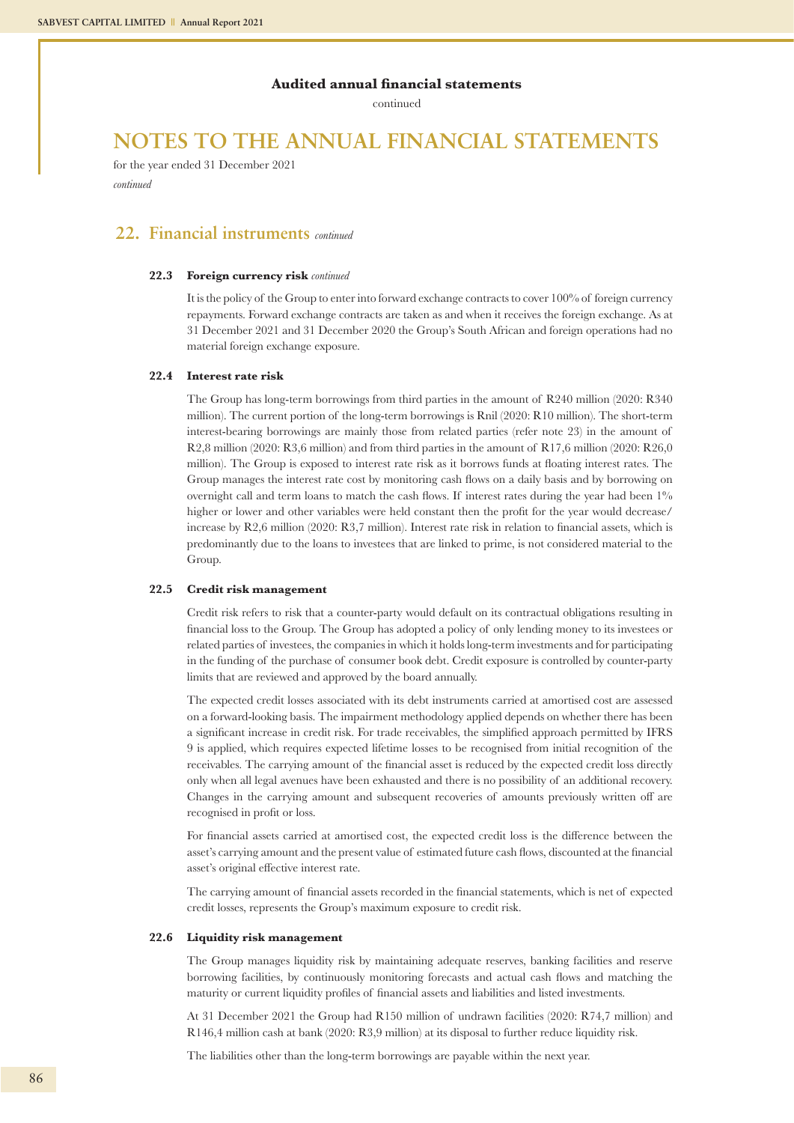continued

## **NOTES TO THE ANNUAL FINANCIAL STATEMENTS**

for the year ended 31 December 2021 *continued*

### **22. Financial instruments** *continued*

#### **22.3 Foreign currency risk** *continued*

It is the policy of the Group to enter into forward exchange contracts to cover 100% of foreign currency repayments. Forward exchange contracts are taken as and when it receives the foreign exchange. As at 31 December 2021 and 31 December 2020 the Group's South African and foreign operations had no material foreign exchange exposure.

#### **22.4 Interest rate risk**

The Group has long-term borrowings from third parties in the amount of R240 million (2020: R340 million). The current portion of the long-term borrowings is Rnil (2020: R10 million). The short-term interest-bearing borrowings are mainly those from related parties (refer note 23) in the amount of R2,8 million (2020: R3,6 million) and from third parties in the amount of R17,6 million (2020: R26,0 million). The Group is exposed to interest rate risk as it borrows funds at floating interest rates. The Group manages the interest rate cost by monitoring cash flows on a daily basis and by borrowing on overnight call and term loans to match the cash flows. If interest rates during the year had been  $1\%$ higher or lower and other variables were held constant then the profit for the year would decrease/ increase by R2,6 million (2020: R3,7 million). Interest rate risk in relation to financial assets, which is predominantly due to the loans to investees that are linked to prime, is not considered material to the Group.

#### **22.5 Credit risk management**

Credit risk refers to risk that a counter-party would default on its contractual obligations resulting in financial loss to the Group. The Group has adopted a policy of only lending money to its investees or related parties of investees, the companies in which it holds long-term investments and for participating in the funding of the purchase of consumer book debt. Credit exposure is controlled by counter-party limits that are reviewed and approved by the board annually.

The expected credit losses associated with its debt instruments carried at amortised cost are assessed on a forward-looking basis. The impairment methodology applied depends on whether there has been a significant increase in credit risk. For trade receivables, the simplified approach permitted by IFRS 9 is applied, which requires expected lifetime losses to be recognised from initial recognition of the receivables. The carrying amount of the financial asset is reduced by the expected credit loss directly only when all legal avenues have been exhausted and there is no possibility of an additional recovery. Changes in the carrying amount and subsequent recoveries of amounts previously written off are recognised in profit or loss.

For financial assets carried at amortised cost, the expected credit loss is the difference between the asset's carrying amount and the present value of estimated future cash flows, discounted at the financial asset's original effective interest rate.

The carrying amount of financial assets recorded in the financial statements, which is net of expected credit losses, represents the Group's maximum exposure to credit risk.

#### **22.6 Liquidity risk management**

The Group manages liquidity risk by maintaining adequate reserves, banking facilities and reserve borrowing facilities, by continuously monitoring forecasts and actual cash flows and matching the maturity or current liquidity profiles of financial assets and liabilities and listed investments.

At 31 December 2021 the Group had R150 million of undrawn facilities (2020: R74,7 million) and R146,4 million cash at bank (2020: R3,9 million) at its disposal to further reduce liquidity risk.

The liabilities other than the long-term borrowings are payable within the next year.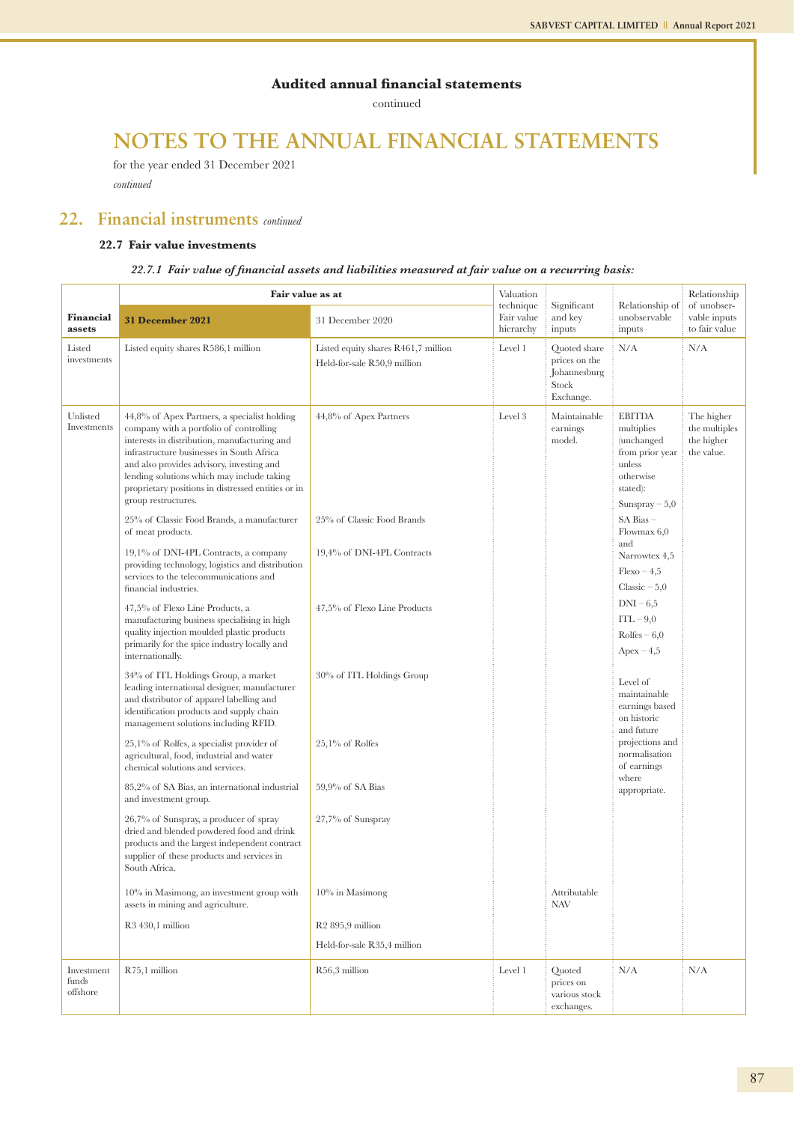continued

## **NOTES TO THE ANNUAL FINANCIAL STATEMENTS**

for the year ended 31 December 2021 *continued*

### **22. Financial instruments** *continued*

### **22.7 Fair value investments**

### *22.7.1 Fair value of financial assets and liabilities measured at fair value on a recurring basis:*

|                                 | Fair value as at                                                                                                                                                                                                                                                                                                                                             |                                                                    | Valuation                            |                                                                     |                                                                                                                    | Relationship                                            |
|---------------------------------|--------------------------------------------------------------------------------------------------------------------------------------------------------------------------------------------------------------------------------------------------------------------------------------------------------------------------------------------------------------|--------------------------------------------------------------------|--------------------------------------|---------------------------------------------------------------------|--------------------------------------------------------------------------------------------------------------------|---------------------------------------------------------|
| <b>Financial</b><br>assets      | 31 December 2021                                                                                                                                                                                                                                                                                                                                             | 31 December 2020                                                   | technique<br>Fair value<br>hierarchy | Significant<br>and key<br>inputs                                    | Relationship of<br>unobservable<br>inputs                                                                          | of unobser-<br>vable inputs<br>to fair value            |
| Listed<br>investments           | Listed equity shares R586,1 million                                                                                                                                                                                                                                                                                                                          | Listed equity shares R461,7 million<br>Held-for-sale R50,9 million | Level 1                              | Quoted share<br>prices on the<br>Johannesburg<br>Stock<br>Exchange. | N/A                                                                                                                | N/A                                                     |
| Unlisted<br>Investments         | 44,8% of Apex Partners, a specialist holding<br>company with a portfolio of controlling<br>interests in distribution, manufacturing and<br>infrastructure businesses in South Africa<br>and also provides advisory, investing and<br>lending solutions which may include taking<br>proprietary positions in distressed entities or in<br>group restructures. | 44,8% of Apex Partners                                             | Level 3                              | Maintainable<br>earnings<br>model.                                  | <b>EBITDA</b><br>multiplies<br>(unchanged<br>from prior year<br>unless<br>otherwise<br>stated):<br>Sunspray $-5,0$ | The higher<br>the multiples<br>the higher<br>the value. |
|                                 | 25% of Classic Food Brands, a manufacturer<br>of meat products.                                                                                                                                                                                                                                                                                              | 25% of Classic Food Brands                                         |                                      |                                                                     | SA Bias-<br>Flowmax $6,0$                                                                                          |                                                         |
|                                 | 19,1% of DNI-4PL Contracts, a company<br>providing technology, logistics and distribution<br>services to the telecommunications and<br>financial industries.                                                                                                                                                                                                 | 19,4% of DNI-4PL Contracts                                         |                                      |                                                                     | and<br>Narrowtex 4,5<br>$Flexo-4,5$<br>Classic $-5,0$                                                              |                                                         |
|                                 | 47,5% of Flexo Line Products, a<br>manufacturing business specialising in high<br>quality injection moulded plastic products<br>primarily for the spice industry locally and<br>internationally.                                                                                                                                                             | 47,5% of Flexo Line Products                                       |                                      |                                                                     | $DNI-6,5$<br>$ITL-9,0$<br>$R$ olfes – 6,0<br>$A$ pex – 4,5                                                         |                                                         |
|                                 | 34% of ITL Holdings Group, a market<br>leading international designer, manufacturer<br>and distributor of apparel labelling and<br>identification products and supply chain<br>management solutions including RFID.                                                                                                                                          | 30% of ITL Holdings Group                                          |                                      |                                                                     | Level of<br>maintainable<br>earnings based<br>on historic<br>and future                                            |                                                         |
|                                 | $25,1\%$ of Rolfes, a specialist provider of<br>agricultural, food, industrial and water<br>chemical solutions and services.                                                                                                                                                                                                                                 | $25,1\%$ of Rolfes                                                 |                                      |                                                                     | projections and<br>normalisation<br>of earnings                                                                    |                                                         |
|                                 | 85,2% of SA Bias, an international industrial<br>and investment group.                                                                                                                                                                                                                                                                                       | $59,9%$ of SA Bias                                                 |                                      |                                                                     | where<br>appropriate.                                                                                              |                                                         |
|                                 | 26,7% of Sunspray, a producer of spray<br>dried and blended powdered food and drink<br>products and the largest independent contract<br>supplier of these products and services in<br>South Africa.                                                                                                                                                          | $27,7\%$ of Sunspray                                               |                                      |                                                                     |                                                                                                                    |                                                         |
|                                 | $10\%$ in Masimong, an investment group with<br>assets in mining and agriculture.                                                                                                                                                                                                                                                                            | $10\%$ in Masimong                                                 |                                      | Attributable<br><b>NAV</b>                                          |                                                                                                                    |                                                         |
|                                 | R <sub>3</sub> 430,1 million                                                                                                                                                                                                                                                                                                                                 | $R2$ 895,9 million                                                 |                                      |                                                                     |                                                                                                                    |                                                         |
|                                 |                                                                                                                                                                                                                                                                                                                                                              | Held-for-sale R35,4 million                                        |                                      |                                                                     |                                                                                                                    |                                                         |
| Investment<br>funds<br>offshore | R75,1 million                                                                                                                                                                                                                                                                                                                                                | R56,3 million                                                      | Level 1                              | Quoted<br>prices on<br>various stock<br>exchanges.                  | N/A                                                                                                                | N/A                                                     |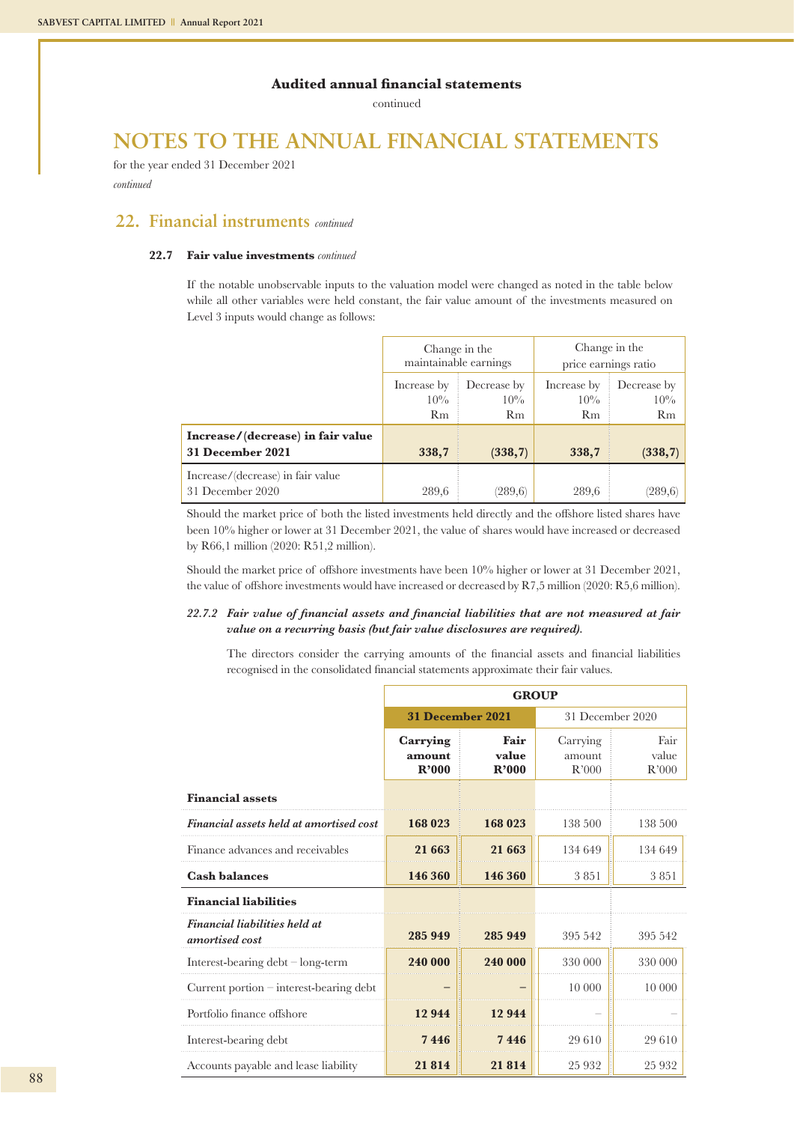continued

## **NOTES TO THE ANNUAL FINANCIAL STATEMENTS**

for the year ended 31 December 2021 *continued*

### **22. Financial instruments** *continued*

#### **22.7 Fair value investments** *continued*

If the notable unobservable inputs to the valuation model were changed as noted in the table below while all other variables were held constant, the fair value amount of the investments measured on Level 3 inputs would change as follows:

|                                                       | Change in the<br>maintainable earnings |                             | Change in the<br>price earnings ratio |                             |
|-------------------------------------------------------|----------------------------------------|-----------------------------|---------------------------------------|-----------------------------|
|                                                       | Increase by<br>$10\%$<br>Rm            | Decrease by<br>$10\%$<br>Rm | Increase by<br>$10\%$<br>Rm           | Decrease by<br>$10\%$<br>Rm |
| Increase/(decrease) in fair value<br>31 December 2021 | 338,7                                  | (338,7)                     | 338,7                                 | (338,7)                     |
| Increase/(decrease) in fair value<br>31 December 2020 | 289,6                                  | (289, 6)                    | 289,6                                 | (289, 6)                    |

Should the market price of both the listed investments held directly and the offshore listed shares have been 10% higher or lower at 31 December 2021, the value of shares would have increased or decreased by R66,1 million (2020: R51,2 million).

Should the market price of offshore investments have been 10% higher or lower at 31 December 2021, the value of offshore investments would have increased or decreased by R7,5 million (2020: R5,6 million).

#### *22.7.2 Fair value of financial assets and financial liabilities that are not measured at fair value on a recurring basis (but fair value disclosures are required).*

The directors consider the carrying amounts of the financial assets and financial liabilities recognised in the consolidated financial statements approximate their fair values.

|                                                 | <b>GROUP</b>                |                         |                             |                        |  |  |  |
|-------------------------------------------------|-----------------------------|-------------------------|-----------------------------|------------------------|--|--|--|
|                                                 |                             | <b>31 December 2021</b> | 31 December 2020            |                        |  |  |  |
|                                                 | Carrying<br>amount<br>R'000 | Fair<br>value<br>R'000  | Carrying<br>amount<br>R'000 | Fair<br>value<br>R'000 |  |  |  |
| <b>Financial assets</b>                         |                             |                         |                             |                        |  |  |  |
| Financial assets held at amortised cost         | 168 023                     | 168 023                 | 138.500                     | 138.500                |  |  |  |
| Finance advances and receivables                | 21 663                      | 21 663                  | 134 649                     | 134 649                |  |  |  |
| <b>Cash balances</b>                            | 146 360                     | 146 360                 | 3851                        | 3851                   |  |  |  |
| <b>Financial liabilities</b>                    |                             |                         |                             |                        |  |  |  |
| Financial liabilities held at<br>amortised cost | 285 949                     | 285 949                 | 395 542                     | 395 542                |  |  |  |
| Interest-bearing $debt - long-term$             | 240 000                     | 240 000                 | 330 000                     | 330 000                |  |  |  |
| Current portion - interest-bearing debt         |                             |                         | 10 000                      | 10 000                 |  |  |  |
| Portfolio finance offshore                      | 12944                       | 12 944                  |                             |                        |  |  |  |
| Interest-bearing debt                           | 7446                        | 7446                    | 29 610                      | 29610                  |  |  |  |
| Accounts payable and lease liability            | 21 8 14                     | 21 8 14                 | 25 9 32                     | 25 9 32                |  |  |  |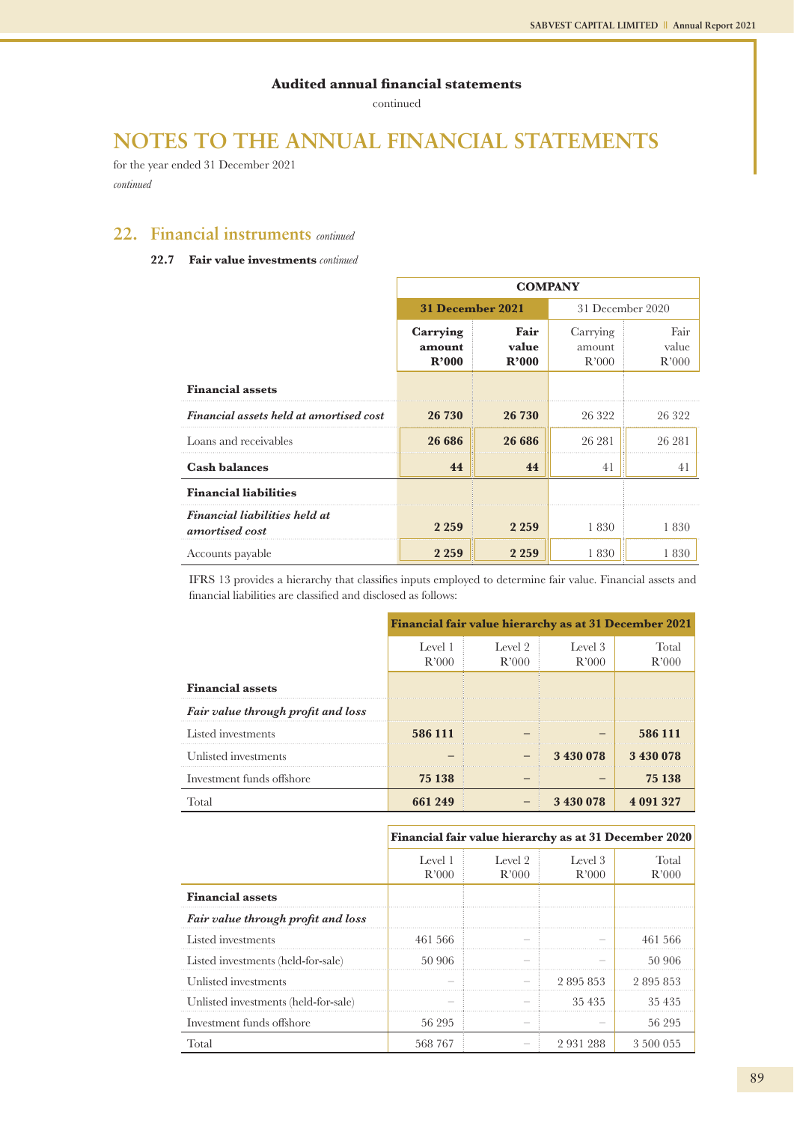continued

## **NOTES TO THE ANNUAL FINANCIAL STATEMENTS**

for the year ended 31 December 2021 *continued*

### **22. Financial instruments** *continued*

### **22.7 Fair value investments** *continued*

|                                                 | <b>COMPANY</b>              |                        |                             |                        |  |  |
|-------------------------------------------------|-----------------------------|------------------------|-----------------------------|------------------------|--|--|
|                                                 | <b>31 December 2021</b>     |                        | 31 December 2020            |                        |  |  |
|                                                 | Carrying<br>amount<br>R'000 | Fair<br>value<br>R'000 | Carrying<br>amount<br>R'000 | Fair<br>value<br>R'000 |  |  |
| <b>Financial assets</b>                         |                             |                        |                             |                        |  |  |
| Financial assets held at amortised cost         | 26 730                      | 26 730                 | 26 322                      | 26 322                 |  |  |
| Loans and receivables                           | 26 686                      | 26 686                 | 26 281                      | 26 281                 |  |  |
| <b>Cash balances</b>                            | 44                          | 44                     | 41                          | 41                     |  |  |
| <b>Financial liabilities</b>                    |                             |                        |                             |                        |  |  |
| Financial liabilities held at<br>amortised cost | 2 2 5 9                     | 2 2 5 9                | 1830                        | 1830                   |  |  |
| Accounts payable                                | 2 2 5 9                     | 2 2 5 9                | 1830                        | 1830                   |  |  |

IFRS 13 provides a hierarchy that classifies inputs employed to determine fair value. Financial assets and financial liabilities are classified and disclosed as follows:

|                                    | Financial fair value hierarchy as at 31 December 2021 |                  |                  |                |  |  |
|------------------------------------|-------------------------------------------------------|------------------|------------------|----------------|--|--|
|                                    | Level 1<br>R'000                                      | Level 2<br>R'000 | Level 3<br>R'000 | Total<br>R'000 |  |  |
| <b>Financial assets</b>            |                                                       |                  |                  |                |  |  |
| Fair value through profit and loss |                                                       |                  |                  |                |  |  |
| Listed investments                 | 586 111                                               |                  |                  | 586 111        |  |  |
| Unlisted investments               |                                                       |                  | 3 430 078        | 3 430 078      |  |  |
| Investment funds offshore          | 75 138                                                |                  |                  | 75 138         |  |  |
| Total                              | 661 249                                               |                  | 3 430 078        | 4 091 327      |  |  |

#### **Financial fair value hierarchy as at 31 December 2020**

|                                      | Level 1<br>R'000 | Level 2<br>R'000 | Level 3<br>R'000 | Total<br>R'000 |
|--------------------------------------|------------------|------------------|------------------|----------------|
|                                      |                  |                  |                  |                |
| <b>Financial assets</b>              |                  |                  |                  |                |
| Fair value through profit and loss   |                  |                  |                  |                |
| Listed investments                   | 461 566          |                  |                  | 461 566        |
| Listed investments (held-for-sale)   | 50 906           |                  |                  | .50.906        |
| Unlisted investments                 |                  |                  | 2 895 853        | 2 895 853      |
| Unlisted investments (held-for-sale) |                  |                  | 35 435           | 35435          |
| Investment funds offshore            | 56 295           |                  |                  | 56 295         |
| Total                                | 568 767          |                  | 2931288          | 3 500 055      |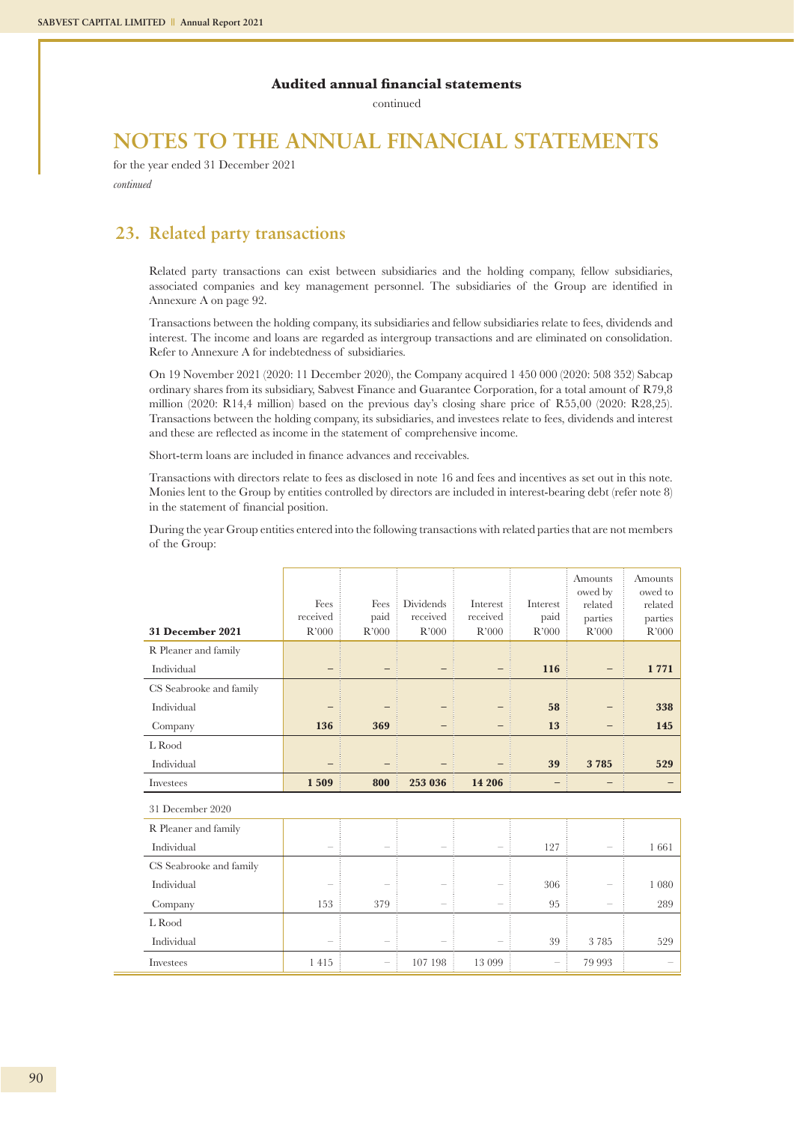continued

## **NOTES TO THE ANNUAL FINANCIAL STATEMENTS**

for the year ended 31 December 2021 *continued*

### **23. Related party transactions**

Related party transactions can exist between subsidiaries and the holding company, fellow subsidiaries, associated companies and key management personnel. The subsidiaries of the Group are identified in Annexure A on page 92.

Transactions between the holding company, its subsidiaries and fellow subsidiaries relate to fees, dividends and interest. The income and loans are regarded as intergroup transactions and are eliminated on consolidation. Refer to Annexure A for indebtedness of subsidiaries.

On 19 November 2021 (2020: 11 December 2020), the Company acquired 1 450 000 (2020: 508 352) Sabcap ordinary shares from its subsidiary, Sabvest Finance and Guarantee Corporation, for a total amount of R79,8 million (2020: R14,4 million) based on the previous day's closing share price of R55,00 (2020: R28,25). Transactions between the holding company, its subsidiaries, and investees relate to fees, dividends and interest and these are reflected as income in the statement of comprehensive income.

Short-term loans are included in finance advances and receivables.

Transactions with directors relate to fees as disclosed in note 16 and fees and incentives as set out in this note. Monies lent to the Group by entities controlled by directors are included in interest-bearing debt (refer note 8) in the statement of financial position.

During the year Group entities entered into the following transactions with related parties that are not members of the Group:

| 31 December 2021        | Fees<br>received<br>R'000 | Fees<br>paid<br>R'000 | Dividends<br>received<br>R'000 | Interest<br>received<br>R'000 | Interest<br>paid<br>R'000 | Amounts<br>owed by<br>related<br>parties<br>R'000 | Amounts<br>owed to<br>related<br>parties<br>R'000 |
|-------------------------|---------------------------|-----------------------|--------------------------------|-------------------------------|---------------------------|---------------------------------------------------|---------------------------------------------------|
| R Pleaner and family    |                           |                       |                                |                               |                           |                                                   |                                                   |
| Individual              |                           |                       |                                |                               | 116                       |                                                   | 1771                                              |
| CS Seabrooke and family |                           |                       |                                |                               |                           |                                                   |                                                   |
| Individual              |                           |                       |                                |                               | 58                        |                                                   | 338                                               |
| Company                 | 136                       | 369                   |                                |                               | 13                        |                                                   | 145                                               |
| L Rood                  |                           |                       |                                |                               |                           |                                                   |                                                   |
| Individual              |                           |                       |                                |                               | 39                        | 3785                                              | 529                                               |
| Investees               | 1509                      | 800                   | 253 036                        | 14 20 6                       |                           |                                                   |                                                   |
| 31 December 2020        |                           |                       |                                |                               |                           |                                                   |                                                   |
| R Pleaner and family    |                           |                       |                                |                               |                           |                                                   |                                                   |
| Individual              |                           |                       |                                |                               | 127                       |                                                   | 1661                                              |
| CS Seabrooke and family |                           |                       |                                |                               |                           |                                                   |                                                   |
| Individual              |                           |                       |                                |                               | 306                       |                                                   | 1 0 8 0                                           |
| Company                 | 153                       | 379                   |                                |                               | 95                        |                                                   | 289                                               |
| L Rood                  |                           |                       |                                |                               |                           |                                                   |                                                   |
| Individual              |                           |                       |                                |                               | 39                        | 3785                                              | 529                                               |
| Investees               | 1415                      |                       | 107 198                        | 13 099                        | $\overline{\phantom{a}}$  | 79 993                                            |                                                   |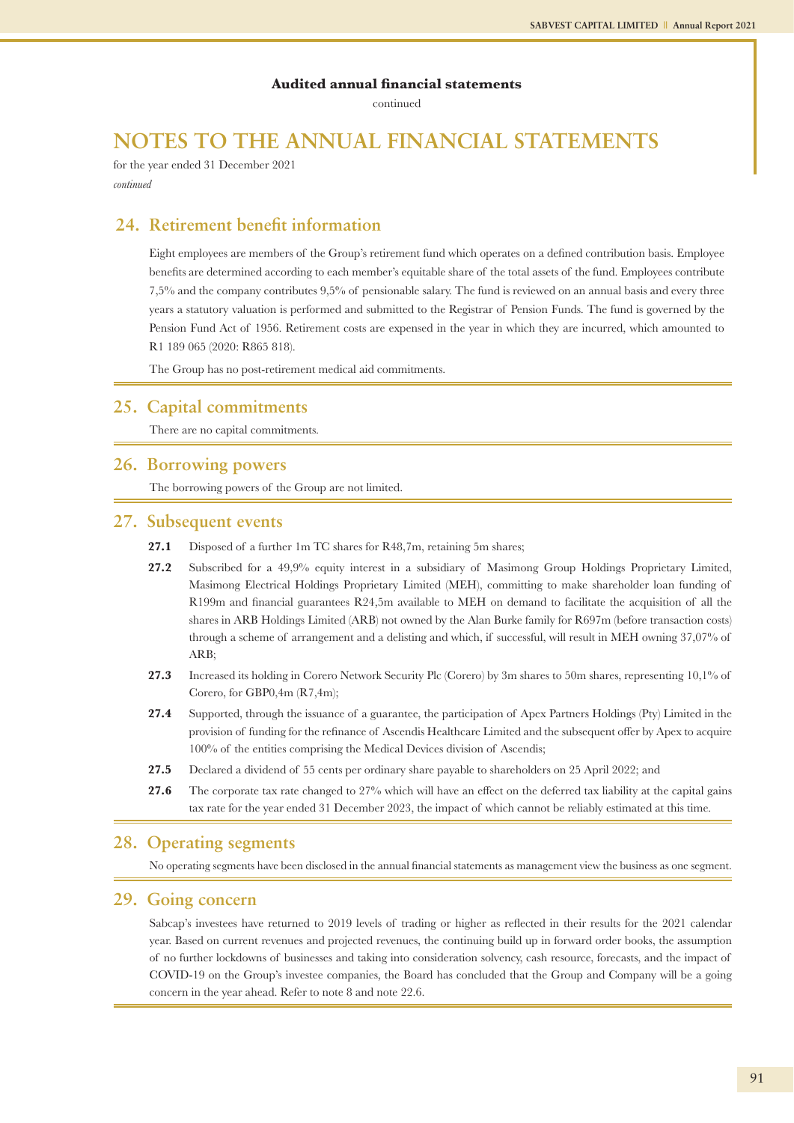continued

## **NOTES TO THE ANNUAL FINANCIAL STATEMENTS**

for the year ended 31 December 2021 *continued*

### **24. Retirement benefit information**

Eight employees are members of the Group's retirement fund which operates on a defined contribution basis. Employee benefits are determined according to each member's equitable share of the total assets of the fund. Employees contribute 7,5% and the company contributes 9,5% of pensionable salary. The fund is reviewed on an annual basis and every three years a statutory valuation is performed and submitted to the Registrar of Pension Funds. The fund is governed by the Pension Fund Act of 1956. Retirement costs are expensed in the year in which they are incurred, which amounted to R1 189 065 (2020: R865 818).

The Group has no post-retirement medical aid commitments.

### **25. Capital commitments**

There are no capital commitments.

### **26. Borrowing powers**

The borrowing powers of the Group are not limited.

### **27. Subsequent events**

- 27.1 Disposed of a further 1m TC shares for R48,7m, retaining 5m shares;
- **27.2** Subscribed for a 49,9% equity interest in a subsidiary of Masimong Group Holdings Proprietary Limited, Masimong Electrical Holdings Proprietary Limited (MEH), committing to make shareholder loan funding of R199m and financial guarantees R24,5m available to MEH on demand to facilitate the acquisition of all the shares in ARB Holdings Limited (ARB) not owned by the Alan Burke family for R697m (before transaction costs) through a scheme of arrangement and a delisting and which, if successful, will result in MEH owning 37,07% of ARB;
- **27.3** Increased its holding in Corero Network Security Plc (Corero) by 3m shares to 50m shares, representing 10,1% of Corero, for GBP0,4m (R7,4m);
- **27.4** Supported, through the issuance of a guarantee, the participation of Apex Partners Holdings (Pty) Limited in the provision of funding for the refinance of Ascendis Healthcare Limited and the subsequent offer by Apex to acquire 100% of the entities comprising the Medical Devices division of Ascendis;
- **27.5** Declared a dividend of 55 cents per ordinary share payable to shareholders on 25 April 2022; and
- **27.6** The corporate tax rate changed to 27% which will have an effect on the deferred tax liability at the capital gains tax rate for the year ended 31 December 2023, the impact of which cannot be reliably estimated at this time.

### **28. Operating segments**

No operating segments have been disclosed in the annual financial statements as management view the business as one segment.

### **29. Going concern**

Sabcap's investees have returned to 2019 levels of trading or higher as reflected in their results for the 2021 calendar year. Based on current revenues and projected revenues, the continuing build up in forward order books, the assumption of no further lockdowns of businesses and taking into consideration solvency, cash resource, forecasts, and the impact of COVID-19 on the Group's investee companies, the Board has concluded that the Group and Company will be a going concern in the year ahead. Refer to note 8 and note 22.6.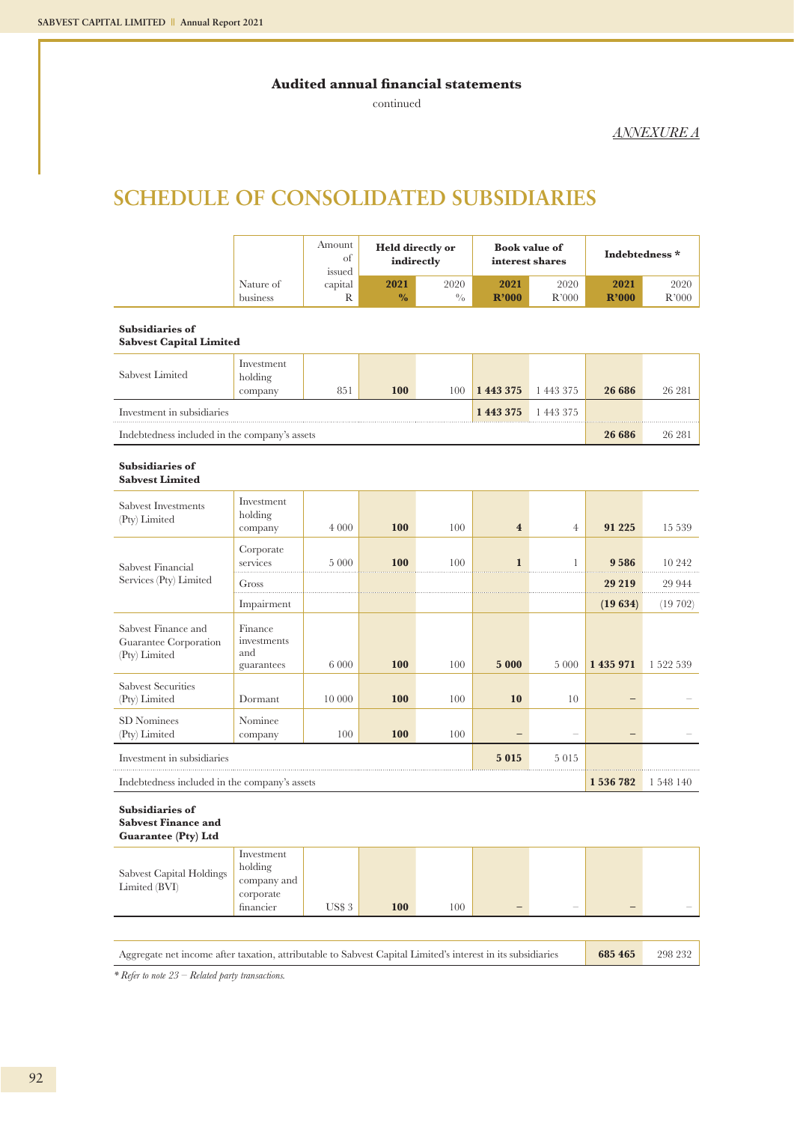continued

*ANNEXURE A*

## **SCHEDULE OF CONSOLIDATED SUBSIDIARIES**

|                                                                             |                                                                | Amount<br><b>Held directly or</b><br>of<br>indirectly<br>issued |                       |                       | <b>Book value of</b><br>interest shares |                | Indebtedness * |               |
|-----------------------------------------------------------------------------|----------------------------------------------------------------|-----------------------------------------------------------------|-----------------------|-----------------------|-----------------------------------------|----------------|----------------|---------------|
|                                                                             | Nature of<br>business                                          | capital<br>R                                                    | 2021<br>$\frac{0}{0}$ | 2020<br>$\frac{0}{0}$ | 2021<br>R'000                           | 2020<br>R'000  | 2021<br>R'000  | 2020<br>R'000 |
| <b>Subsidiaries of</b><br><b>Sabvest Capital Limited</b>                    |                                                                |                                                                 |                       |                       |                                         |                |                |               |
| Sabvest Limited                                                             | Investment<br>holding<br>company                               | 851                                                             | <b>100</b>            | 100                   | 1 443 375                               | 1 443 375      | 26 686         | 26 281        |
| Investment in subsidiaries                                                  |                                                                |                                                                 |                       |                       | 1 443 375                               | 1 443 375      |                |               |
| Indebtedness included in the company's assets                               |                                                                |                                                                 |                       |                       |                                         |                | 26 686         | 26 281        |
| Subsidiaries of<br><b>Sabvest Limited</b>                                   |                                                                |                                                                 |                       |                       |                                         |                |                |               |
| Sabvest Investments<br>(Pty) Limited                                        | Investment<br>holding<br>company                               | 4 0 0 0                                                         | 100                   | 100                   | $\overline{\mathbf{4}}$                 | $\overline{4}$ | 91 2 25        | 15 539        |
| Sabvest Financial                                                           | Corporate<br>services                                          | 5 0 0 0                                                         | <b>100</b>            | 100                   | $\mathbf{1}$                            | 1              | 9 5 8 6        | 10 242        |
| Services (Pty) Limited                                                      | Gross                                                          |                                                                 |                       |                       |                                         |                | 29 219         | 29 944        |
|                                                                             | Impairment                                                     |                                                                 |                       |                       |                                         |                | (19634)        | (19702)       |
| Sabvest Finance and<br>Guarantee Corporation<br>(Pty) Limited               | Finance<br>investments<br>and<br>guarantees                    | 6 0 0 0                                                         | 100                   | 100                   | 5 000                                   | 5 0 0 0        | 1 435 971      | 1 522 539     |
| <b>Sabvest Securities</b><br>(Pty) Limited                                  | Dormant                                                        | 10 000                                                          | <b>100</b>            | 100                   | 10                                      | 10             |                |               |
| SD Nominees<br>(Pty) Limited                                                | Nominee<br>company                                             | 100                                                             | 100                   | 100                   |                                         |                |                |               |
| Investment in subsidiaries                                                  |                                                                |                                                                 |                       |                       | 5015                                    | 5015           |                |               |
| Indebtedness included in the company's assets                               |                                                                |                                                                 |                       |                       |                                         |                | 1 536 782      | 1 548 140     |
| <b>Subsidiaries of</b><br><b>Sabvest Finance and</b><br>Guarantee (Pty) Ltd |                                                                |                                                                 |                       |                       |                                         |                |                |               |
| Sabvest Capital Holdings<br>Limited (BVI)                                   | Investment<br>holding<br>company and<br>corporate<br>financier | <b>US\$3</b>                                                    | 100                   | 100                   |                                         |                |                |               |
|                                                                             |                                                                |                                                                 |                       |                       |                                         |                |                |               |

Aggregate net income after taxation, attributable to Sabvest Capital Limited's interest in its subsidiaries **685 465** 298 232

*\* Refer to note 23 – Related party transactions.*